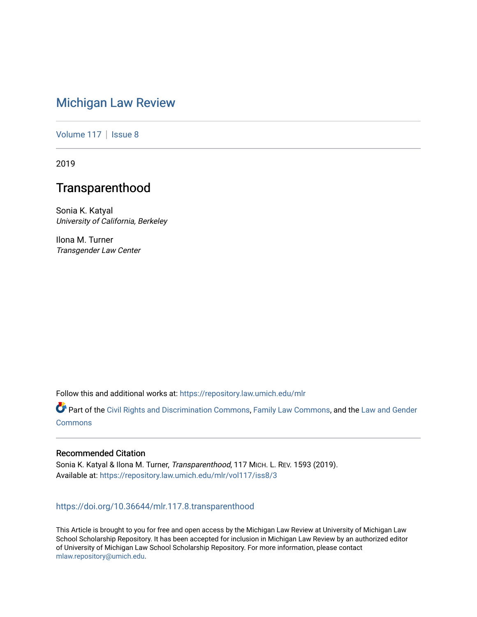# [Michigan Law Review](https://repository.law.umich.edu/mlr)

[Volume 117](https://repository.law.umich.edu/mlr/vol117) | [Issue 8](https://repository.law.umich.edu/mlr/vol117/iss8)

2019

# **Transparenthood**

Sonia K. Katyal University of California, Berkeley

Ilona M. Turner Transgender Law Center

Follow this and additional works at: [https://repository.law.umich.edu/mlr](https://repository.law.umich.edu/mlr?utm_source=repository.law.umich.edu%2Fmlr%2Fvol117%2Fiss8%2F3&utm_medium=PDF&utm_campaign=PDFCoverPages) 

Part of the [Civil Rights and Discrimination Commons,](http://network.bepress.com/hgg/discipline/585?utm_source=repository.law.umich.edu%2Fmlr%2Fvol117%2Fiss8%2F3&utm_medium=PDF&utm_campaign=PDFCoverPages) [Family Law Commons,](http://network.bepress.com/hgg/discipline/602?utm_source=repository.law.umich.edu%2Fmlr%2Fvol117%2Fiss8%2F3&utm_medium=PDF&utm_campaign=PDFCoverPages) and the [Law and Gender](http://network.bepress.com/hgg/discipline/1298?utm_source=repository.law.umich.edu%2Fmlr%2Fvol117%2Fiss8%2F3&utm_medium=PDF&utm_campaign=PDFCoverPages)  [Commons](http://network.bepress.com/hgg/discipline/1298?utm_source=repository.law.umich.edu%2Fmlr%2Fvol117%2Fiss8%2F3&utm_medium=PDF&utm_campaign=PDFCoverPages)

# Recommended Citation

Sonia K. Katyal & Ilona M. Turner, Transparenthood, 117 MICH. L. REV. 1593 (2019). Available at: [https://repository.law.umich.edu/mlr/vol117/iss8/3](https://repository.law.umich.edu/mlr/vol117/iss8/3?utm_source=repository.law.umich.edu%2Fmlr%2Fvol117%2Fiss8%2F3&utm_medium=PDF&utm_campaign=PDFCoverPages) 

# <https://doi.org/10.36644/mlr.117.8.transparenthood>

This Article is brought to you for free and open access by the Michigan Law Review at University of Michigan Law School Scholarship Repository. It has been accepted for inclusion in Michigan Law Review by an authorized editor of University of Michigan Law School Scholarship Repository. For more information, please contact [mlaw.repository@umich.edu.](mailto:mlaw.repository@umich.edu)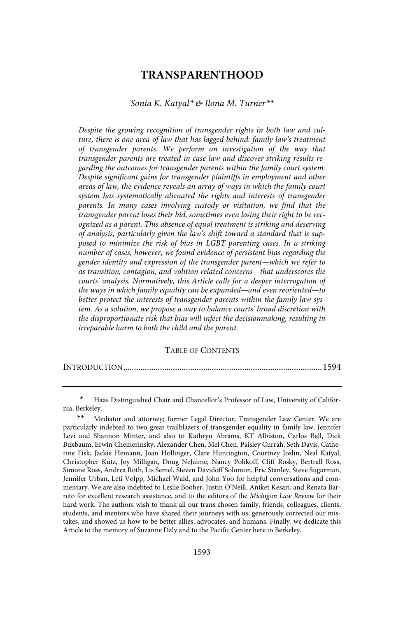# **TRANSPARENTHOOD**

#### Sonia K. Katyal\* & Ilona M. Turner\*\*

Despite the growing recognition of transgender rights in both law and culture, there is one area of law that has lagged behind: family law's treatment of transgender parents. We perform an investigation of the way that transgender parents are treated in case law and discover striking results regarding the outcomes for transgender parents within the family court system . Despite significant gains for transgender plaintiffs in employment and other areas of law, the evidence reveals an array of ways in which the family court system has systematically alienated the rights and interests of transgender parents. In many cases involving custody or visitation, we find that the transgender parent loses their bid, sometimes even losing their right to be recognized as a parent. This absence of equal treatment is striking and deserving of analysis, particularly given the law's shift toward a standard that is supposed to minimize the risk of bias in LGBT parenting cases. In a striking number of cases, however, we found evidence of persistent bias regarding the gender identity and expression of the transgender parent—which we refer to as transition, contagion, and volition related concerns—that underscores the courts' analysis. Normatively, this Article calls for a deeper interrogation of the ways in which family equality can be expanded—and even reoriented—to better protect the interests of transgender parents within the family law system. As a solution, we propose a way to balance courts' broad discretion with the disproportionate risk that bias will infect the decisionmaking, resulting in irreparable harm to both the child and the parent.

#### TABLE OF CONTENTS

Haas Distinguished Chair and Chancellor's Professor of Law, University of California, Berkeley.

<sup>\*\*</sup> Mediator and attorney; former Legal Director, Transgender Law Center. We are particularly indebted to two great trailblazers of transgender equality in family law, Jennifer Levi and Shannon Minter, and also to Kathryn Abrams, KT Albiston, Carlos Ball, Dick Buxbaum, Erwin Chemerinsky, Alexander Chen, Mel Chen, Paisley Currah, Seth Davis, Catherine Fisk, Jackie Hemann, Joan Hollinger, Clare Huntington, Courtney Joslin, Neal Katyal, Christopher Kutz, Joy Milligan, Doug NeJaime, Nancy Polikoff, Cliff Rosky, Bertrall Ross, Simone Ross, Andrea Roth, Lis Semel, Steven Davidoff Solomon, Eric Stanley, Steve Sugarman, Jennifer Urban, Leti Volpp, Michael Wald, and John Yoo for helpful conversations and commentary. We are also indebted to Leslie Booher, Justin O'Neill, Aniket Kesari, and Renata Barreto for excellent research assistance, and to the editors of the Michigan Law Review for their hard work. The authors wish to thank all our trans chosen family, friends, colleagues, clients, students, and mentors who have shared their journeys with us, generously corrected our mistakes, and showed us how to be better allies, advocates, and humans. Finally, we dedicate this Article to the memory of Suzanne Daly and to the Pacific Center here in Berkeley.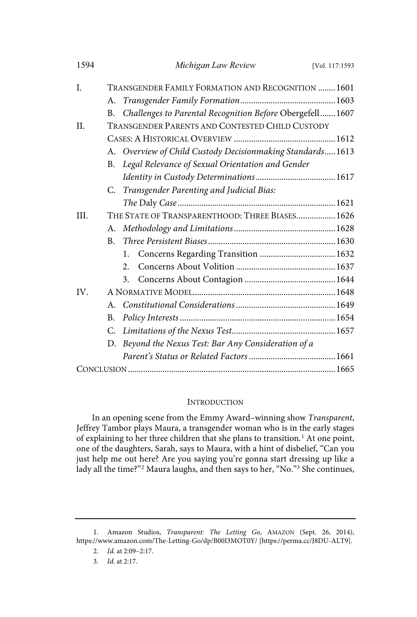| 1594 |              | Michigan Law Review                                       | [Vol. 117:1593 |
|------|--------------|-----------------------------------------------------------|----------------|
| I.   |              | TRANSGENDER FAMILY FORMATION AND RECOGNITION 1601         |                |
|      | А.           |                                                           |                |
|      | В.           | Challenges to Parental Recognition Before Obergefell 1607 |                |
| II.  |              | TRANSGENDER PARENTS AND CONTESTED CHILD CUSTODY           |                |
|      |              |                                                           |                |
|      |              | A. Overview of Child Custody Decisionmaking Standards1613 |                |
|      | B.           | Legal Relevance of Sexual Orientation and Gender          |                |
|      |              |                                                           |                |
|      |              | C. Transgender Parenting and Judicial Bias:               |                |
|      |              |                                                           |                |
| III. |              | THE STATE OF TRANSPARENTHOOD: THREE BIASES 1626           |                |
|      | А.           |                                                           |                |
|      | <sub>R</sub> |                                                           |                |
|      |              | 1.                                                        |                |
|      |              | 2.                                                        |                |
|      |              | 3.                                                        |                |
| IV.  |              |                                                           |                |
|      |              |                                                           |                |
|      | B.           |                                                           |                |
|      | C.           |                                                           |                |
|      | D.           | Beyond the Nexus Test: Bar Any Consideration of a         |                |
|      |              |                                                           |                |
|      |              |                                                           |                |

#### **INTRODUCTION**

In an opening scene from the Emmy Award–winning show Transparent, Jeffrey Tambor plays Maura, a transgender woman who is in the early stages of explaining to her three children that she plans to transition.<sup>1</sup> At one point, one of the daughters, Sarah, says to Maura, with a hint of disbelief, "Can you just help me out here? Are you saying you're gonna start dressing up like a lady all the time?"<sup>2</sup> Maura laughs, and then says to her, "No."<sup>3</sup> She continues,

<sup>1.</sup> Amazon Studios, Transparent: The Letting Go, AMAZON (Sept. 26, 2014), https://www.amazon.com/The-Letting-Go/dp/B00I3MOT0Y/ [https://perma.cc/J8DU-ALT9].

<sup>2.</sup> Id. at 2:09-2:17.

<sup>3.</sup> *Id.* at 2:17.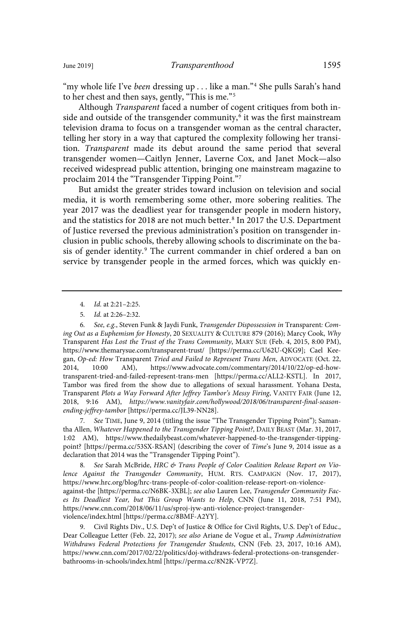"my whole life I've been dressing up . . . like a man."<sup>4</sup> She pulls Sarah's hand to her chest and then says, gently, "This is me."<sup>5</sup>

Although Transparent faced a number of cogent critiques from both inside and outside of the transgender community, $\rm ^6$  it was the first mainstream television drama to focus on a transgender woman as the central character, telling her story in a way that captured the complexity following her transition. Transparent made its debut around the same period that several transgender women—Caitlyn Jenner, Laverne Cox, and Janet Mock—also received widespread public attention, bringing one mainstream magazine to proclaim 2014 the "Transgender Tipping Point."<sup>7</sup>

But amidst the greater strides toward inclusion on television and social media, it is worth remembering some other, more sobering realities. The year 2017 was the deadliest year for transgender people in modern history, and the statistics for 2018 are not much better.<sup>8</sup> In 2017 the U.S. Department of Justice reversed the previous administration's position on transgender inclusion in public schools, thereby allowing schools to discriminate on the basis of gender identity.<sup>9</sup> The current commander in chief ordered a ban on service by transgender people in the armed forces, which was quickly en-

4. Id. at 2:21-2:25.

7 . See TIME, June 9, 2014 (titling the issue "The Transgender Tipping Point"); Samantha Allen, Whatever Happened to the Transgender Tipping Point?, DAILY BEAST (Mar. 31, 2017, 1:02 AM), https://www.thedailybeast.com/whatever-happened-to-the-transgender-tippingpoint? [https://perma.cc/53SX-RSAN] (describing the cover of Time's June 9, 2014 issue as a declaration that 2014 was the "Transgender Tipping Point").

8. See Sarah McBride, HRC & Trans People of Color Coalition Release Report on Violence Against the Transgender Community, HUM. RTS. CAMPAIGN (Nov. 17, 2017), https://www.hrc.org/blog/hrc-trans-people-of-color-coalition-release-report-on-violenceagainst-the [https://perma.cc/N6BK-3XBL]; see also Lauren Lee, Transgender Community Faces Its Deadliest Year, but This Group Wants to Help, CNN (June 11, 2018, 7:51 PM), https://www.cnn.com/2018/06/11/us/sproj-iyw-anti-violence-project-transgenderviolence/index.html [https://perma.cc/8BMF-A2YY].

9. Civil Rights Div., U.S. Dep't of Justice & Office for Civil Rights, U.S. Dep't of Educ., Dear Colleague Letter (Feb. 22, 2017); see also Ariane de Vogue et al., Trump Administration Withdraws Federal Protections for Transgender Students, CNN (Feb. 23, 2017, 10:16 AM), https://www.cnn.com/2017/02/22/politics/doj-withdraws-federal-protections-on-transgenderbathrooms-in-schools/index.html [https://perma.cc/8N2K-VP7Z].

<sup>5.</sup> *Id.* at 2:26-2:32.

<sup>6.</sup> See, e.g., Steven Funk & Jaydi Funk, Transgender Dispossession in Transparent: Coming Out as a Euphemism for Honesty, 20 SEXUALITY & CULTURE 879 (2016); Marcy Cook, Why Transparent Has Lost the Trust of the Trans Community, MARY SUE (Feb. 4, 2015, 8:00 PM), https://www.themarysue.com/transparent-trust/ [https://perma.cc/U62U-QKG9]; Cael Keegan, Op-ed: How Transparent Tried and Failed to Represent Trans Men, ADVOCATE (Oct. 22, 2014, 10:00 AM), https://www.advocate.com/commentary/2014/10/22/op-ed-howtransparent-tried-and-failed-represent-trans-men [https://perma.cc/ALL2-KSTL]. In 2017, Tambor was fired from the show due to allegations of sexual harassment. Yohana Desta, Transparent Plots a Way Forward After Jeffrey Tambor's Messy Firing, VANITY FAIR (June 12, 2018, 9:16 AM), https://www .vanityfair .com/hollywood/2018/06/transparent-final-seasonending-jeffrey-tambor [https://perma.cc/JL39-NN28].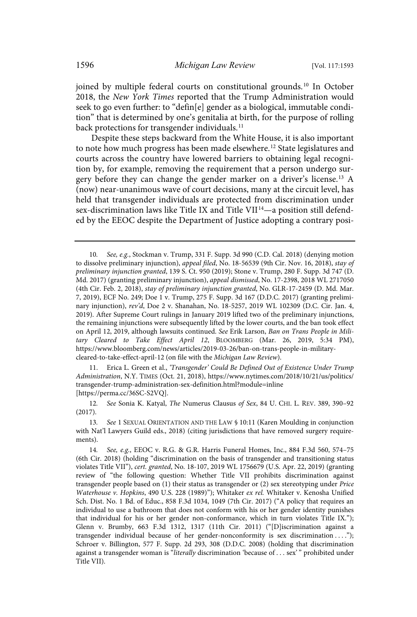joined by multiple federal courts on constitutional grounds.<sup>10</sup> In October 2018, the New York Times reported that the Trump Administration would seek to go even further: to "defin[e] gender as a biological, immutable condition" that is determined by one's genitalia at birth, for the purpose of rolling back protections for transgender individuals.<sup>11</sup>

Despite these steps backward from the White House, it is also important to note how much progress has been made elsewhere.<sup>12</sup> State legislatures and courts across the country have lowered barriers to obtaining legal recognition by, for example, removing the requirement that a person undergo surgery before they can change the gender marker on a driver's license.<sup>13</sup> A (now) near-unanimous wave of court decisions, many at the circuit level, has held that transgender individuals are protected from discrimination under sex-discrimination laws like Title IX and Title VII<sup>14</sup>—a position still defended by the EEOC despite the Department of Justice adopting a contrary posi-

11. Erica L. Green et al., 'Transgender' Could Be Defined Out of Existence Under Trump Administration, N.Y. TIMES (Oct. 21, 2018), https://www.nytimes.com/2018/10/21/us/politics/ transgender-trump-administration-sex-definition.html?module=inline [https://perma.cc/36SC-S2VQ].

12. See Sonia K. Katyal, The Numerus Clausus of Sex, 84 U. CHI. L. REV. 389, 390-92 (2017).

13. See 1 SEXUAL ORIENTATION AND THE LAW § 10:11 (Karen Moulding in conjunction with Nat'l Lawyers Guild eds., 2018) (citing jurisdictions that have removed surgery requirements).

<sup>10.</sup> See, e.g., Stockman v. Trump, 331 F. Supp. 3d 990 (C.D. Cal. 2018) (denying motion to dissolve preliminary injunction), appeal filed, No. 18-56539 (9th Cir. Nov. 16, 2018), stay of preliminary injunction granted, 139 S. Ct. 950 (2019); Stone v. Trump, 280 F. Supp. 3d 747 (D. Md. 2017) (granting preliminary injunction), appeal dismissed, No. 17-2398, 2018 WL 2717050 (4th Cir. Feb. 2, 2018), stay of preliminary injunction granted, No. GLR-17-2459 (D. Md. Mar. 7, 2019), ECF No. 249; Doe 1 v. Trump, 275 F. Supp. 3d 167 (D.D.C. 2017) (granting preliminary injunction), rev'd, Doe 2 v. Shanahan, No. 18-5257, 2019 WL 102309 (D.C. Cir. Jan. 4, 2019). After Supreme Court rulings in January 2019 lifted two of the preliminary injunctions, the remaining injunctions were subsequently lifted by the lower courts, and the ban took effect on April 12, 2019, although lawsuits continued. See Erik Larson, Ban on Trans People in Military Cleared to Take Effect April 12, BLOOMBERG (Mar. 26, 2019, 5:34 PM), https://www.bloomberg.com/news/articles/2019-03-26/ban-on-trans-people-in-militarycleared-to-take-effect-april-12 (on file with the Michigan Law Review).

<sup>14.</sup> See, e.g., EEOC v. R.G. & G.R. Harris Funeral Homes, Inc., 884 F.3d 560, 574–75 (6th Cir. 2018) (holding "discrimination on the basis of transgender and transitioning status violates Title VII"), cert. granted, No. 18-107, 2019 WL 1756679 (U.S. Apr. 22, 2019) (granting review of "the following question: Whether Title VII prohibits discrimination against transgender people based on (1) their status as transgender or (2) sex stereotyping under Price Waterhouse v. Hopkins, 490 U.S. 228 (1989)"); Whitaker ex rel. Whitaker v. Kenosha Unified Sch. Dist. No. 1 Bd. of Educ., 858 F.3d 1034, 1049 (7th Cir. 2017) ("A policy that requires an individual to use a bathroom that does not conform with his or her gender identity punishes that individual for his or her gender non-conformance, which in turn violates Title IX."); Glenn v. Brumby, 663 F.3d 1312, 1317 (11th Cir. 2011) ("[D]iscrimination against a transgender individual because of her gender-nonconformity is sex discrimination ...."); Schroer v. Billington, 577 F. Supp. 2d 293, 308 (D.D.C. 2008) (holding that discrimination against a transgender woman is "literally discrimination 'because of . . . sex'" prohibited under Title VII).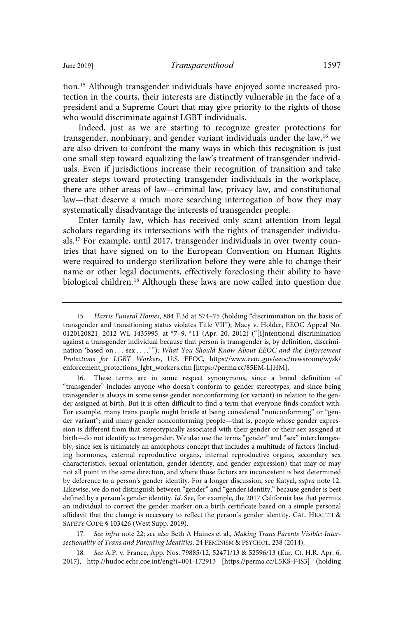tion.<sup>15</sup> Although transgender individuals have enjoyed some increased protection in the courts, their interests are distinctly vulnerable in the face of a president and a Supreme Court that may give priority to the rights of those who would discriminate against LGBT individuals.

Indeed, just as we are starting to recognize greater protections for transgender, nonbinary, and gender variant individuals under the law,  $16$  we are also driven to confront the many ways in which this recognition is just one small step toward equalizing the law's treatment of transgender individuals. Even if jurisdictions increase their recognition of transition and take greater steps toward protecting transgender individuals in the workplace, there are other areas of law—criminal law, privacy law, and constitutional law—that deserve a much more searching interrogation of how they may systematically disadvantage the interests of transgender people.

Enter family law, which has received only scant attention from legal scholars regarding its intersections with the rights of transgender individuals.<sup>17</sup> For example, until 2017, transgender individuals in over twenty countries that have signed on to the European Convention on Human Rights were required to undergo sterilization before they were able to change their name or other legal documents, effectively foreclosing their ability to have biological children.<sup>18</sup> Although these laws are now called into question due

17. See infra note 22; see also Beth A Haines et al., Making Trans Parents Visible: Intersectionality of Trans and Parenting Identities, 24 FEMINISM & PSYCHOL. 238 (2014).

18 . See A.P. v. France, App. Nos. 79885/12, 52471/13 & 52596/13 (Eur. Ct. H.R. Apr. 6, 2017), http://hudoc.echr.coe.int/eng?i=001-172913 [https://perma.cc/L5KS-F4S3] (holding

<sup>15</sup> . Harris Funeral Homes, 884 F.3d at 574–75 (holding "discrimination on the basis of transgender and transitioning status violates Title VII"); Macy v. Holder, EEOC Appeal No. 0120120821, 2012 WL 1435995, at \*7–9, \*11 (Apr. 20, 2012) ("[I]ntentional discrimination against a transgender individual because that person is transgender is, by definition, discrimination 'based on ... sex ....'"); What You Should Know About EEOC and the Enforcement Protections for LGBT Workers, U.S. EEOC, https://www.eeoc.gov/eeoc/newsroom/wysk/ enforcement\_protections\_lgbt\_workers.cfm [https://perma.cc/85EM-LJHM].

<sup>16.</sup> These terms are in some respect synonymous, since a broad definition of "transgender" includes anyone who doesn't conform to gender stereotypes, and since being transgender is always in some sense gender nonconforming (or variant) in relation to the gender assigned at birth. But it is often difficult to find a term that everyone finds comfort with. For example, many trans people might bristle at being considered "nonconforming" or "gender variant"; and many gender nonconforming people—that is, people whose gender expression is different from that stereotypically associated with their gender or their sex assigned at birth—do not identify as transgender. We also use the terms "gender" and "sex" interchangeably, since sex is ultimately an amorphous concept that includes a multitude of factors (including hormones, external reproductive organs, internal reproductive organs, secondary sex characteristics, sexual orientation, gender identity, and gender expression) that may or may not all point in the same direction, and where those factors are inconsistent is best determined by deference to a person's gender identity. For a longer discussion, see Katyal, supra note 12. Likewise, we do not distinguish between "gender" and "gender identity," because gender is best defined by a person's gender identity. Id. See, for example, the 2017 California law that permits an individual to correct the gender marker on a birth certificate based on a simple personal affidavit that the change is necessary to reflect the person's gender identity. CAL. HEALTH & SAFETY CODE § 103426 (West Supp. 2019).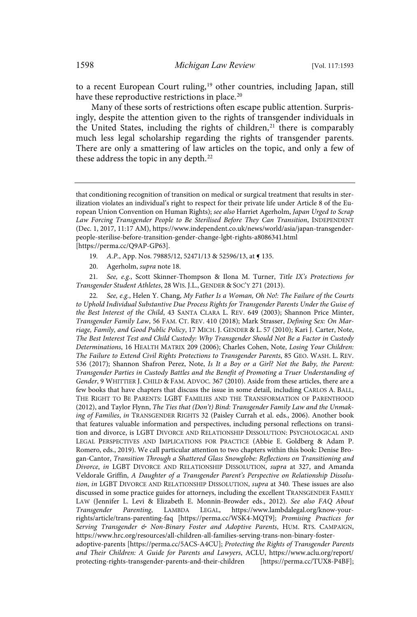to a recent European Court ruling,<sup>19</sup> other countries, including Japan, still have these reproductive restrictions in place.<sup>20</sup>

Many of these sorts of restrictions often escape public attention. Surprisingly, despite the attention given to the rights of transgender individuals in the United States, including the rights of children,<sup>21</sup> there is comparably much less legal scholarship regarding the rights of transgender parents. There are only a smattering of law articles on the topic, and only a few of these address the topic in any depth.<sup>22</sup>

- 19. A.P., App. Nos. 79885/12, 52471/13 & 52596/13, at  $\sim$  135.
- 20. Agerholm, supra note 18.

21. See, e.g., Scott Skinner-Thompson & Ilona M. Turner, Title IX's Protections for Transgender Student Athletes, 28 WIS. J.L., GENDER & SOC'Y 271 (2013).

See, e.g., Helen Y. Chang, My Father Is a Woman, Oh No!: The Failure of the Courts to Uphold Individual Substantive Due Process Rights for Transgender Parents Under the Guise of the Best Interest of the Child, 43 SANTA CLARA L. REV. 649 (2003); Shannon Price Minter, Transgender Family Law, 56 FAM. CT. REV. 410 (2018); Mark Strasser, Defining Sex: On Marriage, Family, and Good Public Policy, 17 MICH. J. GENDER & L. 57 (2010); Kari J. Carter, Note, The Best Interest Test and Child Custody: Why Transgender Should Not Be a Factor in Custody Determinations, 16 HEALTH MATRIX 209 (2006); Charles Cohen, Note, Losing Your Children: The Failure to Extend Civil Rights Protections to Transgender Parents, 85 GEO. WASH. L. REV. 536 (2017); Shannon Shafron Perez, Note, Is It a Boy or a Girl? Not the Baby, the Parent: Transgender Parties in Custody Battles and the Benefit of Promoting a Truer Understanding of Gender, 9 WHITTIER J. CHILD & FAM. ADVOC. 367 (2010). Aside from these articles, there are a few books that have chapters that discuss the issue in some detail, including CARLOS A. BALL, THE RIGHT TO BE PARENTS: LGBT FAMILIES AND THE TRANSFORMATION OF PARENTHOOD (2012), and Taylor Flynn, The Ties that (Don't) Bind: Transgender Family Law and the Unmaking of Families, in TRANSGENDER RIGHTS 32 (Paisley Currah et al. eds., 2006). Another book that features valuable information and perspectives, including personal reflections on transition and divorce, is LGBT DIVORCE AND RELATIONSHIP DISSOLUTION: PSYCHOLOGICAL AND LEGAL PERSPECTIVES AND IMPLICATIONS FOR PRACTICE (Abbie E. Goldberg & Adam P. Romero, eds., 2019). We call particular attention to two chapters within this book: Denise Brogan-Cantor, Transition Through a Shattered Glass Snowglobe: Reflections on Transitioning and Divorce, in LGBT DIVORCE AND RELATIONSHIP DISSOLUTION, supra at 327, and Amanda Veldorale Griffin, A Daughter of a Transgender Parent's Perspective on Relationship Dissolution, in LGBT DIVORCE AND RELATIONSHIP DISSOLUTION, supra at 340. These issues are also discussed in some practice guides for attorneys, including the excellent TRANSGENDER FAMILY LAW (Jennifer L. Levi & Elizabeth E. Monnin-Browder eds., 2012). See also FAQ About Transgender Parenting, LAMBDA LEGAL, https://www.lambdalegal.org/know-yourrights/article/trans-parenting-faq [https://perma.cc/WSK4-MQT9]; Promising Practices for Serving Transgender & Non-Binary Foster and Adoptive Parents, HUM. RTS. CAMPAIGN, https://www.hrc.org/resources/all-children-all-families-serving-trans-non-binary-fosteradoptive-parents [https://perma.cc/5ACS-A4CU]; Protecting the Rights of Transgender Parents and Their Children: A Guide for Parents and Lawyers, ACLU, https://www.aclu.org/report/

protecting-rights-transgender-parents-and-their-children [https://perma.cc/TUX8-P4BF];

that conditioning recognition of transition on medical or surgical treatment that results in sterilization violates an individual's right to respect for their private life under Article 8 of the European Union Convention on Human Rights); see also Harriet Agerholm, Japan Urged to Scrap Law Forcing Transgender People to Be Sterilised Before They Can Transition, INDEPENDENT (Dec. 1, 2017, 11:17 AM), https://www.independent.co.uk/news/world/asia/japan-transgenderpeople-sterilise-before-transition-gender-change-lgbt-rights-a8086341.html [https://perma.cc/Q9AP-GP63].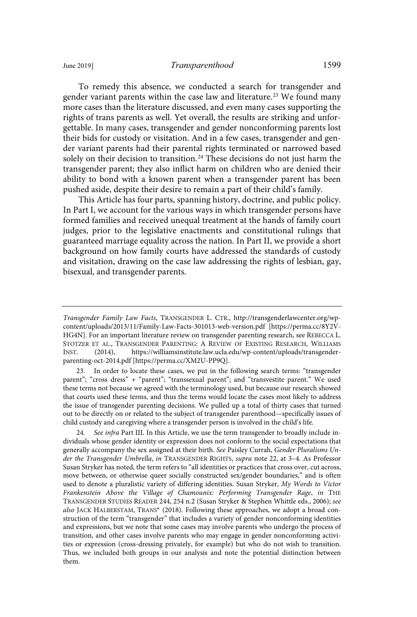To remedy this absence, we conducted a search for transgender and gender variant parents within the case law and literature.<sup>23</sup> We found many more cases than the literature discussed, and even many cases supporting the rights of trans parents as well. Yet overall, the results are striking and unforgettable. In many cases, transgender and gender nonconforming parents lost their bids for custody or visitation. And in a few cases, transgender and gender variant parents had their parental rights terminated or narrowed based solely on their decision to transition.<sup>24</sup> These decisions do not just harm the transgender parent; they also inflict harm on children who are denied their ability to bond with a known parent when a transgender parent has been pushed aside, despite their desire to remain a part of their child's family.

This Article has four parts, spanning history, doctrine, and public policy. In Part I, we account for the various ways in which transgender persons have formed families and received unequal treatment at the hands of family court judges, prior to the legislative enactments and constitutional rulings that guaranteed marriage equality across the nation. In Part II, we provide a short background on how family courts have addressed the standards of custody and visitation, drawing on the case law addressing the rights of lesbian, gay, bisexual, and transgender parents.

23. In order to locate these cases, we put in the following search terms: "transgender parent"; "cross dress" + "parent"; "transsexual parent"; and "transvestite parent." We used these terms not because we agreed with the terminology used, but because our research showed that courts used these terms, and thus the terms would locate the cases most likely to address the issue of transgender parenting decisions. We pulled up a total of thirty cases that turned out to be directly on or related to the subject of transgender parenthood—specifically issues of child custody and caregiving where a transgender person is involved in the child's life.

24. See infra Part III. In this Article, we use the term transgender to broadly include individuals whose gender identity or expression does not conform to the social expectations that generally accompany the sex assigned at their birth. See Paisley Currah, Gender Pluralisms Under the Transgender Umbrella, in TRANSGENDER RIGHTS, supra note 22, at 3–4. As Professor Susan Stryker has noted, the term refers to "all identities or practices that cross over, cut across, move between, or otherwise queer socially constructed sex/gender boundaries," and is often used to denote a pluralistic variety of differing identities. Susan Stryker, My Words to Victor Frankenstein Above the Village of Chamounix: Performing Transgender Rage, in THE TRANSGENDER STUDIES READER 244, 254 n.2 (Susan Stryker & Stephen Whittle eds., 2006); see also JACK HALBERSTAM, TRANS\* (2018). Following these approaches, we adopt a broad construction of the term "transgender" that includes a variety of gender nonconforming identities and expressions, but we note that some cases may involve parents who undergo the process of transition, and other cases involve parents who may engage in gender nonconforming activities or expression (cross-dressing privately, for example) but who do not wish to transition. Thus, we included both groups in our analysis and note the potential distinction between them.

Transgender Family Law Facts, TRANSGENDER L. CTR., http://transgenderlawcenter.org/wpcontent/uploads/2013/11/Family-Law-Facts-301013-web-version.pdf [https://perma.cc/8Y2V-HG4N]. For an important literature review on transgender parenting research, see REBECCA L. STOTZER ET AL., TRANSGENDER PARENTING: A REVIEW OF EXISTING RESEARCH, WILLIAMS<br>INST. (2014), https://williamsinstitute.law.ucla.edu/wp-content/uploads/transgender-INST. (2014), https://williamsinstitute.law.ucla.edu/wp-content/uploads/transgenderparenting-oct-2014.pdf [https://perma.cc/XM2U-PP9Q].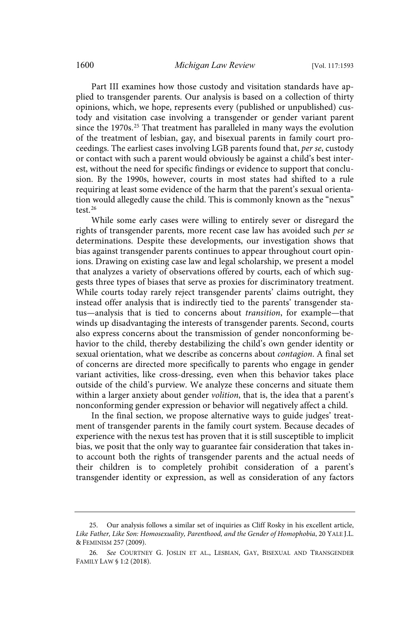Part III examines how those custody and visitation standards have applied to transgender parents. Our analysis is based on a collection of thirty opinions, which, we hope, represents every (published or unpublished) custody and visitation case involving a transgender or gender variant parent since the 1970s.<sup>25</sup> That treatment has paralleled in many ways the evolution of the treatment of lesbian, gay, and bisexual parents in family court proceedings. The earliest cases involving LGB parents found that, per se, custody or contact with such a parent would obviously be against a child's best interest, without the need for specific findings or evidence to support that conclusion. By the 1990s, however, courts in most states had shifted to a rule requiring at least some evidence of the harm that the parent's sexual orientation would allegedly cause the child. This is commonly known as the "nexus" test.<sup>26</sup>

While some early cases were willing to entirely sever or disregard the rights of transgender parents, more recent case law has avoided such per se determinations. Despite these developments, our investigation shows that bias against transgender parents continues to appear throughout court opinions. Drawing on existing case law and legal scholarship, we present a model that analyzes a variety of observations offered by courts, each of which suggests three types of biases that serve as proxies for discriminatory treatment. While courts today rarely reject transgender parents' claims outright, they instead offer analysis that is indirectly tied to the parents' transgender status—analysis that is tied to concerns about transition, for example—that winds up disadvantaging the interests of transgender parents. Second, courts also express concerns about the transmission of gender nonconforming behavior to the child, thereby destabilizing the child's own gender identity or sexual orientation, what we describe as concerns about contagion. A final set of concerns are directed more specifically to parents who engage in gender variant activities, like cross-dressing, even when this behavior takes place outside of the child's purview. We analyze these concerns and situate them within a larger anxiety about gender *volition*, that is, the idea that a parent's nonconforming gender expression or behavior will negatively affect a child.

In the final section, we propose alternative ways to guide judges' treatment of transgender parents in the family court system. Because decades of experience with the nexus test has proven that it is still susceptible to implicit bias, we posit that the only way to guarantee fair consideration that takes into account both the rights of transgender parents and the actual needs of their children is to completely prohibit consideration of a parent's transgender identity or expression, as well as consideration of any factors

<sup>25.</sup> Our analysis follows a similar set of inquiries as Cliff Rosky in his excellent article, Like Father, Like Son: Homosexuality, Parenthood, and the Gender of Homophobia, 20 YALE J.L. & FEMINISM 257 (2009).

<sup>26</sup> . See COURTNEY G. JOSLIN ET AL., LESBIAN, GAY, BISEXUAL AND TRANSGENDER FAMILY LAW § 1:2 (2018).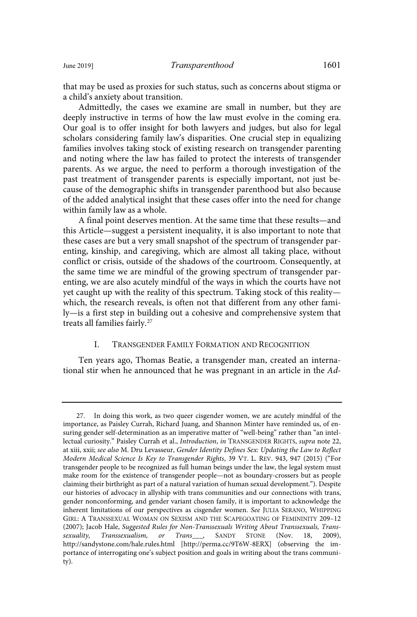Admittedly, the cases we examine are small in number, but they are deeply instructive in terms of how the law must evolve in the coming era. Our goal is to offer insight for both lawyers and judges, but also for legal scholars considering family law's disparities. One crucial step in equalizing families involves taking stock of existing research on transgender parenting and noting where the law has failed to protect the interests of transgender parents. As we argue, the need to perform a thorough investigation of the past treatment of transgender parents is especially important, not just because of the demographic shifts in transgender parenthood but also because of the added analytical insight that these cases offer into the need for change within family law as a whole.

A final point deserves mention. At the same time that these results—and this Article—suggest a persistent inequality, it is also important to note that these cases are but a very small snapshot of the spectrum of transgender parenting, kinship, and caregiving, which are almost all taking place, without conflict or crisis, outside of the shadows of the courtroom. Consequently, at the same time we are mindful of the growing spectrum of transgender parenting, we are also acutely mindful of the ways in which the courts have not yet caught up with the reality of this spectrum. Taking stock of this reality which, the research reveals, is often not that different from any other family—is a first step in building out a cohesive and comprehensive system that treats all families fairly.<sup>27</sup>

### I. TRANSGENDER FAMILY FORMATION AND RECOGNITION

Ten years ago, Thomas Beatie, a transgender man, created an international stir when he announced that he was pregnant in an article in the Ad-

<sup>27.</sup> In doing this work, as two queer cisgender women, we are acutely mindful of the importance, as Paisley Currah, Richard Juang, and Shannon Minter have reminded us, of ensuring gender self-determination as an imperative matter of "well-being" rather than "an intellectual curiosity." Paisley Currah et al., Introduction, in TRANSGENDER RIGHTS, supra note 22, at xiii, xxii; see also M. Dru Levasseur, Gender Identity Defines Sex: Updating the Law to Reflect Modern Medical Science Is Key to Transgender Rights, 39 VT. L. REV. 943, 947 (2015) ("For transgender people to be recognized as full human beings under the law, the legal system must make room for the existence of transgender people—not as boundary-crossers but as people claiming their birthright as part of a natural variation of human sexual development."). Despite our histories of advocacy in allyship with trans communities and our connections with trans, gender nonconforming, and gender variant chosen family, it is important to acknowledge the inherent limitations of our perspectives as cisgender women. See JULIA SERANO, WHIPPING GIRL: A TRANSSEXUAL WOMAN ON SEXISM AND THE SCAPEGOATING OF FEMININITY 209–12 (2007); Jacob Hale, Suggested Rules for Non-Transsexuals Writing About Transsexuals, Transsexuality, Transsexualism, or Trans\_\_\_, SANDY STONE (Nov. 18, 2009), http://sandystone.com/hale.rules.html [http://perma.cc/9T6W-8ERX] (observing the importance of interrogating one's subject position and goals in writing about the trans community).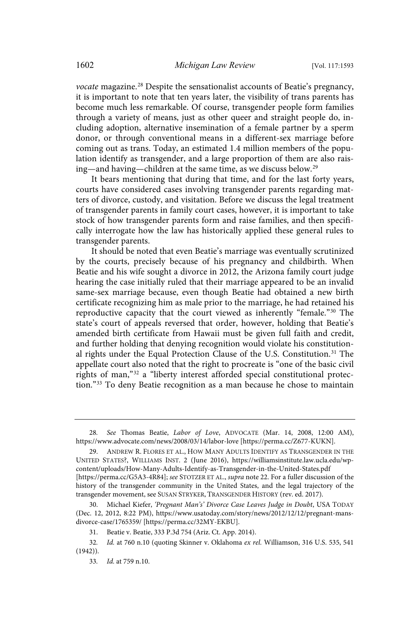vocate magazine.<sup>28</sup> Despite the sensationalist accounts of Beatie's pregnancy, it is important to note that ten years later, the visibility of trans parents has become much less remarkable. Of course, transgender people form families through a variety of means, just as other queer and straight people do, including adoption, alternative insemination of a female partner by a sperm donor, or through conventional means in a different-sex marriage before coming out as trans. Today, an estimated 1.4 million members of the population identify as transgender, and a large proportion of them are also raising—and having—children at the same time, as we discuss below.<sup>29</sup>

It bears mentioning that during that time, and for the last forty years, courts have considered cases involving transgender parents regarding matters of divorce, custody, and visitation. Before we discuss the legal treatment of transgender parents in family court cases, however, it is important to take stock of how transgender parents form and raise families, and then specifically interrogate how the law has historically applied these general rules to transgender parents.

It should be noted that even Beatie's marriage was eventually scrutinized by the courts, precisely because of his pregnancy and childbirth. When Beatie and his wife sought a divorce in 2012, the Arizona family court judge hearing the case initially ruled that their marriage appeared to be an invalid same-sex marriage because, even though Beatie had obtained a new birth certificate recognizing him as male prior to the marriage, he had retained his reproductive capacity that the court viewed as inherently "female."<sup>30</sup> The state's court of appeals reversed that order, however, holding that Beatie's amended birth certificate from Hawaii must be given full faith and credit, and further holding that denying recognition would violate his constitutional rights under the Equal Protection Clause of the U.S. Constitution.<sup>31</sup> The appellate court also noted that the right to procreate is "one of the basic civil rights of man,"<sup>32</sup> a "liberty interest afforded special constitutional protection."<sup>33</sup> To deny Beatie recognition as a man because he chose to maintain

<sup>28.</sup> See Thomas Beatie, Labor of Love, ADVOCATE (Mar. 14, 2008, 12:00 AM), https://www.advocate.com/news/2008/03/14/labor-love [https://perma.cc/Z677-KUKN].

ANDREW R. FLORES ET AL., HOW MANY ADULTS IDENTIFY AS TRANSGENDER IN THE UNITED STATES?, WILLIAMS INST. 2 (June 2016), https://williamsinstitute.law.ucla.edu/wpcontent/uploads/How-Many-Adults-Identify-as-Transgender-in-the-United-States.pdf [https://perma.cc/G5A3-4R84]; see STOTZER ET AL., supra note 22. For a fuller discussion of the history of the transgender community in the United States, and the legal trajectory of the transgender movement, see SUSAN STRYKER, TRANSGENDER HISTORY (rev. ed. 2017).

<sup>30.</sup> Michael Kiefer, 'Pregnant Man's' Divorce Case Leaves Judge in Doubt, USA TODAY (Dec. 12, 2012, 8:22 PM), https://www.usatoday.com/story/news/2012/12/12/pregnant-mansdivorce-case/1765359/ [https://perma.cc/32MY-EKBU].

<sup>31.</sup> Beatie v. Beatie, 333 P.3d 754 (Ariz. Ct. App. 2014).

<sup>32.</sup> Id. at 760 n.10 (quoting Skinner v. Oklahoma ex rel. Williamson, 316 U.S. 535, 541 (1942)).

<sup>33.</sup> Id. at 759 n.10.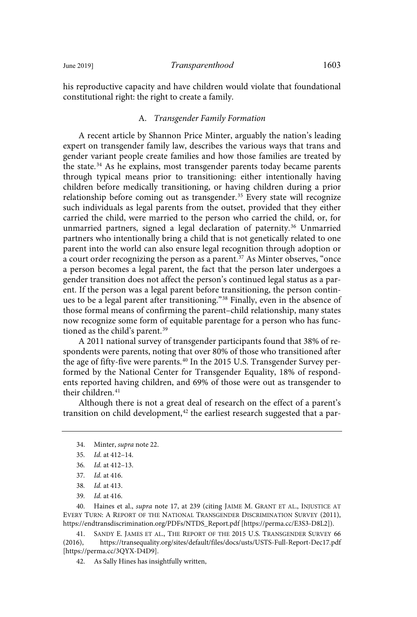his reproductive capacity and have children would violate that foundational constitutional right: the right to create a family.

#### A. Transgender Family Formation

A recent article by Shannon Price Minter, arguably the nation's leading expert on transgender family law, describes the various ways that trans and gender variant people create families and how those families are treated by the state.<sup>34</sup> As he explains, most transgender parents today became parents through typical means prior to transitioning: either intentionally having children before medically transitioning, or having children during a prior relationship before coming out as transgender.<sup>35</sup> Every state will recognize such individuals as legal parents from the outset, provided that they either carried the child, were married to the person who carried the child, or, for unmarried partners, signed a legal declaration of paternity.<sup>36</sup> Unmarried partners who intentionally bring a child that is not genetically related to one parent into the world can also ensure legal recognition through adoption or a court order recognizing the person as a parent.<sup>37</sup> As Minter observes, "once a person becomes a legal parent, the fact that the person later undergoes a gender transition does not affect the person's continued legal status as a parent. If the person was a legal parent before transitioning, the person continues to be a legal parent after transitioning."<sup>38</sup> Finally, even in the absence of those formal means of confirming the parent–child relationship, many states now recognize some form of equitable parentage for a person who has functioned as the child's parent.<sup>39</sup>

A 2011 national survey of transgender participants found that 38% of respondents were parents, noting that over 80% of those who transitioned after the age of fifty-five were parents.<sup>40</sup> In the 2015 U.S. Transgender Survey performed by the National Center for Transgender Equality, 18% of respondents reported having children, and 69% of those were out as transgender to their children.<sup>41</sup>

Although there is not a great deal of research on the effect of a parent's transition on child development, $42$  the earliest research suggested that a par-

34. Minter, supra note 22.

39. *Id.* at 416.

40. Haines et al., supra note 17, at 239 (citing JAIME M. GRANT ET AL., INJUSTICE AT EVERY TURN: A REPORT OF THE NATIONAL TRANSGENDER DISCRIMINATION SURVEY (2011), https://endtransdiscrimination.org/PDFs/NTDS\_Report.pdf [https://perma.cc/E3S3-D8L2]).

41. SANDY E. JAMES ET AL., THE REPORT OF THE 2015 U.S. TRANSGENDER SURVEY 66 (2016), https://transequality.org/sites/default/files/docs/usts/USTS-Full-Report-Dec17.pdf [https://perma.cc/3QYX-D4D9].

42. As Sally Hines has insightfully written,

<sup>35.</sup> *Id.* at 412-14.

<sup>36.</sup> *Id.* at 412-13.

<sup>37.</sup> *Id.* at 416.

<sup>38.</sup> *Id.* at 413.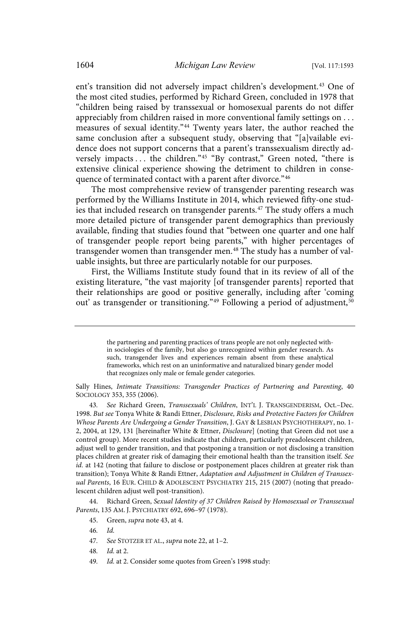ent's transition did not adversely impact children's development.<sup>43</sup> One of the most cited studies, performed by Richard Green, concluded in 1978 that "children being raised by transsexual or homosexual parents do not differ appreciably from children raised in more conventional family settings on . . . measures of sexual identity."<sup>44</sup> Twenty years later, the author reached the same conclusion after a subsequent study, observing that "[a]vailable evidence does not support concerns that a parent's transsexualism directly adversely impacts . . . the children."<sup>45</sup> "By contrast," Green noted, "there is extensive clinical experience showing the detriment to children in consequence of terminated contact with a parent after divorce."46

The most comprehensive review of transgender parenting research was performed by the Williams Institute in 2014, which reviewed fifty-one studies that included research on transgender parents.<sup>47</sup> The study offers a much more detailed picture of transgender parent demographics than previously available, finding that studies found that "between one quarter and one half of transgender people report being parents," with higher percentages of transgender women than transgender men.<sup>48</sup> The study has a number of valuable insights, but three are particularly notable for our purposes.

First, the Williams Institute study found that in its review of all of the existing literature, "the vast majority [of transgender parents] reported that their relationships are good or positive generally, including after 'coming out' as transgender or transitioning."<sup>49</sup> Following a period of adjustment,<sup>50</sup>

Sally Hines, Intimate Transitions: Transgender Practices of Partnering and Parenting, 40 SOCIOLOGY 353, 355 (2006).

43. See Richard Green, Transsexuals' Children, INT'L J. TRANSGENDERISM, Oct.-Dec. 1998. But see Tonya White & Randi Ettner, Disclosure, Risks and Protective Factors for Children Whose Parents Are Undergoing a Gender Transition, J. GAY & LESBIAN PSYCHOTHERAPY, no. 1- 2, 2004, at 129, 131 [hereinafter White & Ettner, Disclosure] (noting that Green did not use a control group). More recent studies indicate that children, particularly preadolescent children, adjust well to gender transition, and that postponing a transition or not disclosing a transition places children at greater risk of damaging their emotional health than the transition itself. See id. at 142 (noting that failure to disclose or postponement places children at greater risk than transition); Tonya White & Randi Ettner, Adaptation and Adjustment in Children of Transsexual Parents, 16 EUR. CHILD & ADOLESCENT PSYCHIATRY 215, 215 (2007) (noting that preadolescent children adjust well post-transition).

44. Richard Green, Sexual Identity of 37 Children Raised by Homosexual or Transsexual Parents, 135 AM. J. PSYCHIATRY 692, 696–97 (1978).

- 47. See STOTZER ET AL., supra note 22, at 1-2.
- 48. *Id.* at 2.
- 49. Id. at 2. Consider some quotes from Green's 1998 study:

the partnering and parenting practices of trans people are not only neglected within sociologies of the family, but also go unrecognized within gender research. As such, transgender lives and experiences remain absent from these analytical frameworks, which rest on an uninformative and naturalized binary gender model that recognizes only male or female gender categories.

<sup>45.</sup> Green, supra note 43, at 4.

<sup>46.</sup> Id.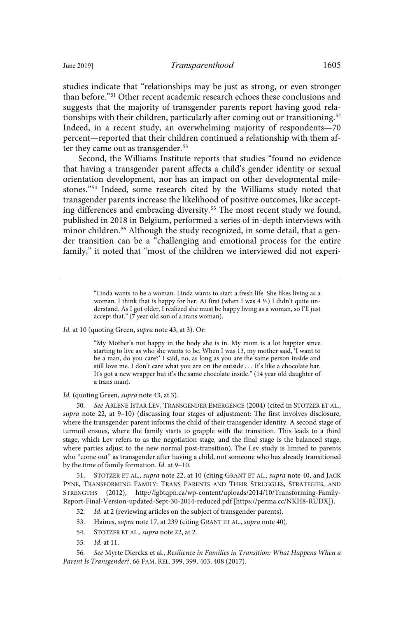studies indicate that "relationships may be just as strong, or even stronger than before."<sup>51</sup> Other recent academic research echoes these conclusions and suggests that the majority of transgender parents report having good relationships with their children, particularly after coming out or transitioning.<sup>52</sup> Indeed, in a recent study, an overwhelming majority of respondents—70 percent—reported that their children continued a relationship with them after they came out as transgender.<sup>53</sup>

Second, the Williams Institute reports that studies "found no evidence that having a transgender parent affects a child's gender identity or sexual orientation development, nor has an impact on other developmental milestones."<sup>54</sup> Indeed, some research cited by the Williams study noted that transgender parents increase the likelihood of positive outcomes, like accepting differences and embracing diversity.<sup>55</sup> The most recent study we found, published in 2018 in Belgium, performed a series of in-depth interviews with minor children.<sup>56</sup> Although the study recognized, in some detail, that a gender transition can be a "challenging and emotional process for the entire family," it noted that "most of the children we interviewed did not experi-

> "Linda wants to be a woman. Linda wants to start a fresh life. She likes living as a woman. I think that is happy for her. At first (when I was 4 ½) I didn't quite understand. As I got older, I realized she must be happy living as a woman, so I'll just accept that." (7 year old son of a trans woman).

Id. at 10 (quoting Green, supra note 43, at 3). Or:

"My Mother's not happy in the body she is in. My mom is a lot happier since starting to live as who she wants to be. When I was 13, my mother said, 'I want to be a man, do you care?' I said, no, as long as you are the same person inside and still love me. I don't care what you are on the outside . . . It's like a chocolate bar. It's got a new wrapper but it's the same chocolate inside." (14 year old daughter of a trans man).

Id. (quoting Green, supra note 43, at 3).

See ARLENE ISTAR LEV, TRANSGENDER EMERGENCE (2004) (cited in STOTZER ET AL., supra note 22, at 9–10) (discussing four stages of adjustment: The first involves disclosure, where the transgender parent informs the child of their transgender identity. A second stage of turmoil ensues, where the family starts to grapple with the transition. This leads to a third stage, which Lev refers to as the negotiation stage, and the final stage is the balanced stage, where parties adjust to the new normal post-transition). The Lev study is limited to parents who "come out" as transgender after having a child, not someone who has already transitioned by the time of family formation. Id. at 9-10.

51. STOTZER ET AL., supra note 22, at 10 (citing GRANT ET AL., supra note 40, and JACK PYNE, TRANSFORMING FAMILY: TRANS PARENTS AND THEIR STRUGGLES, STRATEGIES, AND STRENGTHS (2012), http://lgbtqpn.ca/wp-content/uploads/2014/10/Transforming-Family-Report-Final-Version-updated-Sept-30-2014-reduced.pdf [https://perma.cc/NKH8-RUDX]).

52. Id. at 2 (reviewing articles on the subject of transgender parents).

53. Haines, supra note 17, at 239 (citing GRANT ET AL., supra note 40).

55. *Id.* at 11.

56 . See Myrte Dierckx et al., Resilience in Families in Transition: What Happens When a Parent Is Transgender?, 66 FAM. REL. 399, 399, 403, 408 (2017).

<sup>54.</sup> STOTZER ET AL., *supra* note 22, at 2.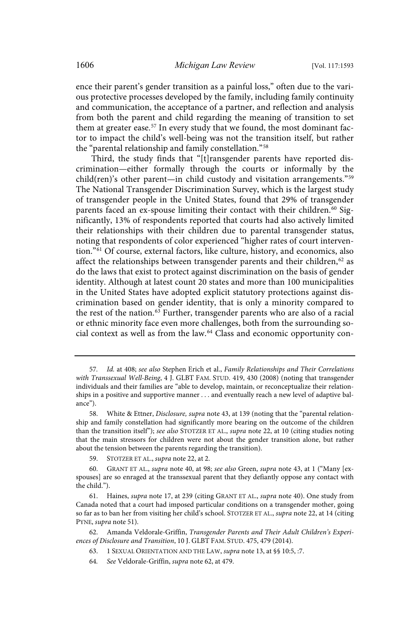ence their parent's gender transition as a painful loss," often due to the various protective processes developed by the family, including family continuity and communication, the acceptance of a partner, and reflection and analysis from both the parent and child regarding the meaning of transition to set them at greater ease.<sup>57</sup> In every study that we found, the most dominant factor to impact the child's well-being was not the transition itself, but rather the "parental relationship and family constellation."<sup>58</sup>

Third, the study finds that "[t]ransgender parents have reported discrimination—either formally through the courts or informally by the child(ren)'s other parent—in child custody and visitation arrangements."<sup>59</sup> The National Transgender Discrimination Survey, which is the largest study of transgender people in the United States, found that 29% of transgender parents faced an ex-spouse limiting their contact with their children.<sup>60</sup> Significantly, 13% of respondents reported that courts had also actively limited their relationships with their children due to parental transgender status, noting that respondents of color experienced "higher rates of court intervention."<sup>61</sup> Of course, external factors, like culture, history, and economics, also affect the relationships between transgender parents and their children,<sup>62</sup> as do the laws that exist to protect against discrimination on the basis of gender identity. Although at latest count 20 states and more than 100 municipalities in the United States have adopted explicit statutory protections against discrimination based on gender identity, that is only a minority compared to the rest of the nation.<sup>63</sup> Further, transgender parents who are also of a racial or ethnic minority face even more challenges, both from the surrounding social context as well as from the law.<sup>64</sup> Class and economic opportunity con-

- 63. 1 SEXUAL ORIENTATION AND THE LAW, supra note 13, at §§ 10:5, :7.
- 64. See Veldorale-Griffin, supra note 62, at 479.

<sup>57.</sup> Id. at 408; see also Stephen Erich et al., Family Relationships and Their Correlations with Transsexual Well-Being, 4 J. GLBT FAM. STUD. 419, 430 (2008) (noting that transgender individuals and their families are "able to develop, maintain, or reconceptualize their relationships in a positive and supportive manner . . . and eventually reach a new level of adaptive balance").

<sup>58.</sup> White & Ettner, Disclosure, supra note 43, at 139 (noting that the "parental relationship and family constellation had significantly more bearing on the outcome of the children than the transition itself"); see also STOTZER ET AL., supra note 22, at 10 (citing studies noting that the main stressors for children were not about the gender transition alone, but rather about the tension between the parents regarding the transition).

<sup>59.</sup> STOTZER ET AL., supra note 22, at 2.

<sup>60.</sup> GRANT ET AL., supra note 40, at 98; see also Green, supra note 43, at 1 ("Many [exspouses] are so enraged at the transsexual parent that they defiantly oppose any contact with the child.").

<sup>61.</sup> Haines, supra note 17, at 239 (citing GRANT ET AL., supra note 40). One study from Canada noted that a court had imposed particular conditions on a transgender mother, going so far as to ban her from visiting her child's school. STOTZER ET AL., supra note 22, at 14 (citing PYNE, supra note 51).

<sup>62.</sup> Amanda Veldorale-Griffin, Transgender Parents and Their Adult Children's Experiences of Disclosure and Transition, 10 J. GLBT FAM. STUD. 475, 479 (2014).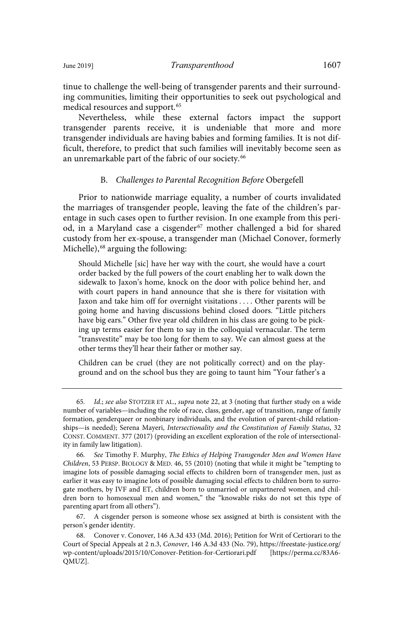tinue to challenge the well-being of transgender parents and their surrounding communities, limiting their opportunities to seek out psychological and medical resources and support.<sup>65</sup>

Nevertheless, while these external factors impact the support transgender parents receive, it is undeniable that more and more transgender individuals are having babies and forming families. It is not difficult, therefore, to predict that such families will inevitably become seen as an unremarkable part of the fabric of our society.<sup>66</sup>

#### B. Challenges to Parental Recognition Before Obergefell

Prior to nationwide marriage equality, a number of courts invalidated the marriages of transgender people, leaving the fate of the children's parentage in such cases open to further revision. In one example from this period, in a Maryland case a cisgender<sup>67</sup> mother challenged a bid for shared custody from her ex-spouse, a transgender man (Michael Conover, formerly Michelle),<sup>68</sup> arguing the following:

Should Michelle [sic] have her way with the court, she would have a court order backed by the full powers of the court enabling her to walk down the sidewalk to Jaxon's home, knock on the door with police behind her, and with court papers in hand announce that she is there for visitation with Jaxon and take him off for overnight visitations . . . . Other parents will be going home and having discussions behind closed doors. "Little pitchers have big ears." Other five year old children in his class are going to be picking up terms easier for them to say in the colloquial vernacular. The term "transvestite" may be too long for them to say. We can almost guess at the other terms they'll hear their father or mother say.

Children can be cruel (they are not politically correct) and on the playground and on the school bus they are going to taunt him "Your father's a

67. A cisgender person is someone whose sex assigned at birth is consistent with the person's gender identity.

<sup>65.</sup> Id.; see also STOTZER ET AL., supra note 22, at 3 (noting that further study on a wide number of variables—including the role of race, class, gender, age of transition, range of family formation, genderqueer or nonbinary individuals, and the evolution of parent-child relationships—is needed); Serena Mayeri, Intersectionality and the Constitution of Family Status, 32 CONST. COMMENT. 377 (2017) (providing an excellent exploration of the role of intersectionality in family law litigation).

<sup>66.</sup> See Timothy F. Murphy, The Ethics of Helping Transgender Men and Women Have Children, 53 PERSP. BIOLOGY & MED. 46, 55 (2010) (noting that while it might be "tempting to imagine lots of possible damaging social effects to children born of transgender men, just as earlier it was easy to imagine lots of possible damaging social effects to children born to surrogate mothers, by IVF and ET, children born to unmarried or unpartnered women, and children born to homosexual men and women," the "knowable risks do not set this type of parenting apart from all others").

<sup>68.</sup> Conover v. Conover, 146 A.3d 433 (Md. 2016); Petition for Writ of Certiorari to the Court of Special Appeals at 2 n.3, Conover, 146 A.3d 433 (No. 79), https://freestate-justice.org/ wp-content/uploads/2015/10/Conover-Petition-for-Certiorari.pdf [https://perma.cc/83A6- QMUZ].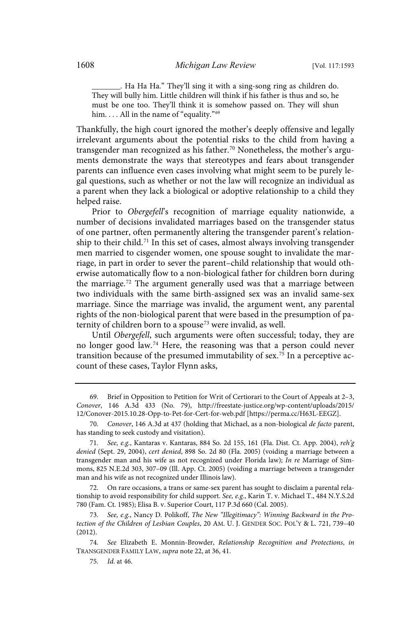\_\_\_\_\_\_\_. Ha Ha Ha." They'll sing it with a sing-song ring as children do. They will bully him. Little children will think if his father is thus and so, he must be one too. They'll think it is somehow passed on. They will shun him. . . . All in the name of "equality."<sup>69</sup>

Thankfully, the high court ignored the mother's deeply offensive and legally irrelevant arguments about the potential risks to the child from having a transgender man recognized as his father.<sup>70</sup> Nonetheless, the mother's arguments demonstrate the ways that stereotypes and fears about transgender parents can influence even cases involving what might seem to be purely legal questions, such as whether or not the law will recognize an individual as a parent when they lack a biological or adoptive relationship to a child they helped raise.

Prior to Obergefell's recognition of marriage equality nationwide, a number of decisions invalidated marriages based on the transgender status of one partner, often permanently altering the transgender parent's relationship to their child.<sup>71</sup> In this set of cases, almost always involving transgender men married to cisgender women, one spouse sought to invalidate the marriage, in part in order to sever the parent–child relationship that would otherwise automatically flow to a non-biological father for children born during the marriage.<sup>72</sup> The argument generally used was that a marriage between two individuals with the same birth-assigned sex was an invalid same-sex marriage. Since the marriage was invalid, the argument went, any parental rights of the non-biological parent that were based in the presumption of paternity of children born to a spouse<sup>73</sup> were invalid, as well.

Until Obergefell, such arguments were often successful; today, they are no longer good law.<sup>74</sup> Here, the reasoning was that a person could never transition because of the presumed immutability of sex.<sup>75</sup> In a perceptive account of these cases, Taylor Flynn asks,

<sup>69.</sup> Brief in Opposition to Petition for Writ of Certiorari to the Court of Appeals at 2–3, Conover, 146 A.3d 433 (No. 79), http://freestate-justice.org/wp-content/uploads/2015/ 12/Conover-2015.10.28-Opp-to-Pet-for-Cert-for-web.pdf [https://perma.cc/H63L-EEGZ].

<sup>70.</sup> Conover, 146 A.3d at 437 (holding that Michael, as a non-biological de facto parent, has standing to seek custody and visitation).

<sup>71.</sup> See, e.g., Kantaras v. Kantaras, 884 So. 2d 155, 161 (Fla. Dist. Ct. App. 2004), reh'g denied (Sept. 29, 2004), cert denied, 898 So. 2d 80 (Fla. 2005) (voiding a marriage between a transgender man and his wife as not recognized under Florida law); In re Marriage of Simmons, 825 N.E.2d 303, 307–09 (Ill. App. Ct. 2005) (voiding a marriage between a transgender man and his wife as not recognized under Illinois law).

<sup>72.</sup> On rare occasions, a trans or same-sex parent has sought to disclaim a parental relationship to avoid responsibility for child support. See, e.g., Karin T. v. Michael T., 484 N.Y.S.2d 780 (Fam. Ct. 1985); Elisa B. v. Superior Court, 117 P.3d 660 (Cal. 2005).

<sup>73.</sup> See, e.g., Nancy D. Polikoff, The New "Illegitimacy": Winning Backward in the Protection of the Children of Lesbian Couples, 20 AM. U. J. GENDER SOC. POL'Y & L. 721, 739–40 (2012).

<sup>74</sup> . See Elizabeth E. Monnin-Browder, Relationship Recognition and Protections, in TRANSGENDER FAMILY LAW, supra note 22, at 36, 41.

<sup>75.</sup> *Id.* at 46.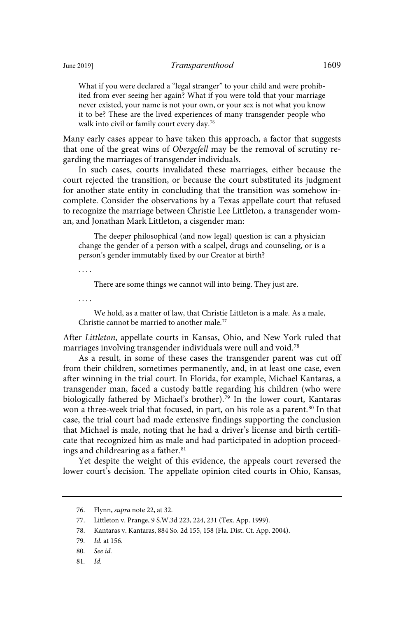What if you were declared a "legal stranger" to your child and were prohibited from ever seeing her again? What if you were told that your marriage never existed, your name is not your own, or your sex is not what you know it to be? These are the lived experiences of many transgender people who walk into civil or family court every day.<sup>76</sup>

Many early cases appear to have taken this approach, a factor that suggests that one of the great wins of Obergefell may be the removal of scrutiny regarding the marriages of transgender individuals.

In such cases, courts invalidated these marriages, either because the court rejected the transition, or because the court substituted its judgment for another state entity in concluding that the transition was somehow incomplete. Consider the observations by a Texas appellate court that refused to recognize the marriage between Christie Lee Littleton, a transgender woman, and Jonathan Mark Littleton, a cisgender man:

The deeper philosophical (and now legal) question is: can a physician change the gender of a person with a scalpel, drugs and counseling, or is a person's gender immutably fixed by our Creator at birth?

. . . .

There are some things we cannot will into being. They just are.

. . . .

We hold, as a matter of law, that Christie Littleton is a male. As a male, Christie cannot be married to another male.<sup>77</sup>

After Littleton, appellate courts in Kansas, Ohio, and New York ruled that marriages involving transgender individuals were null and void.<sup>78</sup>

As a result, in some of these cases the transgender parent was cut off from their children, sometimes permanently, and, in at least one case, even after winning in the trial court. In Florida, for example, Michael Kantaras, a transgender man, faced a custody battle regarding his children (who were biologically fathered by Michael's brother).<sup>79</sup> In the lower court, Kantaras won a three-week trial that focused, in part, on his role as a parent.<sup>80</sup> In that case, the trial court had made extensive findings supporting the conclusion that Michael is male, noting that he had a driver's license and birth certificate that recognized him as male and had participated in adoption proceedings and childrearing as a father.<sup>81</sup>

Yet despite the weight of this evidence, the appeals court reversed the lower court's decision. The appellate opinion cited courts in Ohio, Kansas,

81. Id.

<sup>76.</sup> Flynn, supra note 22, at 32.

<sup>77.</sup> Littleton v. Prange, 9 S.W.3d 223, 224, 231 (Tex. App. 1999).

<sup>78.</sup> Kantaras v. Kantaras, 884 So. 2d 155, 158 (Fla. Dist. Ct. App. 2004).

<sup>79.</sup> *Id.* at 156.

<sup>80.</sup> See id.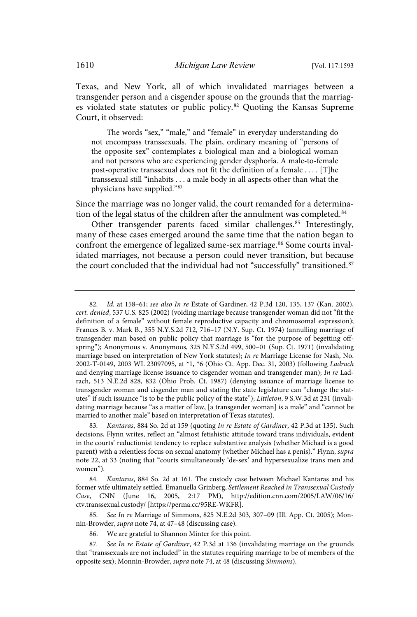Texas, and New York, all of which invalidated marriages between a transgender person and a cisgender spouse on the grounds that the marriages violated state statutes or public policy.<sup>82</sup> Quoting the Kansas Supreme Court, it observed:

The words "sex," "male," and "female" in everyday understanding do not encompass transsexuals. The plain, ordinary meaning of "persons of the opposite sex" contemplates a biological man and a biological woman and not persons who are experiencing gender dysphoria. A male-to-female post-operative transsexual does not fit the definition of a female . . . . [T]he transsexual still "inhabits . . . a male body in all aspects other than what the physicians have supplied."<sup>83</sup>

Since the marriage was no longer valid, the court remanded for a determination of the legal status of the children after the annulment was completed.<sup>84</sup>

Other transgender parents faced similar challenges.<sup>85</sup> Interestingly, many of these cases emerged around the same time that the nation began to confront the emergence of legalized same-sex marriage.<sup>86</sup> Some courts invalidated marriages, not because a person could never transition, but because the court concluded that the individual had not "successfully" transitioned.<sup>87</sup>

85. See In re Marriage of Simmons, 825 N.E.2d 303, 307-09 (Ill. App. Ct. 2005); Monnin-Browder, supra note 74, at 47–48 (discussing case).

<sup>82.</sup> Id. at 158-61; see also In re Estate of Gardiner, 42 P.3d 120, 135, 137 (Kan. 2002), cert. denied, 537 U.S. 825 (2002) (voiding marriage because transgender woman did not "fit the definition of a female" without female reproductive capacity and chromosomal expression); Frances B. v. Mark B., 355 N.Y.S.2d 712, 716–17 (N.Y. Sup. Ct. 1974) (annulling marriage of transgender man based on public policy that marriage is "for the purpose of begetting offspring"); Anonymous v. Anonymous, 325 N.Y.S.2d 499, 500–01 (Sup. Ct. 1971) (invalidating marriage based on interpretation of New York statutes); In re Marriage License for Nash, No. 2002-T-0149, 2003 WL 23097095, at \*1, \*6 (Ohio Ct. App. Dec. 31, 2003) (following Ladrach and denying marriage license issuance to cisgender woman and transgender man); In re Ladrach, 513 N.E.2d 828, 832 (Ohio Prob. Ct. 1987) (denying issuance of marriage license to transgender woman and cisgender man and stating the state legislature can "change the statutes" if such issuance "is to be the public policy of the state"); Littleton, 9 S.W.3d at 231 (invalidating marriage because "as a matter of law, [a transgender woman] is a male" and "cannot be married to another male" based on interpretation of Texas statutes).

Kantaras, 884 So. 2d at 159 (quoting In re Estate of Gardiner, 42 P.3d at 135). Such decisions, Flynn writes, reflect an "almost fetishistic attitude toward trans individuals, evident in the courts' reductionist tendency to replace substantive analysis (whether Michael is a good parent) with a relentless focus on sexual anatomy (whether Michael has a penis)." Flynn, supra note 22, at 33 (noting that "courts simultaneously 'de-sex' and hypersexualize trans men and women").

<sup>84</sup> . Kantaras, 884 So. 2d at 161. The custody case between Michael Kantaras and his former wife ultimately settled. Emanuella Grinberg, Settlement Reached in Transsexual Custody Case, CNN (June 16, 2005, 2:17 PM), http://edition.cnn.com/2005/LAW/06/16/ ctv.transsexual.custody/ [https://perma.cc/95RE-WKFR].

<sup>86.</sup> We are grateful to Shannon Minter for this point.

<sup>87.</sup> See In re Estate of Gardiner, 42 P.3d at 136 (invalidating marriage on the grounds that "transsexuals are not included" in the statutes requiring marriage to be of members of the opposite sex); Monnin-Browder, supra note 74, at 48 (discussing Simmons).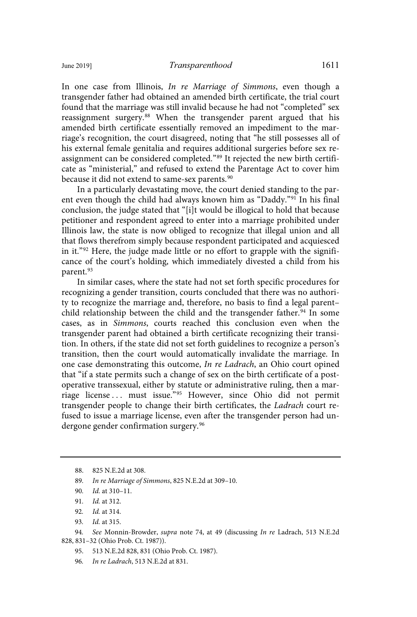In one case from Illinois, In re Marriage of Simmons, even though a transgender father had obtained an amended birth certificate, the trial court found that the marriage was still invalid because he had not "completed" sex reassignment surgery. <sup>88</sup> When the transgender parent argued that his amended birth certificate essentially removed an impediment to the marriage's recognition, the court disagreed, noting that "he still possesses all of his external female genitalia and requires additional surgeries before sex reassignment can be considered completed."<sup>89</sup> It rejected the new birth certificate as "ministerial," and refused to extend the Parentage Act to cover him because it did not extend to same-sex parents.<sup>90</sup>

In a particularly devastating move, the court denied standing to the parent even though the child had always known him as "Daddy."<sup>91</sup> In his final conclusion, the judge stated that "[i]t would be illogical to hold that because petitioner and respondent agreed to enter into a marriage prohibited under Illinois law, the state is now obliged to recognize that illegal union and all that flows therefrom simply because respondent participated and acquiesced in it."<sup>92</sup> Here, the judge made little or no effort to grapple with the significance of the court's holding, which immediately divested a child from his parent.<sup>93</sup>

In similar cases, where the state had not set forth specific procedures for recognizing a gender transition, courts concluded that there was no authority to recognize the marriage and, therefore, no basis to find a legal parent– child relationship between the child and the transgender father.<sup>94</sup> In some cases, as in Simmons, courts reached this conclusion even when the transgender parent had obtained a birth certificate recognizing their transition. In others, if the state did not set forth guidelines to recognize a person's transition, then the court would automatically invalidate the marriage. In one case demonstrating this outcome, In re Ladrach, an Ohio court opined that "if a state permits such a change of sex on the birth certificate of a postoperative transsexual, either by statute or administrative ruling, then a marriage license ... must issue."<sup>95</sup> However, since Ohio did not permit transgender people to change their birth certificates, the Ladrach court refused to issue a marriage license, even after the transgender person had undergone gender confirmation surgery.<sup>96</sup>

- 91. *Id.* at 312.
- 92. *Id.* at 314.
- 93. *Id.* at 315.

94. See Monnin-Browder, supra note 74, at 49 (discussing In re Ladrach, 513 N.E.2d 828, 831–32 (Ohio Prob. Ct. 1987)).

95. 513 N.E.2d 828, 831 (Ohio Prob. Ct. 1987).

96. In re Ladrach, 513 N.E.2d at 831.

<sup>88. 825</sup> N.E.2d at 308.

<sup>89.</sup> In re Marriage of Simmons, 825 N.E.2d at 309-10.

<sup>90.</sup> *Id.* at 310-11.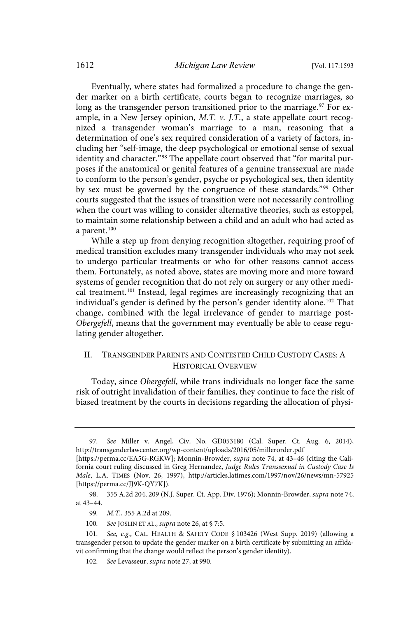Eventually, where states had formalized a procedure to change the gender marker on a birth certificate, courts began to recognize marriages, so long as the transgender person transitioned prior to the marriage. <sup>97</sup> For example, in a New Jersey opinion,  $M$ .T.  $\nu$ . J.T., a state appellate court recognized a transgender woman's marriage to a man, reasoning that a determination of one's sex required consideration of a variety of factors, including her "self-image, the deep psychological or emotional sense of sexual identity and character."<sup>98</sup> The appellate court observed that "for marital purposes if the anatomical or genital features of a genuine transsexual are made to conform to the person's gender, psyche or psychological sex, then identity by sex must be governed by the congruence of these standards."<sup>99</sup> Other courts suggested that the issues of transition were not necessarily controlling when the court was willing to consider alternative theories, such as estoppel, to maintain some relationship between a child and an adult who had acted as a parent.<sup>100</sup>

While a step up from denying recognition altogether, requiring proof of medical transition excludes many transgender individuals who may not seek to undergo particular treatments or who for other reasons cannot access them. Fortunately, as noted above, states are moving more and more toward systems of gender recognition that do not rely on surgery or any other medical treatment.<sup>101</sup> Instead, legal regimes are increasingly recognizing that an individual's gender is defined by the person's gender identity alone.<sup>102</sup> That change, combined with the legal irrelevance of gender to marriage post-Obergefell, means that the government may eventually be able to cease regulating gender altogether.

## II. TRANSGENDER PARENTS AND CONTESTED CHILD CUSTODY CASES: A HISTORICAL OVERVIEW

Today, since Obergefell, while trans individuals no longer face the same risk of outright invalidation of their families, they continue to face the risk of biased treatment by the courts in decisions regarding the allocation of physi-

<sup>97.</sup> See Miller v. Angel, Civ. No. GD053180 (Cal. Super. Ct. Aug. 6, 2014), http://transgenderlawcenter.org/wp-content/uploads/2016/05/millerorder.pdf [https://perma.cc/EA5G-RGKW]; Monnin-Browder, supra note 74, at 43–46 (citing the California court ruling discussed in Greg Hernandez, Judge Rules Transsexual in Custody Case Is Male, L.A. TIMES (Nov. 26, 1997), http://articles.latimes.com/1997/nov/26/news/mn-57925 [https://perma.cc/JJ9K-QY7K]).

<sup>98. 355</sup> A.2d 204, 209 (N.J. Super. Ct. App. Div. 1976); Monnin-Browder, supra note 74, at 43–44.

<sup>99.</sup> M.T., 355 A.2d at 209.

<sup>100.</sup> See JOSLIN ET AL., supra note 26, at § 7:5.

<sup>101.</sup> See, e.g., CAL. HEALTH & SAFETY CODE § 103426 (West Supp. 2019) (allowing a transgender person to update the gender marker on a birth certificate by submitting an affidavit confirming that the change would reflect the person's gender identity).

<sup>102.</sup> See Levasseur, supra note 27, at 990.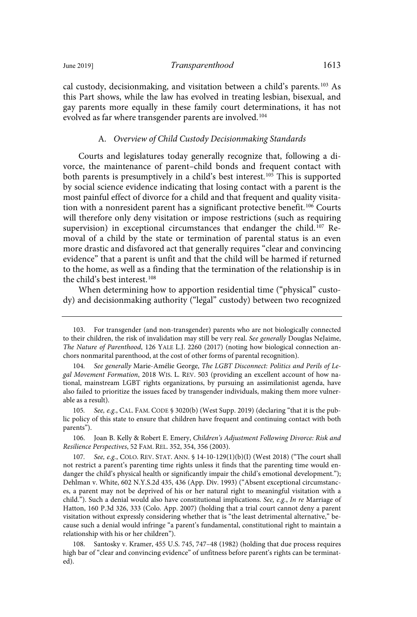cal custody, decisionmaking, and visitation between a child's parents.<sup>103</sup> As this Part shows, while the law has evolved in treating lesbian, bisexual, and gay parents more equally in these family court determinations, it has not evolved as far where transgender parents are involved.<sup>104</sup>

### A. Overview of Child Custody Decisionmaking Standards

Courts and legislatures today generally recognize that, following a divorce, the maintenance of parent–child bonds and frequent contact with both parents is presumptively in a child's best interest.<sup>105</sup> This is supported by social science evidence indicating that losing contact with a parent is the most painful effect of divorce for a child and that frequent and quality visitation with a nonresident parent has a significant protective benefit.<sup>106</sup> Courts will therefore only deny visitation or impose restrictions (such as requiring supervision) in exceptional circumstances that endanger the child.<sup>107</sup> Removal of a child by the state or termination of parental status is an even more drastic and disfavored act that generally requires "clear and convincing evidence" that a parent is unfit and that the child will be harmed if returned to the home, as well as a finding that the termination of the relationship is in the child's best interest.<sup>108</sup>

When determining how to apportion residential time ("physical" custody) and decisionmaking authority ("legal" custody) between two recognized

105. See, e.g., CAL. FAM. CODE § 3020(b) (West Supp. 2019) (declaring "that it is the public policy of this state to ensure that children have frequent and continuing contact with both parents").

106. Joan B. Kelly & Robert E. Emery, Children's Adjustment Following Divorce: Risk and Resilience Perspectives, 52 FAM. REL. 352, 354, 356 (2003).

107. See, e.g., COLO. REV. STAT. ANN. § 14-10-129(1)(b)(I) (West 2018) ("The court shall not restrict a parent's parenting time rights unless it finds that the parenting time would endanger the child's physical health or significantly impair the child's emotional development."); Dehlman v. White, 602 N.Y.S.2d 435, 436 (App. Div. 1993) ("Absent exceptional circumstances, a parent may not be deprived of his or her natural right to meaningful visitation with a child."). Such a denial would also have constitutional implications. See, e.g., In re Marriage of Hatton, 160 P.3d 326, 333 (Colo. App. 2007) (holding that a trial court cannot deny a parent visitation without expressly considering whether that is "the least detrimental alternative," because such a denial would infringe "a parent's fundamental, constitutional right to maintain a relationship with his or her children").

108. Santosky v. Kramer, 455 U.S. 745, 747–48 (1982) (holding that due process requires high bar of "clear and convincing evidence" of unfitness before parent's rights can be terminated).

<sup>103.</sup> For transgender (and non-transgender) parents who are not biologically connected to their children, the risk of invalidation may still be very real. See generally Douglas NeJaime, The Nature of Parenthood, 126 YALE L.J. 2260 (2017) (noting how biological connection anchors nonmarital parenthood, at the cost of other forms of parental recognition).

<sup>104.</sup> See generally Marie-Amélie George, The LGBT Disconnect: Politics and Perils of Legal Movement Formation, 2018 WIS. L. REV. 503 (providing an excellent account of how national, mainstream LGBT rights organizations, by pursuing an assimilationist agenda, have also failed to prioritize the issues faced by transgender individuals, making them more vulnerable as a result).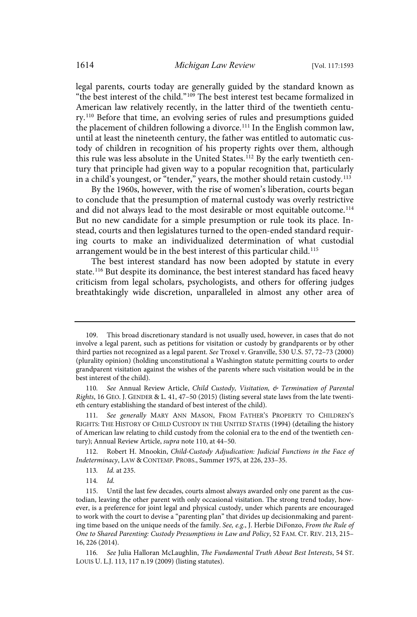legal parents, courts today are generally guided by the standard known as "the best interest of the child."<sup>109</sup> The best interest test became formalized in American law relatively recently, in the latter third of the twentieth century.<sup>110</sup> Before that time, an evolving series of rules and presumptions guided the placement of children following a divorce.<sup>111</sup> In the English common law, until at least the nineteenth century, the father was entitled to automatic custody of children in recognition of his property rights over them, although this rule was less absolute in the United States.<sup>112</sup> By the early twentieth century that principle had given way to a popular recognition that, particularly in a child's youngest, or "tender," years, the mother should retain custody.<sup>113</sup>

By the 1960s, however, with the rise of women's liberation, courts began to conclude that the presumption of maternal custody was overly restrictive and did not always lead to the most desirable or most equitable outcome.<sup>114</sup> But no new candidate for a simple presumption or rule took its place. Instead, courts and then legislatures turned to the open-ended standard requiring courts to make an individualized determination of what custodial arrangement would be in the best interest of this particular child.<sup>115</sup>

The best interest standard has now been adopted by statute in every state.<sup>116</sup> But despite its dominance, the best interest standard has faced heavy criticism from legal scholars, psychologists, and others for offering judges breathtakingly wide discretion, unparalleled in almost any other area of

<sup>109.</sup> This broad discretionary standard is not usually used, however, in cases that do not involve a legal parent, such as petitions for visitation or custody by grandparents or by other third parties not recognized as a legal parent. See Troxel v. Granville, 530 U.S. 57, 72–73 (2000) (plurality opinion) (holding unconstitutional a Washington statute permitting courts to order grandparent visitation against the wishes of the parents where such visitation would be in the best interest of the child).

<sup>110.</sup> See Annual Review Article, Child Custody, Visitation, & Termination of Parental Rights, 16 GEO. J. GENDER & L. 41, 47–50 (2015) (listing several state laws from the late twentieth century establishing the standard of best interest of the child).

<sup>111.</sup> See generally MARY ANN MASON, FROM FATHER'S PROPERTY TO CHILDREN'S RIGHTS: THE HISTORY OF CHILD CUSTODY IN THE UNITED STATES (1994) (detailing the history of American law relating to child custody from the colonial era to the end of the twentieth century); Annual Review Article, supra note 110, at 44–50.

<sup>112.</sup> Robert H. Mnookin, Child-Custody Adjudication: Judicial Functions in the Face of Indeterminacy, LAW & CONTEMP. PROBS., Summer 1975, at 226, 233–35.

<sup>113.</sup> *Id.* at 235.

<sup>114.</sup> Id.

<sup>115.</sup> Until the last few decades, courts almost always awarded only one parent as the custodian, leaving the other parent with only occasional visitation. The strong trend today, however, is a preference for joint legal and physical custody, under which parents are encouraged to work with the court to devise a "parenting plan" that divides up decisionmaking and parenting time based on the unique needs of the family. See, e.g., J. Herbie DiFonzo, From the Rule of One to Shared Parenting: Custody Presumptions in Law and Policy, 52 FAM. CT. REV. 213, 215– 16, 226 (2014).

<sup>116</sup> . See Julia Halloran McLaughlin, The Fundamental Truth About Best Interests, 54 ST. LOUIS U. L.J. 113, 117 n.19 (2009) (listing statutes).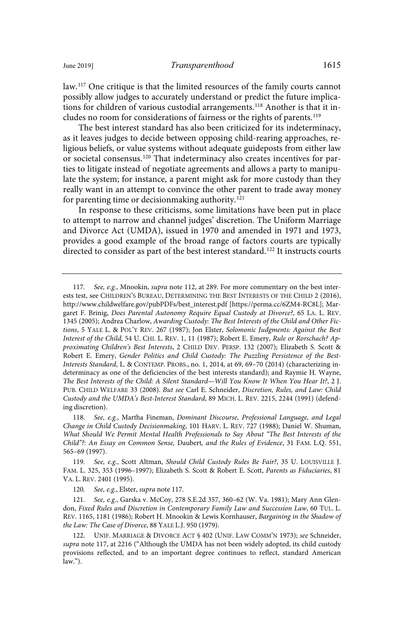law.<sup>117</sup> One critique is that the limited resources of the family courts cannot possibly allow judges to accurately understand or predict the future implications for children of various custodial arrangements.<sup>118</sup> Another is that it includes no room for considerations of fairness or the rights of parents.<sup>119</sup>

The best interest standard has also been criticized for its indeterminacy, as it leaves judges to decide between opposing child-rearing approaches, religious beliefs, or value systems without adequate guideposts from either law or societal consensus.<sup>120</sup> That indeterminacy also creates incentives for parties to litigate instead of negotiate agreements and allows a party to manipulate the system; for instance, a parent might ask for more custody than they really want in an attempt to convince the other parent to trade away money for parenting time or decision making authority.<sup>121</sup>

In response to these criticisms, some limitations have been put in place to attempt to narrow and channel judges' discretion. The Uniform Marriage and Divorce Act (UMDA), issued in 1970 and amended in 1971 and 1973, provides a good example of the broad range of factors courts are typically directed to consider as part of the best interest standard.<sup>122</sup> It instructs courts

<sup>117.</sup> See, e.g., Mnookin, *supra* note 112, at 289. For more commentary on the best interests test, see CHILDREN'S BUREAU, DETERMINING THE BEST INTERESTS OF THE CHILD 2 (2016), http://www.childwelfare.gov/pubPDFs/best\_interest.pdf [https://perma.cc/6ZM4-RC8L]; Margaret F. Brinig, Does Parental Autonomy Require Equal Custody at Divorce?, 65 LA. L. REV. 1345 (2005); Andrea Charlow, Awarding Custody: The Best Interests of the Child and Other Fictions, 5 YALE L. & POL'Y REV. 267 (1987); Jon Elster, Solomonic Judgments: Against the Best Interest of the Child, 54 U. CHI. L. REV. 1, 11 (1987); Robert E. Emery, Rule or Rorschach? Approximating Children's Best Interests, 2 CHILD DEV. PERSP. 132 (2007); Elizabeth S. Scott & Robert E. Emery, Gender Politics and Child Custody: The Puzzling Persistence of the Best-Interests Standard, L. & CONTEMP. PROBS., no. 1, 2014, at 69, 69–70 (2014) (characterizing indeterminacy as one of the deficiencies of the best interests standard); and Raymie H. Wayne, The Best Interests of the Child: A Silent Standard—Will You Know It When You Hear It?, 2 J. PUB. CHILD WELFARE 33 (2008). But see Carl E. Schneider, Discretion, Rules, and Law: Child Custody and the UMDA's Best-Interest Standard, 89 MICH. L. REV. 2215, 2244 (1991) (defending discretion).

<sup>118.</sup> See, e.g., Martha Fineman, Dominant Discourse, Professional Language, and Legal Change in Child Custody Decisionmaking, 101 HARV. L. REV. 727 (1988); Daniel W. Shuman, What Should We Permit Mental Health Professionals to Say About "The Best Interests of the Child"?: An Essay on Common Sense, Daubert, and the Rules of Evidence, 31 FAM. L.Q. 551, 565–69 (1997).

<sup>119.</sup> See, e.g., Scott Altman, Should Child Custody Rules Be Fair?, 35 U. LOUISVILLE J. FAM. L. 325, 353 (1996–1997); Elizabeth S. Scott & Robert E. Scott, Parents as Fiduciaries, 81 VA. L. REV. 2401 (1995).

<sup>120.</sup> See, e.g., Elster, supra note 117.

<sup>121.</sup> See, e.g., Garska v. McCoy, 278 S.E.2d 357, 360-62 (W. Va. 1981); Mary Ann Glendon, Fixed Rules and Discretion in Contemporary Family Law and Succession Law, 60 TUL. L. REV. 1165, 1181 (1986); Robert H. Mnookin & Lewis Kornhauser, Bargaining in the Shadow of the Law: The Case of Divorce, 88 YALE L.J. 950 (1979).

<sup>122.</sup> UNIF. MARRIAGE & DIVORCE ACT § 402 (UNIF. LAW COMM'N 1973); see Schneider, supra note 117, at 2216 ("Although the UMDA has not been widely adopted, its child custody provisions reflected, and to an important degree continues to reflect, standard American law.").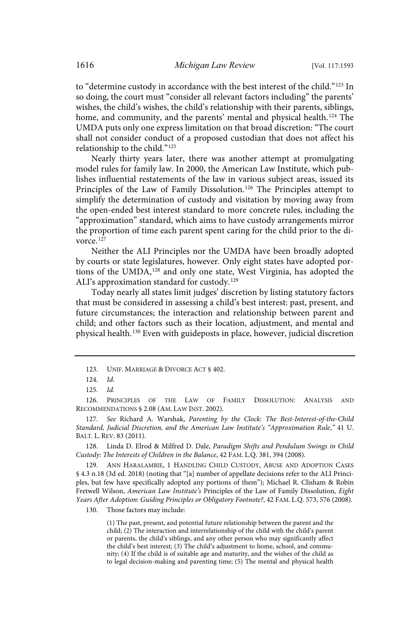to "determine custody in accordance with the best interest of the child."<sup>123</sup> In so doing, the court must "consider all relevant factors including" the parents' wishes, the child's wishes, the child's relationship with their parents, siblings, home, and community, and the parents' mental and physical health.<sup>124</sup> The UMDA puts only one express limitation on that broad discretion: "The court shall not consider conduct of a proposed custodian that does not affect his relationship to the child."<sup>125</sup>

Nearly thirty years later, there was another attempt at promulgating model rules for family law. In 2000, the American Law Institute, which publishes influential restatements of the law in various subject areas, issued its Principles of the Law of Family Dissolution.<sup>126</sup> The Principles attempt to simplify the determination of custody and visitation by moving away from the open-ended best interest standard to more concrete rules, including the "approximation" standard, which aims to have custody arrangements mirror the proportion of time each parent spent caring for the child prior to the divorce.<sup>127</sup>

Neither the ALI Principles nor the UMDA have been broadly adopted by courts or state legislatures, however. Only eight states have adopted portions of the UMDA,<sup>128</sup> and only one state, West Virginia, has adopted the ALI's approximation standard for custody.<sup>129</sup>

Today nearly all states limit judges' discretion by listing statutory factors that must be considered in assessing a child's best interest: past, present, and future circumstances; the interaction and relationship between parent and child; and other factors such as their location, adjustment, and mental and physical health.<sup>130</sup> Even with guideposts in place, however, judicial discretion

128. Linda D. Elrod & Milfred D. Dale, Paradigm Shifts and Pendulum Swings in Child Custody: The Interests of Children in the Balance, 42 FAM. L.Q. 381, 394 (2008).

129. ANN HARALAMBIE, 1 HANDLING CHILD CUSTODY, ABUSE AND ADOPTION CASES § 4.3 n.18 (3d ed. 2018) (noting that "[a] number of appellate decisions refer to the ALI Principles, but few have specifically adopted any portions of them"); Michael R. Clisham & Robin Fretwell Wilson, American Law Institute's Principles of the Law of Family Dissolution, Eight Years After Adoption: Guiding Principles or Obligatory Footnote?, 42 FAM. L.Q. 573, 576 (2008).

130. Those factors may include:

(1) The past, present, and potential future relationship between the parent and the child; (2) The interaction and interrelationship of the child with the child's parent or parents, the child's siblings, and any other person who may significantly affect the child's best interest; (3) The child's adjustment to home, school, and community; (4) If the child is of suitable age and maturity, and the wishes of the child as to legal decision-making and parenting time; (5) The mental and physical health

<sup>123.</sup> UNIF. MARRIAGE & DIVORCE ACT § 402.

<sup>124</sup> . Id.

 $125.$   $Id.$ 

<sup>126.</sup> PRINCIPLES OF THE LAW OF FAMILY DISSOLUTION: ANALYSIS AND RECOMMENDATIONS § 2.08 (AM. LAW INST. 2002).

<sup>127.</sup> See Richard A. Warshak, Parenting by the Clock: The Best-Interest-of-the-Child Standard, Judicial Discretion, and the American Law Institute's "Approximation Rule," 41 U. BALT. L. REV. 83 (2011).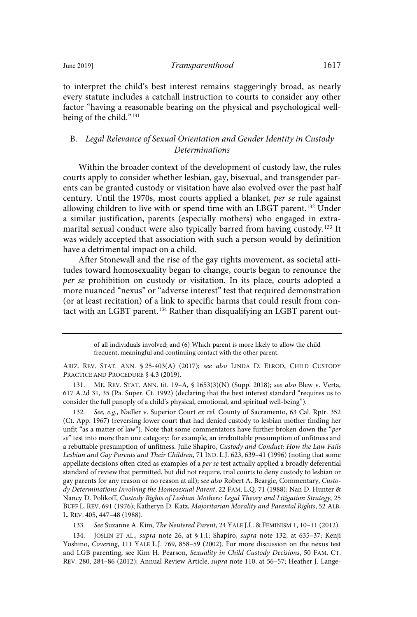to interpret the child's best interest remains staggeringly broad, as nearly every statute includes a catchall instruction to courts to consider any other factor "having a reasonable bearing on the physical and psychological wellbeing of the child."<sup>131</sup>

## B. Legal Relevance of Sexual Orientation and Gender Identity in Custody Determinations

Within the broader context of the development of custody law, the rules courts apply to consider whether lesbian, gay, bisexual, and transgender parents can be granted custody or visitation have also evolved over the past half century. Until the 1970s, most courts applied a blanket, per se rule against allowing children to live with or spend time with an LBGT parent.<sup>132</sup> Under a similar justification, parents (especially mothers) who engaged in extramarital sexual conduct were also typically barred from having custody.<sup>133</sup> It was widely accepted that association with such a person would by definition have a detrimental impact on a child.

After Stonewall and the rise of the gay rights movement, as societal attitudes toward homosexuality began to change, courts began to renounce the per se prohibition on custody or visitation. In its place, courts adopted a more nuanced "nexus" or "adverse interest" test that required demonstration (or at least recitation) of a link to specific harms that could result from contact with an LGBT parent.<sup>134</sup> Rather than disqualifying an LGBT parent out-

131. ME. REV. STAT. ANN. tit. 19–A, § 1653(3)(N) (Supp. 2018); see also Blew v. Verta, 617 A.2d 31, 35 (Pa. Super. Ct. 1992) (declaring that the best interest standard "requires us to consider the full panoply of a child's physical, emotional, and spiritual well-being").

132. See, e.g., Nadler v. Superior Court ex rel. County of Sacramento, 63 Cal. Rptr. 352 (Ct. App. 1967) (reversing lower court that had denied custody to lesbian mother finding her unfit "as a matter of law"). Note that some commentators have further broken down the "per se" test into more than one category: for example, an irrebuttable presumption of unfitness and a rebuttable presumption of unfitness. Julie Shapiro, Custody and Conduct: How the Law Fails Lesbian and Gay Parents and Their Children, 71 IND. L.J. 623, 639–41 (1996) (noting that some appellate decisions often cited as examples of a per se test actually applied a broadly deferential standard of review that permitted, but did not require, trial courts to deny custody to lesbian or gay parents for any reason or no reason at all); see also Robert A. Beargie, Commentary, Custody Determinations Involving the Homosexual Parent, 22 FAM. L.Q. 71 (1988); Nan D. Hunter & Nancy D. Polikoff, Custody Rights of Lesbian Mothers: Legal Theory and Litigation Strategy, 25 BUFF L. REV. 691 (1976); Katheryn D. Katz, Majoritarian Morality and Parental Rights, 52 ALB. L. REV. 405, 447–48 (1988).

133. See Suzanne A. Kim, The Neutered Parent, 24 YALE J.L. & FEMINISM 1, 10-11 (2012).

134. JOSLIN ET AL., supra note 26, at § 1:1; Shapiro, supra note 132, at 635–37; Kenji Yoshino, Covering, 111 YALE L.J. 769, 858–59 (2002). For more discussion on the nexus test and LGB parenting, see Kim H. Pearson, Sexuality in Child Custody Decisions, 50 FAM. CT. REV. 280, 284–86 (2012); Annual Review Article, supra note 110, at 56–57; Heather J. Lange-

of all individuals involved; and (6) Which parent is more likely to allow the child frequent, meaningful and continuing contact with the other parent.

ARIZ. REV. STAT. ANN. § 25-403(A) (2017); see also LINDA D. ELROD, CHILD CUSTODY PRACTICE AND PROCEDURE § 4.3 (2019).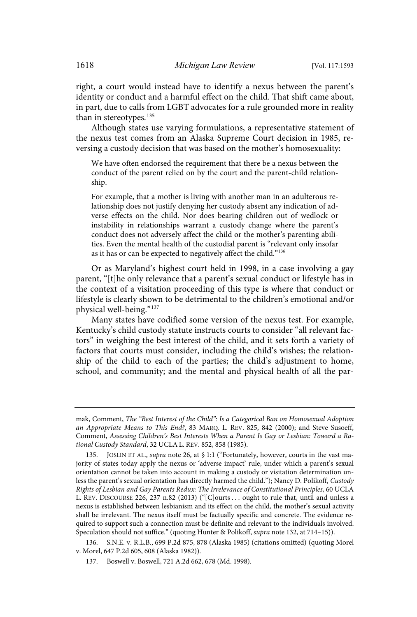right, a court would instead have to identify a nexus between the parent's identity or conduct and a harmful effect on the child. That shift came about, in part, due to calls from LGBT advocates for a rule grounded more in reality than in stereotypes.<sup>135</sup>

Although states use varying formulations, a representative statement of the nexus test comes from an Alaska Supreme Court decision in 1985, reversing a custody decision that was based on the mother's homosexuality:

We have often endorsed the requirement that there be a nexus between the conduct of the parent relied on by the court and the parent-child relationship.

For example, that a mother is living with another man in an adulterous relationship does not justify denying her custody absent any indication of adverse effects on the child. Nor does bearing children out of wedlock or instability in relationships warrant a custody change where the parent's conduct does not adversely affect the child or the mother's parenting abilities. Even the mental health of the custodial parent is "relevant only insofar as it has or can be expected to negatively affect the child."<sup>136</sup>

Or as Maryland's highest court held in 1998, in a case involving a gay parent, "[t]he only relevance that a parent's sexual conduct or lifestyle has in the context of a visitation proceeding of this type is where that conduct or lifestyle is clearly shown to be detrimental to the children's emotional and/or physical well-being."<sup>137</sup>

Many states have codified some version of the nexus test. For example, Kentucky's child custody statute instructs courts to consider "all relevant factors" in weighing the best interest of the child, and it sets forth a variety of factors that courts must consider, including the child's wishes; the relationship of the child to each of the parties; the child's adjustment to home, school, and community; and the mental and physical health of all the par-

136. S.N.E. v. R.L.B., 699 P.2d 875, 878 (Alaska 1985) (citations omitted) (quoting Morel v. Morel, 647 P.2d 605, 608 (Alaska 1982)).

137. Boswell v. Boswell, 721 A.2d 662, 678 (Md. 1998).

mak, Comment, The "Best Interest of the Child": Is a Categorical Ban on Homosexual Adoption an Appropriate Means to This End?, 83 MARQ. L. REV. 825, 842 (2000); and Steve Susoeff, Comment, Assessing Children's Best Interests When a Parent Is Gay or Lesbian: Toward a Rational Custody Standard, 32 UCLA L. REV. 852, 858 (1985).

<sup>135.</sup> JOSLIN ET AL., supra note 26, at § 1:1 ("Fortunately, however, courts in the vast majority of states today apply the nexus or 'adverse impact' rule, under which a parent's sexual orientation cannot be taken into account in making a custody or visitation determination unless the parent's sexual orientation has directly harmed the child."); Nancy D. Polikoff, Custody Rights of Lesbian and Gay Parents Redux: The Irrelevance of Constitutional Principles, 60 UCLA L. REV. DISCOURSE 226, 237 n.82 (2013) ("[C]ourts . . . ought to rule that, until and unless a nexus is established between lesbianism and its effect on the child, the mother's sexual activity shall be irrelevant. The nexus itself must be factually specific and concrete. The evidence required to support such a connection must be definite and relevant to the individuals involved. Speculation should not suffice." (quoting Hunter & Polikoff, supra note 132, at 714–15)).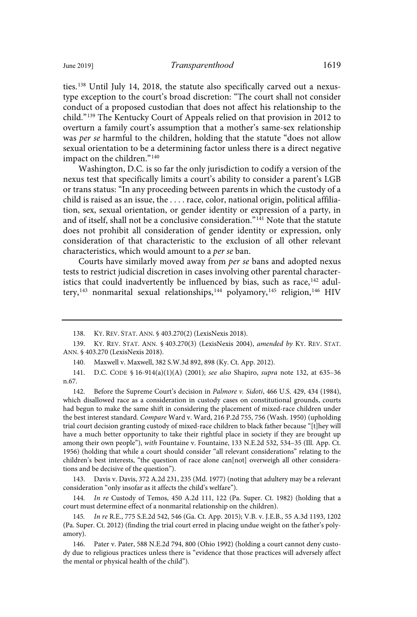ties.<sup>138</sup> Until July 14, 2018, the statute also specifically carved out a nexustype exception to the court's broad discretion: "The court shall not consider conduct of a proposed custodian that does not affect his relationship to the child."<sup>139</sup> The Kentucky Court of Appeals relied on that provision in 2012 to overturn a family court's assumption that a mother's same-sex relationship was per se harmful to the children, holding that the statute "does not allow sexual orientation to be a determining factor unless there is a direct negative impact on the children."<sup>140</sup>

Washington, D.C. is so far the only jurisdiction to codify a version of the nexus test that specifically limits a court's ability to consider a parent's LGB or trans status: "In any proceeding between parents in which the custody of a child is raised as an issue, the . . . . race, color, national origin, political affiliation, sex, sexual orientation, or gender identity or expression of a party, in and of itself, shall not be a conclusive consideration."<sup>141</sup> Note that the statute does not prohibit all consideration of gender identity or expression, only consideration of that characteristic to the exclusion of all other relevant characteristics, which would amount to a per se ban.

Courts have similarly moved away from per se bans and adopted nexus tests to restrict judicial discretion in cases involving other parental characteristics that could inadvertently be influenced by bias, such as race, $142$  adultery,<sup>143</sup> nonmarital sexual relationships,<sup>144</sup> polyamory,<sup>145</sup> religion,<sup>146</sup> HIV

142. Before the Supreme Court's decision in Palmore v. Sidoti, 466 U.S. 429, 434 (1984), which disallowed race as a consideration in custody cases on constitutional grounds, courts had begun to make the same shift in considering the placement of mixed-race children under the best interest standard. Compare Ward v. Ward, 216 P.2d 755, 756 (Wash. 1950) (upholding trial court decision granting custody of mixed-race children to black father because "[t]hey will have a much better opportunity to take their rightful place in society if they are brought up among their own people"), with Fountaine v. Fountaine, 133 N.E.2d 532, 534–35 (Ill. App. Ct. 1956) (holding that while a court should consider "all relevant considerations" relating to the children's best interests, "the question of race alone can[not] overweigh all other considerations and be decisive of the question").

143. Davis v. Davis, 372 A.2d 231, 235 (Md. 1977) (noting that adultery may be a relevant consideration "only insofar as it affects the child's welfare").

144 . In re Custody of Temos, 450 A.2d 111, 122 (Pa. Super. Ct. 1982) (holding that a court must determine effect of a nonmarital relationship on the children).

145 . In re R.E., 775 S.E.2d 542, 546 (Ga. Ct. App. 2015); V.B. v. J.E.B., 55 A.3d 1193, 1202 (Pa. Super. Ct. 2012) (finding the trial court erred in placing undue weight on the father's polyamory).

146. Pater v. Pater, 588 N.E.2d 794, 800 (Ohio 1992) (holding a court cannot deny custody due to religious practices unless there is "evidence that those practices will adversely affect the mental or physical health of the child").

<sup>138.</sup> KY. REV. STAT. ANN. § 403.270(2) (LexisNexis 2018).

<sup>139.</sup> KY. REV. STAT. ANN. § 403.270(3) (LexisNexis 2004), amended by KY. REV. STAT. ANN. § 403.270 (LexisNexis 2018).

<sup>140.</sup> Maxwell v. Maxwell, 382 S.W.3d 892, 898 (Ky. Ct. App. 2012).

<sup>141.</sup> D.C. CODE § 16-914(a)(1)(A) (2001); see also Shapiro, supra note 132, at 635–36 n.67.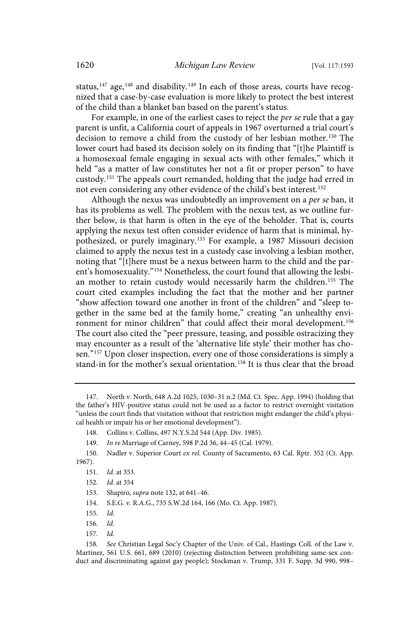status,<sup>147</sup> age,<sup>148</sup> and disability.<sup>149</sup> In each of those areas, courts have recognized that a case-by-case evaluation is more likely to protect the best interest of the child than a blanket ban based on the parent's status.

For example, in one of the earliest cases to reject the per se rule that a gay parent is unfit, a California court of appeals in 1967 overturned a trial court's decision to remove a child from the custody of her lesbian mother.<sup>150</sup> The lower court had based its decision solely on its finding that "[t]he Plaintiff is a homosexual female engaging in sexual acts with other females," which it held "as a matter of law constitutes her not a fit or proper person" to have custody.<sup>151</sup> The appeals court remanded, holding that the judge had erred in not even considering any other evidence of the child's best interest.<sup>152</sup>

Although the nexus was undoubtedly an improvement on a per se ban, it has its problems as well. The problem with the nexus test, as we outline further below, is that harm is often in the eye of the beholder. That is, courts applying the nexus test often consider evidence of harm that is minimal, hypothesized, or purely imaginary.<sup>153</sup> For example, a 1987 Missouri decision claimed to apply the nexus test in a custody case involving a lesbian mother, noting that "[t]here must be a nexus between harm to the child and the parent's homosexuality."<sup>154</sup> Nonetheless, the court found that allowing the lesbian mother to retain custody would necessarily harm the children.<sup>155</sup> The court cited examples including the fact that the mother and her partner "show affection toward one another in front of the children" and "sleep together in the same bed at the family home," creating "an unhealthy environment for minor children" that could affect their moral development.<sup>156</sup> The court also cited the "peer pressure, teasing, and possible ostracizing they may encounter as a result of the 'alternative life style' their mother has chosen."<sup>157</sup> Upon closer inspection, every one of those considerations is simply a stand-in for the mother's sexual orientation.<sup>158</sup> It is thus clear that the broad

 $155$   $Id$ 

158. See Christian Legal Soc'y Chapter of the Univ. of Cal., Hastings Coll. of the Law v. Martinez, 561 U.S. 661, 689 (2010) (rejecting distinction between prohibiting same-sex conduct and discriminating against gay people); Stockman v. Trump, 331 F. Supp. 3d 990, 998–

<sup>147.</sup> North v. North, 648 A.2d 1025, 1030–31 n.2 (Md. Ct. Spec. App. 1994) (holding that the father's HIV-positive status could not be used as a factor to restrict overnight visitation "unless the court finds that visitation without that restriction might endanger the child's physical health or impair his or her emotional development").

<sup>148.</sup> Collins v. Collins, 497 N.Y.S.2d 544 (App. Div. 1985).

<sup>149.</sup> In re Marriage of Carney, 598 P.2d 36, 44-45 (Cal. 1979).

<sup>150.</sup> Nadler v. Superior Court ex rel. County of Sacramento, 63 Cal. Rptr. 352 (Ct. App. 1967).

<sup>151.</sup> *Id.* at 353.

<sup>152.</sup> *Id.* at 354

<sup>153.</sup> Shapiro, supra note 132, at 641–46.

<sup>154.</sup> S.E.G. v. R.A.G., 735 S.W.2d 164, 166 (Mo. Ct. App. 1987).

 $156$   $Id$ 

<sup>157.</sup> Id.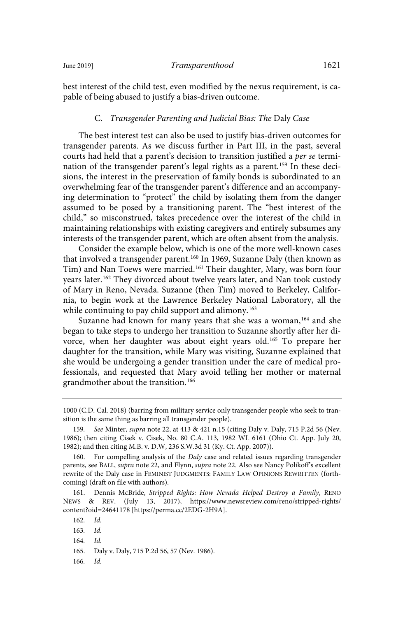best interest of the child test, even modified by the nexus requirement, is capable of being abused to justify a bias-driven outcome.

#### C. Transgender Parenting and Judicial Bias: The Daly Case

The best interest test can also be used to justify bias-driven outcomes for transgender parents. As we discuss further in Part III, in the past, several courts had held that a parent's decision to transition justified a per se termination of the transgender parent's legal rights as a parent.<sup>159</sup> In these decisions, the interest in the preservation of family bonds is subordinated to an overwhelming fear of the transgender parent's difference and an accompanying determination to "protect" the child by isolating them from the danger assumed to be posed by a transitioning parent. The "best interest of the child," so misconstrued, takes precedence over the interest of the child in maintaining relationships with existing caregivers and entirely subsumes any interests of the transgender parent, which are often absent from the analysis.

Consider the example below, which is one of the more well-known cases that involved a transgender parent.<sup>160</sup> In 1969, Suzanne Daly (then known as Tim) and Nan Toews were married.<sup>161</sup> Their daughter, Mary, was born four years later.<sup>162</sup> They divorced about twelve years later, and Nan took custody of Mary in Reno, Nevada. Suzanne (then Tim) moved to Berkeley, California, to begin work at the Lawrence Berkeley National Laboratory, all the while continuing to pay child support and alimony.<sup>163</sup>

Suzanne had known for many years that she was a woman,<sup>164</sup> and she began to take steps to undergo her transition to Suzanne shortly after her divorce, when her daughter was about eight years old.<sup>165</sup> To prepare her daughter for the transition, while Mary was visiting, Suzanne explained that she would be undergoing a gender transition under the care of medical professionals, and requested that Mary avoid telling her mother or maternal grandmother about the transition.<sup>166</sup>

161. Dennis McBride, Stripped Rights: How Nevada Helped Destroy a Family, RENO NEWS & REV. (July 13, 2017), https://www.newsreview.com/reno/stripped-rights/ content?oid=24641178 [https://perma.cc/2EDG-2H9A].

164. Id.

 $166.$   $Id.$ 

<sup>1000 (</sup>C.D. Cal. 2018) (barring from military service only transgender people who seek to transition is the same thing as barring all transgender people).

<sup>159.</sup> See Minter, supra note 22, at 413 & 421 n.15 (citing Daly v. Daly, 715 P.2d 56 (Nev. 1986); then citing Cisek v. Cisek, No. 80 C.A. 113, 1982 WL 6161 (Ohio Ct. App. July 20, 1982); and then citing M.B. v. D.W, 236 S.W.3d 31 (Ky. Ct. App. 2007)).

<sup>160.</sup> For compelling analysis of the Daly case and related issues regarding transgender parents, see BALL, supra note 22, and Flynn, supra note 22. Also see Nancy Polikoff's excellent rewrite of the Daly case in FEMINIST JUDGMENTS: FAMILY LAW OPINIONS REWRITTEN (forthcoming) (draft on file with authors).

<sup>162.</sup> Id.

 $163.$   $Id.$ 

<sup>165.</sup> Daly v. Daly, 715 P.2d 56, 57 (Nev. 1986).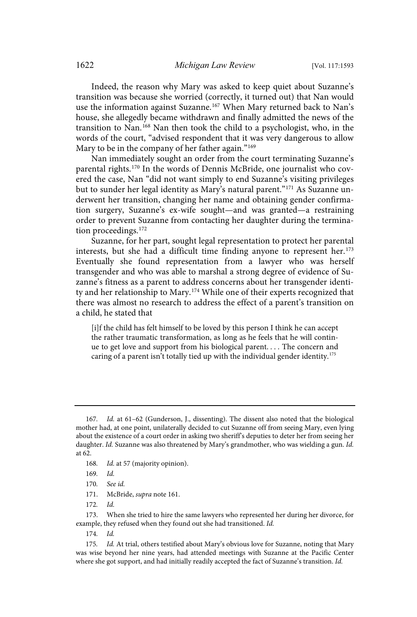Indeed, the reason why Mary was asked to keep quiet about Suzanne's transition was because she worried (correctly, it turned out) that Nan would use the information against Suzanne. <sup>167</sup> When Mary returned back to Nan's house, she allegedly became withdrawn and finally admitted the news of the transition to Nan.<sup>168</sup> Nan then took the child to a psychologist, who, in the words of the court, "advised respondent that it was very dangerous to allow Mary to be in the company of her father again."<sup>169</sup>

Nan immediately sought an order from the court terminating Suzanne's parental rights.<sup>170</sup> In the words of Dennis McBride, one journalist who covered the case, Nan "did not want simply to end Suzanne's visiting privileges but to sunder her legal identity as Mary's natural parent."<sup>171</sup> As Suzanne underwent her transition, changing her name and obtaining gender confirmation surgery, Suzanne's ex-wife sought—and was granted—a restraining order to prevent Suzanne from contacting her daughter during the termination proceedings.<sup>172</sup>

Suzanne, for her part, sought legal representation to protect her parental interests, but she had a difficult time finding anyone to represent her. $173$ Eventually she found representation from a lawyer who was herself transgender and who was able to marshal a strong degree of evidence of Suzanne's fitness as a parent to address concerns about her transgender identity and her relationship to Mary.<sup>174</sup> While one of their experts recognized that there was almost no research to address the effect of a parent's transition on a child, he stated that

[i]f the child has felt himself to be loved by this person I think he can accept the rather traumatic transformation, as long as he feels that he will continue to get love and support from his biological parent. . . . The concern and caring of a parent isn't totally tied up with the individual gender identity.<sup>175</sup>

<sup>167.</sup> Id. at 61–62 (Gunderson, J., dissenting). The dissent also noted that the biological mother had, at one point, unilaterally decided to cut Suzanne off from seeing Mary, even lying about the existence of a court order in asking two sheriff's deputies to deter her from seeing her daughter. Id. Suzanne was also threatened by Mary's grandmother, who was wielding a gun. Id. at 62.

<sup>168.</sup> Id. at 57 (majority opinion).

 $169$   $Id$ 

<sup>170.</sup> See id.

<sup>171.</sup> McBride, supra note 161.

 $172$   $Id$ 

<sup>173.</sup> When she tried to hire the same lawyers who represented her during her divorce, for example, they refused when they found out she had transitioned. Id.

<sup>174.</sup> Id.

<sup>175.</sup> Id. At trial, others testified about Mary's obvious love for Suzanne, noting that Mary was wise beyond her nine years, had attended meetings with Suzanne at the Pacific Center where she got support, and had initially readily accepted the fact of Suzanne's transition. Id.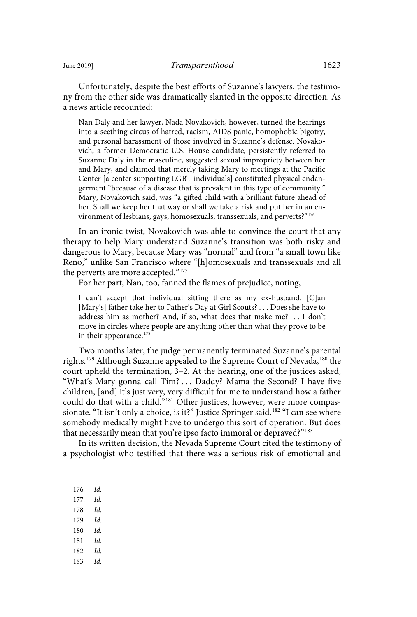Unfortunately, despite the best efforts of Suzanne's lawyers, the testimony from the other side was dramatically slanted in the opposite direction. As a news article recounted:

Nan Daly and her lawyer, Nada Novakovich, however, turned the hearings into a seething circus of hatred, racism, AIDS panic, homophobic bigotry, and personal harassment of those involved in Suzanne's defense. Novakovich, a former Democratic U.S. House candidate, persistently referred to Suzanne Daly in the masculine, suggested sexual impropriety between her and Mary, and claimed that merely taking Mary to meetings at the Pacific Center [a center supporting LGBT individuals] constituted physical endangerment "because of a disease that is prevalent in this type of community." Mary, Novakovich said, was "a gifted child with a brilliant future ahead of her. Shall we keep her that way or shall we take a risk and put her in an environment of lesbians, gays, homosexuals, transsexuals, and perverts?"<sup>176</sup>

In an ironic twist, Novakovich was able to convince the court that any therapy to help Mary understand Suzanne's transition was both risky and dangerous to Mary, because Mary was "normal" and from "a small town like Reno," unlike San Francisco where "[h]omosexuals and transsexuals and all the perverts are more accepted."<sup>177</sup>

For her part, Nan, too, fanned the flames of prejudice, noting,

I can't accept that individual sitting there as my ex-husband. [C]an [Mary's] father take her to Father's Day at Girl Scouts? . . . Does she have to address him as mother? And, if so, what does that make me? . . . I don't move in circles where people are anything other than what they prove to be in their appearance.<sup>178</sup>

Two months later, the judge permanently terminated Suzanne's parental rights.<sup>179</sup> Although Suzanne appealed to the Supreme Court of Nevada,<sup>180</sup> the court upheld the termination, 3–2. At the hearing, one of the justices asked, "What's Mary gonna call Tim? . . . Daddy? Mama the Second? I have five children, [and] it's just very, very difficult for me to understand how a father could do that with a child."<sup>181</sup> Other justices, however, were more compassionate. "It isn't only a choice, is it?" Justice Springer said.<sup>182</sup> "I can see where somebody medically might have to undergo this sort of operation. But does that necessarily mean that you're ipso facto immoral or depraved?"<sup>183</sup>

In its written decision, the Nevada Supreme Court cited the testimony of a psychologist who testified that there was a serious risk of emotional and

176. Id.

- 177. Id.
- 178. Id.
- 179. Id.
- 180.  $Id.$
- 181. Id.
- 182. Id.
- 183. Id.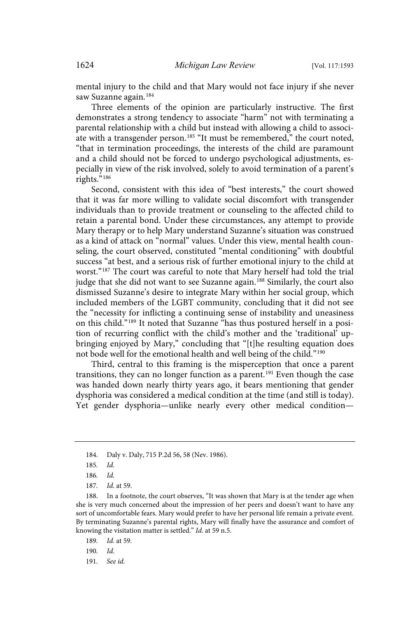mental injury to the child and that Mary would not face injury if she never saw Suzanne again.<sup>184</sup>

Three elements of the opinion are particularly instructive. The first demonstrates a strong tendency to associate "harm" not with terminating a parental relationship with a child but instead with allowing a child to associate with a transgender person.<sup>185</sup> "It must be remembered," the court noted, "that in termination proceedings, the interests of the child are paramount and a child should not be forced to undergo psychological adjustments, especially in view of the risk involved, solely to avoid termination of a parent's rights."<sup>186</sup>

Second, consistent with this idea of "best interests," the court showed that it was far more willing to validate social discomfort with transgender individuals than to provide treatment or counseling to the affected child to retain a parental bond. Under these circumstances, any attempt to provide Mary therapy or to help Mary understand Suzanne's situation was construed as a kind of attack on "normal" values. Under this view, mental health counseling, the court observed, constituted "mental conditioning" with doubtful success "at best, and a serious risk of further emotional injury to the child at worst."<sup>187</sup> The court was careful to note that Mary herself had told the trial judge that she did not want to see Suzanne again.<sup>188</sup> Similarly, the court also dismissed Suzanne's desire to integrate Mary within her social group, which included members of the LGBT community, concluding that it did not see the "necessity for inflicting a continuing sense of instability and uneasiness on this child."<sup>189</sup> It noted that Suzanne "has thus postured herself in a position of recurring conflict with the child's mother and the 'traditional' upbringing enjoyed by Mary," concluding that "[t]he resulting equation does not bode well for the emotional health and well being of the child."<sup>190</sup>

Third, central to this framing is the misperception that once a parent transitions, they can no longer function as a parent.<sup>191</sup> Even though the case was handed down nearly thirty years ago, it bears mentioning that gender dysphoria was considered a medical condition at the time (and still is today). Yet gender dysphoria—unlike nearly every other medical condition—

<sup>184.</sup> Daly v. Daly, 715 P.2d 56, 58 (Nev. 1986).

<sup>185.</sup> Id.

 $186.$   $Id.$ 

<sup>187.</sup> *Id.* at 59.

<sup>188.</sup> In a footnote, the court observes, "It was shown that Mary is at the tender age when she is very much concerned about the impression of her peers and doesn't want to have any sort of uncomfortable fears. Mary would prefer to have her personal life remain a private event. By terminating Suzanne's parental rights, Mary will finally have the assurance and comfort of knowing the visitation matter is settled." Id. at 59 n.5.

<sup>189.</sup> *Id.* at 59.

<sup>190.</sup>  $Id.$ 

<sup>191.</sup> See id.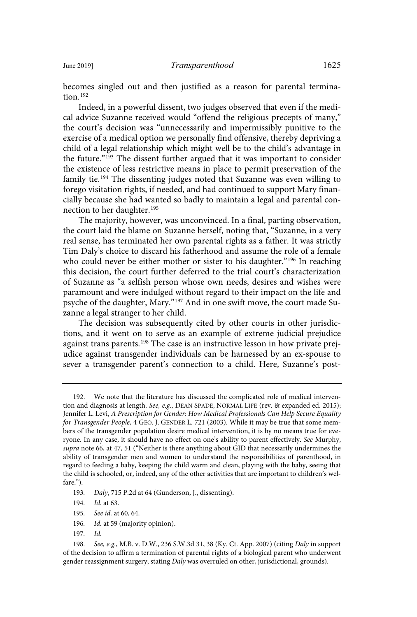becomes singled out and then justified as a reason for parental termination $192$ 

Indeed, in a powerful dissent, two judges observed that even if the medical advice Suzanne received would "offend the religious precepts of many," the court's decision was "unnecessarily and impermissibly punitive to the exercise of a medical option we personally find offensive, thereby depriving a child of a legal relationship which might well be to the child's advantage in the future."<sup>193</sup> The dissent further argued that it was important to consider the existence of less restrictive means in place to permit preservation of the family tie.<sup>194</sup> The dissenting judges noted that Suzanne was even willing to forego visitation rights, if needed, and had continued to support Mary financially because she had wanted so badly to maintain a legal and parental connection to her daughter.<sup>195</sup>

The majority, however, was unconvinced. In a final, parting observation, the court laid the blame on Suzanne herself, noting that, "Suzanne, in a very real sense, has terminated her own parental rights as a father. It was strictly Tim Daly's choice to discard his fatherhood and assume the role of a female who could never be either mother or sister to his daughter."<sup>196</sup> In reaching this decision, the court further deferred to the trial court's characterization of Suzanne as "a selfish person whose own needs, desires and wishes were paramount and were indulged without regard to their impact on the life and psyche of the daughter, Mary."<sup>197</sup> And in one swift move, the court made Suzanne a legal stranger to her child.

The decision was subsequently cited by other courts in other jurisdictions, and it went on to serve as an example of extreme judicial prejudice against trans parents.<sup>198</sup> The case is an instructive lesson in how private prejudice against transgender individuals can be harnessed by an ex-spouse to sever a transgender parent's connection to a child. Here, Suzanne's post-

- 196. Id. at 59 (majority opinion).
- $197.$   $Id.$

<sup>192.</sup> We note that the literature has discussed the complicated role of medical intervention and diagnosis at length. See, e.g., DEAN SPADE, NORMAL LIFE (rev. & expanded ed. 2015); Jennifer L. Levi, A Prescription for Gender: How Medical Professionals Can Help Secure Equality for Transgender People, 4 GEO. J. GENDER L. 721 (2003). While it may be true that some members of the transgender population desire medical intervention, it is by no means true for everyone. In any case, it should have no effect on one's ability to parent effectively. See Murphy, supra note 66, at 47, 51 ("Neither is there anything about GID that necessarily undermines the ability of transgender men and women to understand the responsibilities of parenthood, in regard to feeding a baby, keeping the child warm and clean, playing with the baby, seeing that the child is schooled, or, indeed, any of the other activities that are important to children's welfare.").

<sup>193.</sup> Daly, 715 P.2d at 64 (Gunderson, J., dissenting).

<sup>194.</sup> *Id.* at 63.

<sup>195.</sup> See id. at 60, 64.

<sup>198.</sup> See, e.g., M.B. v. D.W., 236 S.W.3d 31, 38 (Ky. Ct. App. 2007) (citing Daly in support of the decision to affirm a termination of parental rights of a biological parent who underwent gender reassignment surgery, stating Daly was overruled on other, jurisdictional, grounds).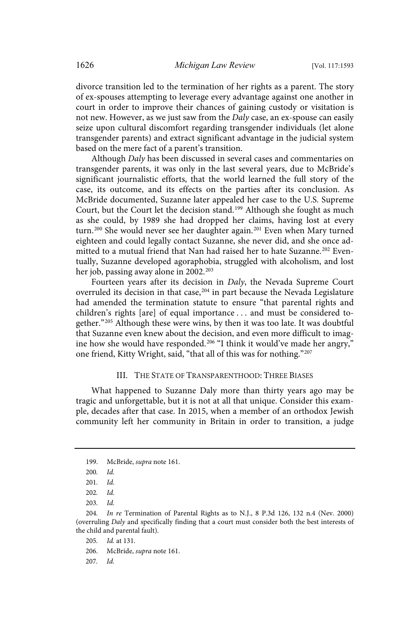divorce transition led to the termination of her rights as a parent. The story of ex-spouses attempting to leverage every advantage against one another in court in order to improve their chances of gaining custody or visitation is not new. However, as we just saw from the *Daly* case, an ex-spouse can easily seize upon cultural discomfort regarding transgender individuals (let alone transgender parents) and extract significant advantage in the judicial system based on the mere fact of a parent's transition.

Although Daly has been discussed in several cases and commentaries on transgender parents, it was only in the last several years, due to McBride's significant journalistic efforts, that the world learned the full story of the case, its outcome, and its effects on the parties after its conclusion. As McBride documented, Suzanne later appealed her case to the U.S. Supreme Court, but the Court let the decision stand.<sup>199</sup> Although she fought as much as she could, by 1989 she had dropped her claims, having lost at every turn.<sup>200</sup> She would never see her daughter again.<sup>201</sup> Even when Mary turned eighteen and could legally contact Suzanne, she never did, and she once admitted to a mutual friend that Nan had raised her to hate Suzanne.<sup>202</sup> Eventually, Suzanne developed agoraphobia, struggled with alcoholism, and lost her job, passing away alone in 2002.<sup>203</sup>

Fourteen years after its decision in Daly, the Nevada Supreme Court overruled its decision in that case,<sup>204</sup> in part because the Nevada Legislature had amended the termination statute to ensure "that parental rights and children's rights [are] of equal importance . . . and must be considered together."<sup>205</sup> Although these were wins, by then it was too late. It was doubtful that Suzanne even knew about the decision, and even more difficult to imagine how she would have responded.<sup>206</sup> "I think it would've made her angry," one friend, Kitty Wright, said, "that all of this was for nothing."<sup>207</sup>

#### III. THE STATE OF TRANSPARENTHOOD: THREE BIASES

What happened to Suzanne Daly more than thirty years ago may be tragic and unforgettable, but it is not at all that unique. Consider this example, decades after that case. In 2015, when a member of an orthodox Jewish community left her community in Britain in order to transition, a judge

<sup>199.</sup> McBride, supra note 161.

 $200.$  Id.

 $201.$  Id.

 $202.$  Id.

 $203.$  Id.

<sup>204.</sup> In re Termination of Parental Rights as to N.J., 8 P.3d 126, 132 n.4 (Nev. 2000) (overruling Daly and specifically finding that a court must consider both the best interests of the child and parental fault).

<sup>205.</sup> *Id.* at 131.

<sup>206.</sup> McBride, supra note 161.

 $207.$  Id.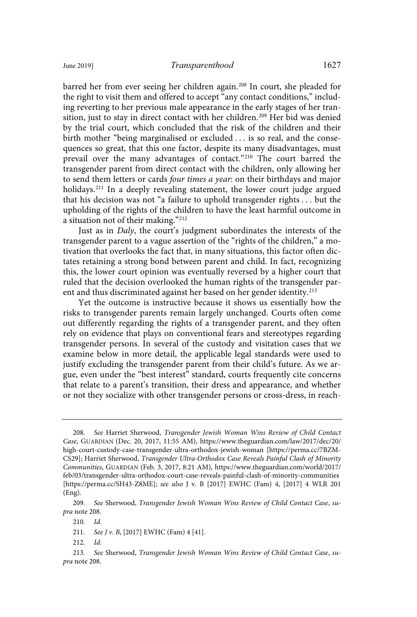barred her from ever seeing her children again.<sup>208</sup> In court, she pleaded for the right to visit them and offered to accept "any contact conditions," including reverting to her previous male appearance in the early stages of her transition, just to stay in direct contact with her children.<sup>209</sup> Her bid was denied by the trial court, which concluded that the risk of the children and their birth mother "being marginalised or excluded . . . is so real, and the consequences so great, that this one factor, despite its many disadvantages, must prevail over the many advantages of contact."<sup>210</sup> The court barred the transgender parent from direct contact with the children, only allowing her to send them letters or cards four times a year: on their birthdays and major holidays.<sup>211</sup> In a deeply revealing statement, the lower court judge argued that his decision was not "a failure to uphold transgender rights . . . but the upholding of the rights of the children to have the least harmful outcome in a situation not of their making."<sup>212</sup>

Just as in Daly, the court's judgment subordinates the interests of the transgender parent to a vague assertion of the "rights of the children," a motivation that overlooks the fact that, in many situations, this factor often dictates retaining a strong bond between parent and child. In fact, recognizing this, the lower court opinion was eventually reversed by a higher court that ruled that the decision overlooked the human rights of the transgender parent and thus discriminated against her based on her gender identity.<sup>213</sup>

Yet the outcome is instructive because it shows us essentially how the risks to transgender parents remain largely unchanged. Courts often come out differently regarding the rights of a transgender parent, and they often rely on evidence that plays on conventional fears and stereotypes regarding transgender persons. In several of the custody and visitation cases that we examine below in more detail, the applicable legal standards were used to justify excluding the transgender parent from their child's future. As we argue, even under the "best interest" standard, courts frequently cite concerns that relate to a parent's transition, their dress and appearance, and whether or not they socialize with other transgender persons or cross-dress, in reach-

 $212.$ 

<sup>208.</sup> See Harriet Sherwood, Transgender Jewish Woman Wins Review of Child Contact Case, GUARDIAN (Dec. 20, 2017, 11:55 AM), https://www.theguardian.com/law/2017/dec/20/ high-court-custody-case-transgender-ultra-orthodox-jewish-woman [https://perma.cc/7BZM-CS29]; Harriet Sherwood, Transgender Ultra-Orthodox Case Reveals Painful Clash of Minority Communities, GUARDIAN (Feb. 3, 2017, 8:21 AM), https://www.theguardian.com/world/2017/ feb/03/transgender-ultra-orthodox-court-case-reveals-painful-clash-of-minority-communities [https://perma.cc/SH43-Z8ME]; see also J v. B [2017] EWHC (Fam) 4, [2017] 4 WLR 201 (Eng).

<sup>209.</sup> See Sherwood, Transgender Jewish Woman Wins Review of Child Contact Case, supra note 208.

 $210.$  Id.

<sup>211.</sup> See J v. B, [2017] EWHC (Fam) 4 [41].

<sup>213</sup> . See Sherwood, Transgender Jewish Woman Wins Review of Child Contact Case, supra note 208.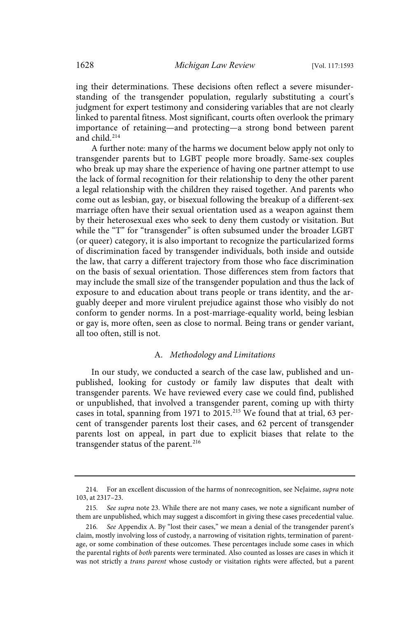ing their determinations. These decisions often reflect a severe misunderstanding of the transgender population, regularly substituting a court's judgment for expert testimony and considering variables that are not clearly linked to parental fitness. Most significant, courts often overlook the primary importance of retaining—and protecting—a strong bond between parent and child.<sup>214</sup>

A further note: many of the harms we document below apply not only to transgender parents but to LGBT people more broadly. Same-sex couples who break up may share the experience of having one partner attempt to use the lack of formal recognition for their relationship to deny the other parent a legal relationship with the children they raised together. And parents who come out as lesbian, gay, or bisexual following the breakup of a different-sex marriage often have their sexual orientation used as a weapon against them by their heterosexual exes who seek to deny them custody or visitation. But while the "T" for "transgender" is often subsumed under the broader LGBT (or queer) category, it is also important to recognize the particularized forms of discrimination faced by transgender individuals, both inside and outside the law, that carry a different trajectory from those who face discrimination on the basis of sexual orientation. Those differences stem from factors that may include the small size of the transgender population and thus the lack of exposure to and education about trans people or trans identity, and the arguably deeper and more virulent prejudice against those who visibly do not conform to gender norms. In a post-marriage-equality world, being lesbian or gay is, more often, seen as close to normal. Being trans or gender variant, all too often, still is not.

### A. Methodology and Limitations

In our study, we conducted a search of the case law, published and unpublished, looking for custody or family law disputes that dealt with transgender parents. We have reviewed every case we could find, published or unpublished, that involved a transgender parent, coming up with thirty cases in total, spanning from 1971 to 2015.<sup>215</sup> We found that at trial, 63 percent of transgender parents lost their cases, and 62 percent of transgender parents lost on appeal, in part due to explicit biases that relate to the transgender status of the parent.<sup>216</sup>

<sup>214.</sup> For an excellent discussion of the harms of nonrecognition, see NeJaime, supra note 103, at 2317–23.

<sup>215.</sup> See supra note 23. While there are not many cases, we note a significant number of them are unpublished, which may suggest a discomfort in giving these cases precedential value.

<sup>216.</sup> See Appendix A. By "lost their cases," we mean a denial of the transgender parent's claim, mostly involving loss of custody, a narrowing of visitation rights, termination of parentage, or some combination of these outcomes. These percentages include some cases in which the parental rights of both parents were terminated. Also counted as losses are cases in which it was not strictly a trans parent whose custody or visitation rights were affected, but a parent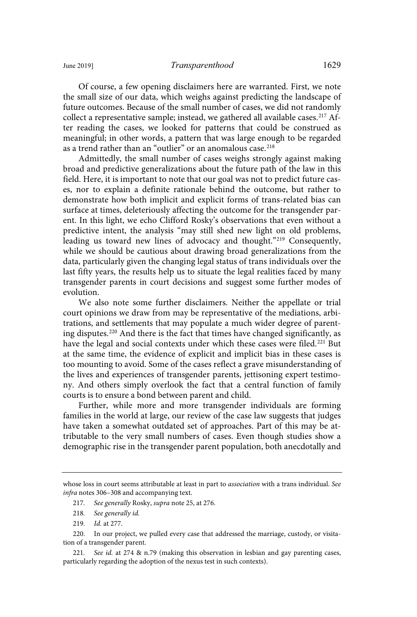Of course, a few opening disclaimers here are warranted. First, we note the small size of our data, which weighs against predicting the landscape of future outcomes. Because of the small number of cases, we did not randomly collect a representative sample; instead, we gathered all available cases.<sup>217</sup> After reading the cases, we looked for patterns that could be construed as meaningful; in other words, a pattern that was large enough to be regarded as a trend rather than an "outlier" or an anomalous case.<sup>218</sup>

Admittedly, the small number of cases weighs strongly against making broad and predictive generalizations about the future path of the law in this field. Here, it is important to note that our goal was not to predict future cases, nor to explain a definite rationale behind the outcome, but rather to demonstrate how both implicit and explicit forms of trans-related bias can surface at times, deleteriously affecting the outcome for the transgender parent. In this light, we echo Clifford Rosky's observations that even without a predictive intent, the analysis "may still shed new light on old problems, leading us toward new lines of advocacy and thought."<sup>219</sup> Consequently, while we should be cautious about drawing broad generalizations from the data, particularly given the changing legal status of trans individuals over the last fifty years, the results help us to situate the legal realities faced by many transgender parents in court decisions and suggest some further modes of evolution.

We also note some further disclaimers. Neither the appellate or trial court opinions we draw from may be representative of the mediations, arbitrations, and settlements that may populate a much wider degree of parenting disputes.<sup>220</sup> And there is the fact that times have changed significantly, as have the legal and social contexts under which these cases were filed.<sup>221</sup> But at the same time, the evidence of explicit and implicit bias in these cases is too mounting to avoid. Some of the cases reflect a grave misunderstanding of the lives and experiences of transgender parents, jettisoning expert testimony. And others simply overlook the fact that a central function of family courts is to ensure a bond between parent and child.

Further, while more and more transgender individuals are forming families in the world at large, our review of the case law suggests that judges have taken a somewhat outdated set of approaches. Part of this may be attributable to the very small numbers of cases. Even though studies show a demographic rise in the transgender parent population, both anecdotally and

whose loss in court seems attributable at least in part to *association* with a trans individual. See infra notes 306–308 and accompanying text.

<sup>217.</sup> See generally Rosky, supra note 25, at 276.

<sup>218.</sup> See generally id.

<sup>219.</sup> *Id.* at 277.

<sup>220.</sup> In our project, we pulled every case that addressed the marriage, custody, or visitation of a transgender parent.

<sup>221.</sup> See id. at 274 & n.79 (making this observation in lesbian and gay parenting cases, particularly regarding the adoption of the nexus test in such contexts).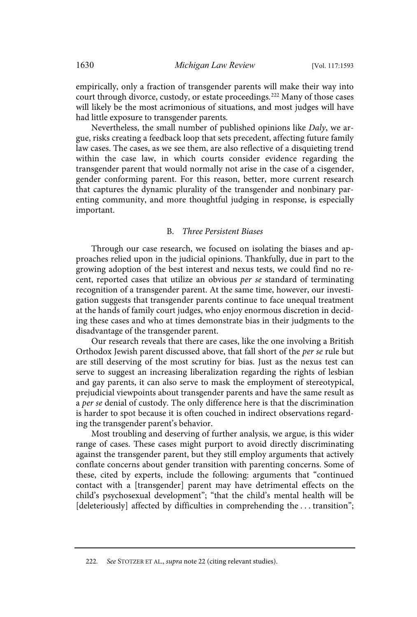empirically, only a fraction of transgender parents will make their way into court through divorce, custody, or estate proceedings.<sup>222</sup> Many of those cases will likely be the most acrimonious of situations, and most judges will have had little exposure to transgender parents.

Nevertheless, the small number of published opinions like Daly, we argue, risks creating a feedback loop that sets precedent, affecting future family law cases. The cases, as we see them, are also reflective of a disquieting trend within the case law, in which courts consider evidence regarding the transgender parent that would normally not arise in the case of a cisgender, gender conforming parent. For this reason, better, more current research that captures the dynamic plurality of the transgender and nonbinary parenting community, and more thoughtful judging in response, is especially important.

#### B. Three Persistent Biases

Through our case research, we focused on isolating the biases and approaches relied upon in the judicial opinions. Thankfully, due in part to the growing adoption of the best interest and nexus tests, we could find no recent, reported cases that utilize an obvious per se standard of terminating recognition of a transgender parent. At the same time, however, our investigation suggests that transgender parents continue to face unequal treatment at the hands of family court judges, who enjoy enormous discretion in deciding these cases and who at times demonstrate bias in their judgments to the disadvantage of the transgender parent.

Our research reveals that there are cases, like the one involving a British Orthodox Jewish parent discussed above, that fall short of the per se rule but are still deserving of the most scrutiny for bias. Just as the nexus test can serve to suggest an increasing liberalization regarding the rights of lesbian and gay parents, it can also serve to mask the employment of stereotypical, prejudicial viewpoints about transgender parents and have the same result as a per se denial of custody. The only difference here is that the discrimination is harder to spot because it is often couched in indirect observations regarding the transgender parent's behavior.

Most troubling and deserving of further analysis, we argue, is this wider range of cases. These cases might purport to avoid directly discriminating against the transgender parent, but they still employ arguments that actively conflate concerns about gender transition with parenting concerns. Some of these, cited by experts, include the following: arguments that "continued contact with a [transgender] parent may have detrimental effects on the child's psychosexual development"; "that the child's mental health will be [deleteriously] affected by difficulties in comprehending the ... transition";

<sup>222.</sup> See STOTZER ET AL., supra note 22 (citing relevant studies).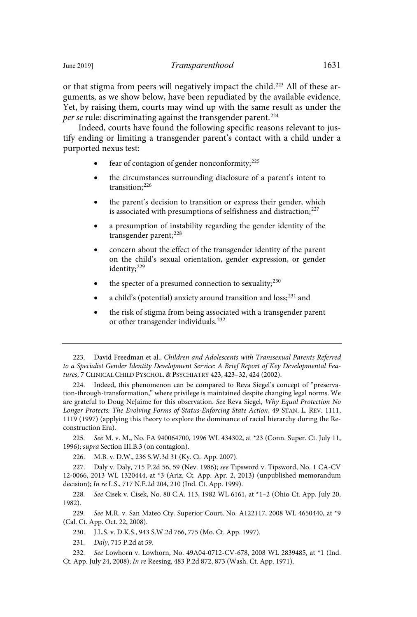Indeed, courts have found the following specific reasons relevant to justify ending or limiting a transgender parent's contact with a child under a purported nexus test:

- fear of contagion of gender nonconformity; $225$
- the circumstances surrounding disclosure of a parent's intent to transition;<sup>226</sup>
- the parent's decision to transition or express their gender, which is associated with presumptions of selfishness and distraction; $^{227}$
- a presumption of instability regarding the gender identity of the transgender parent;<sup>228</sup>
- concern about the effect of the transgender identity of the parent on the child's sexual orientation, gender expression, or gender identity;<sup>229</sup>
- the specter of a presumed connection to sexuality;  $230$
- a child's (potential) anxiety around transition and  $loss$ <sup>231</sup> and
- the risk of stigma from being associated with a transgender parent or other transgender individuals.<sup>232</sup>

224. Indeed, this phenomenon can be compared to Reva Siegel's concept of "preservation-through-transformation," where privilege is maintained despite changing legal norms. We are grateful to Doug NeJaime for this observation. See Reva Siegel, Why Equal Protection No Longer Protects: The Evolving Forms of Status-Enforcing State Action, 49 STAN. L. REV. 1111, 1119 (1997) (applying this theory to explore the dominance of racial hierarchy during the Reconstruction Era).

225. See M. v. M., No. FA 940064700, 1996 WL 434302, at \*23 (Conn. Super. Ct. July 11, 1996); supra Section III.B.3 (on contagion).

226. M.B. v. D.W., 236 S.W.3d 31 (Ky. Ct. App. 2007).

227. Daly v. Daly, 715 P.2d 56, 59 (Nev. 1986); see Tipsword v. Tipsword, No. 1 CA-CV 12-0066, 2013 WL 1320444, at \*3 (Ariz. Ct. App. Apr. 2, 2013) (unpublished memorandum decision); In re L.S., 717 N.E.2d 204, 210 (Ind. Ct. App. 1999).

228. See Cisek v. Cisek, No. 80 C.A. 113, 1982 WL 6161, at \*1-2 (Ohio Ct. App. July 20, 1982).

229. See M.R. v. San Mateo Cty. Superior Court, No. A122117, 2008 WL 4650440, at \*9 (Cal. Ct. App. Oct. 22, 2008).

230. J.L.S. v. D.K.S., 943 S.W.2d 766, 775 (Mo. Ct. App. 1997).

231. Daly, 715 P.2d at 59.

232. See Lowhorn v. Lowhorn, No. 49A04-0712-CV-678, 2008 WL 2839485, at \*1 (Ind. Ct. App. July 24, 2008); In re Reesing, 483 P.2d 872, 873 (Wash. Ct. App. 1971).

<sup>223.</sup> David Freedman et al., Children and Adolescents with Transsexual Parents Referred to a Specialist Gender Identity Development Service: A Brief Report of Key Developmental Features, 7 CLINICAL CHILD PYSCHOL. & PSYCHIATRY 423, 423–32, 424 (2002).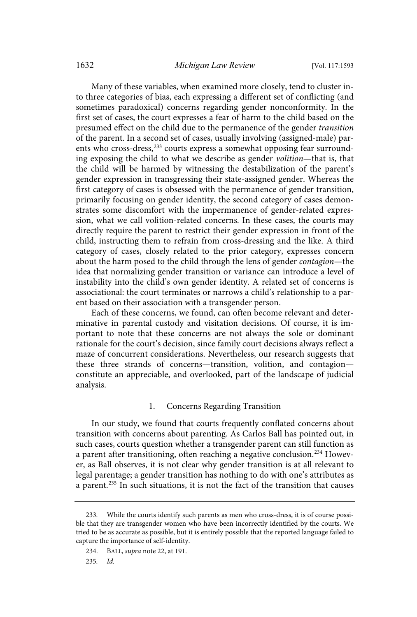Many of these variables, when examined more closely, tend to cluster into three categories of bias, each expressing a different set of conflicting (and sometimes paradoxical) concerns regarding gender nonconformity. In the first set of cases, the court expresses a fear of harm to the child based on the presumed effect on the child due to the permanence of the gender transition of the parent. In a second set of cases, usually involving (assigned-male) parents who cross-dress,<sup>233</sup> courts express a somewhat opposing fear surrounding exposing the child to what we describe as gender volition—that is, that the child will be harmed by witnessing the destabilization of the parent's gender expression in transgressing their state-assigned gender. Whereas the first category of cases is obsessed with the permanence of gender transition, primarily focusing on gender identity, the second category of cases demonstrates some discomfort with the impermanence of gender-related expression, what we call volition-related concerns. In these cases, the courts may directly require the parent to restrict their gender expression in front of the child, instructing them to refrain from cross-dressing and the like. A third category of cases, closely related to the prior category, expresses concern about the harm posed to the child through the lens of gender contagion—the idea that normalizing gender transition or variance can introduce a level of instability into the child's own gender identity. A related set of concerns is associational: the court terminates or narrows a child's relationship to a parent based on their association with a transgender person.

Each of these concerns, we found, can often become relevant and determinative in parental custody and visitation decisions. Of course, it is important to note that these concerns are not always the sole or dominant rationale for the court's decision, since family court decisions always reflect a maze of concurrent considerations. Nevertheless, our research suggests that these three strands of concerns—transition, volition, and contagion constitute an appreciable, and overlooked, part of the landscape of judicial analysis.

### 1. Concerns Regarding Transition

In our study, we found that courts frequently conflated concerns about transition with concerns about parenting. As Carlos Ball has pointed out, in such cases, courts question whether a transgender parent can still function as a parent after transitioning, often reaching a negative conclusion.<sup>234</sup> However, as Ball observes, it is not clear why gender transition is at all relevant to legal parentage; a gender transition has nothing to do with one's attributes as a parent.<sup>235</sup> In such situations, it is not the fact of the transition that causes

<sup>233.</sup> While the courts identify such parents as men who cross-dress, it is of course possible that they are transgender women who have been incorrectly identified by the courts. We tried to be as accurate as possible, but it is entirely possible that the reported language failed to capture the importance of self-identity.

<sup>234.</sup> BALL, supra note 22, at 191.

<sup>235.</sup> Id.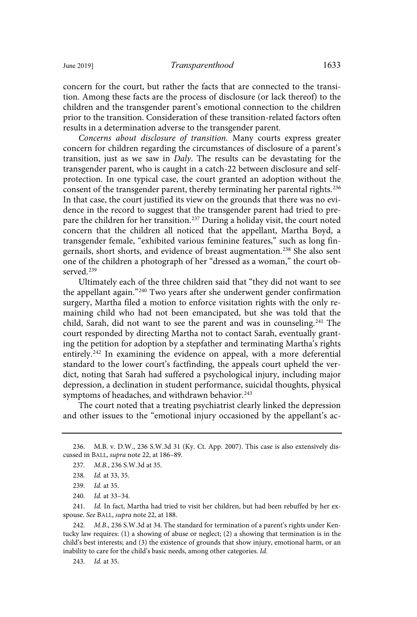concern for the court, but rather the facts that are connected to the transition. Among these facts are the process of disclosure (or lack thereof) to the children and the transgender parent's emotional connection to the children prior to the transition. Consideration of these transition-related factors often results in a determination adverse to the transgender parent.

Concerns about disclosure of transition. Many courts express greater concern for children regarding the circumstances of disclosure of a parent's transition, just as we saw in Daly. The results can be devastating for the transgender parent, who is caught in a catch-22 between disclosure and selfprotection. In one typical case, the court granted an adoption without the consent of the transgender parent, thereby terminating her parental rights.<sup>236</sup> In that case, the court justified its view on the grounds that there was no evidence in the record to suggest that the transgender parent had tried to prepare the children for her transition.<sup>237</sup> During a holiday visit, the court noted concern that the children all noticed that the appellant, Martha Boyd, a transgender female, "exhibited various feminine features," such as long fingernails, short shorts, and evidence of breast augmentation.<sup>238</sup> She also sent one of the children a photograph of her "dressed as a woman," the court observed.<sup>239</sup>

Ultimately each of the three children said that "they did not want to see the appellant again."<sup>240</sup> Two years after she underwent gender confirmation surgery, Martha filed a motion to enforce visitation rights with the only remaining child who had not been emancipated, but she was told that the child, Sarah, did not want to see the parent and was in counseling.<sup>241</sup> The court responded by directing Martha not to contact Sarah, eventually granting the petition for adoption by a stepfather and terminating Martha's rights entirely.<sup>242</sup> In examining the evidence on appeal, with a more deferential standard to the lower court's factfinding, the appeals court upheld the verdict, noting that Sarah had suffered a psychological injury, including major depression, a declination in student performance, suicidal thoughts, physical symptoms of headaches, and withdrawn behavior.<sup>243</sup>

The court noted that a treating psychiatrist clearly linked the depression and other issues to the "emotional injury occasioned by the appellant's ac-

241. Id. In fact, Martha had tried to visit her children, but had been rebuffed by her exspouse. See BALL, supra note 22, at 188.

242. M.B., 236 S.W.3d at 34. The standard for termination of a parent's rights under Kentucky law requires: (1) a showing of abuse or neglect; (2) a showing that termination is in the child's best interests; and (3) the existence of grounds that show injury, emotional harm, or an inability to care for the child's basic needs, among other categories. Id.

243. *Id.* at 35.

<sup>236.</sup> M.B. v. D.W., 236 S.W.3d 31 (Ky. Ct. App. 2007). This case is also extensively discussed in BALL, supra note 22, at 186–89.

<sup>237.</sup> M.B., 236 S.W.3d at 35.

<sup>238.</sup> *Id.* at 33, 35.

<sup>239.</sup> *Id.* at 35.

<sup>240.</sup> *Id.* at 33-34.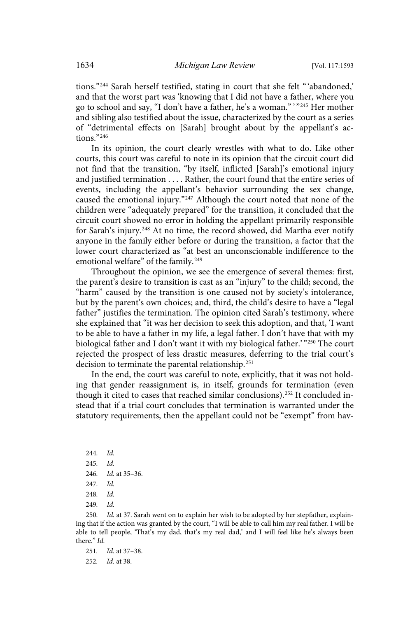tions."<sup>244</sup> Sarah herself testified, stating in court that she felt "'abandoned,' and that the worst part was 'knowing that I did not have a father, where you go to school and say, "I don't have a father, he's a woman." ' " <sup>245</sup> Her mother and sibling also testified about the issue, characterized by the court as a series of "detrimental effects on [Sarah] brought about by the appellant's actions."<sup>246</sup>

In its opinion, the court clearly wrestles with what to do. Like other courts, this court was careful to note in its opinion that the circuit court did not find that the transition, "by itself, inflicted [Sarah]'s emotional injury and justified termination . . . . Rather, the court found that the entire series of events, including the appellant's behavior surrounding the sex change, caused the emotional injury."<sup>247</sup> Although the court noted that none of the children were "adequately prepared" for the transition, it concluded that the circuit court showed no error in holding the appellant primarily responsible for Sarah's injury.<sup>248</sup> At no time, the record showed, did Martha ever notify anyone in the family either before or during the transition, a factor that the lower court characterized as "at best an unconscionable indifference to the emotional welfare" of the family.<sup>249</sup>

Throughout the opinion, we see the emergence of several themes: first, the parent's desire to transition is cast as an "injury" to the child; second, the "harm" caused by the transition is one caused not by society's intolerance, but by the parent's own choices; and, third, the child's desire to have a "legal father" justifies the termination. The opinion cited Sarah's testimony, where she explained that "it was her decision to seek this adoption, and that, 'I want to be able to have a father in my life, a legal father. I don't have that with my biological father and I don't want it with my biological father.' " <sup>250</sup> The court rejected the prospect of less drastic measures, deferring to the trial court's decision to terminate the parental relationship.<sup>251</sup>

In the end, the court was careful to note, explicitly, that it was not holding that gender reassignment is, in itself, grounds for termination (even though it cited to cases that reached similar conclusions).<sup>252</sup> It concluded instead that if a trial court concludes that termination is warranted under the statutory requirements, then the appellant could not be "exempt" from hav-

250. Id. at 37. Sarah went on to explain her wish to be adopted by her stepfather, explaining that if the action was granted by the court, "I will be able to call him my real father. I will be able to tell people, 'That's my dad, that's my real dad,' and I will feel like he's always been there." Id.

 $244$   $1d$ 

 $245$   $Id$ 

<sup>246.</sup> *Id.* at 35-36.

 $247$   $Id$ 

 $248$   $Id$ 

<sup>249.</sup> Id.

<sup>251.</sup> *Id.* at 37-38.

<sup>252.</sup> *Id.* at 38.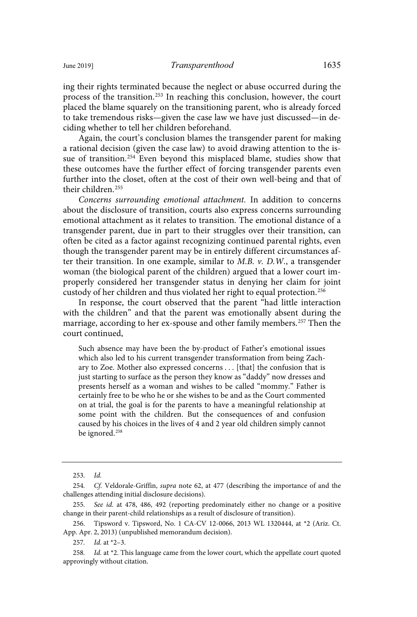ing their rights terminated because the neglect or abuse occurred during the process of the transition.<sup>253</sup> In reaching this conclusion, however, the court placed the blame squarely on the transitioning parent, who is already forced to take tremendous risks—given the case law we have just discussed—in deciding whether to tell her children beforehand.

Again, the court's conclusion blames the transgender parent for making a rational decision (given the case law) to avoid drawing attention to the issue of transition.<sup>254</sup> Even beyond this misplaced blame, studies show that these outcomes have the further effect of forcing transgender parents even further into the closet, often at the cost of their own well-being and that of their children.<sup>255</sup>

Concerns surrounding emotional attachment. In addition to concerns about the disclosure of transition, courts also express concerns surrounding emotional attachment as it relates to transition. The emotional distance of a transgender parent, due in part to their struggles over their transition, can often be cited as a factor against recognizing continued parental rights, even though the transgender parent may be in entirely different circumstances after their transition. In one example, similar to  $M.B. v. D.W.,$  a transgender woman (the biological parent of the children) argued that a lower court improperly considered her transgender status in denying her claim for joint custody of her children and thus violated her right to equal protection.<sup>256</sup>

In response, the court observed that the parent "had little interaction with the children" and that the parent was emotionally absent during the marriage, according to her ex-spouse and other family members.<sup>257</sup> Then the court continued,

Such absence may have been the by-product of Father's emotional issues which also led to his current transgender transformation from being Zachary to Zoe. Mother also expressed concerns . . . [that] the confusion that is just starting to surface as the person they know as "daddy" now dresses and presents herself as a woman and wishes to be called "mommy." Father is certainly free to be who he or she wishes to be and as the Court commented on at trial, the goal is for the parents to have a meaningful relationship at some point with the children. But the consequences of and confusion caused by his choices in the lives of 4 and 2 year old children simply cannot be ignored.<sup>258</sup>

 $253.$  *Id.* 

<sup>254.</sup> Cf. Veldorale-Griffin, supra note 62, at 477 (describing the importance of and the challenges attending initial disclosure decisions).

<sup>255.</sup> See id. at 478, 486, 492 (reporting predominately either no change or a positive change in their parent-child relationships as a result of disclosure of transition).

<sup>256.</sup> Tipsword v. Tipsword, No. 1 CA-CV 12-0066, 2013 WL 1320444, at \*2 (Ariz. Ct. App. Apr. 2, 2013) (unpublished memorandum decision).

<sup>257.</sup> *Id.* at  $*2-3$ .

<sup>258.</sup> Id. at \*2. This language came from the lower court, which the appellate court quoted approvingly without citation.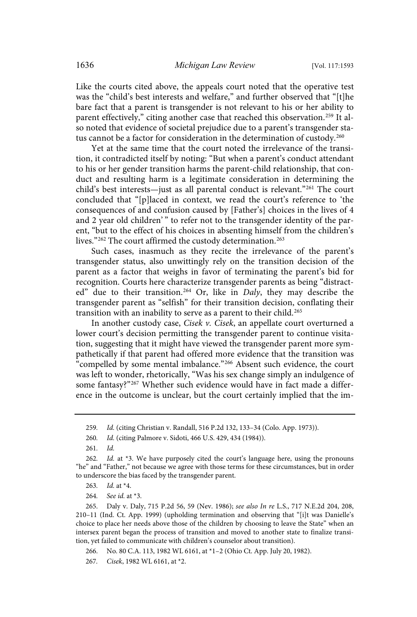Like the courts cited above, the appeals court noted that the operative test was the "child's best interests and welfare," and further observed that "[t]he bare fact that a parent is transgender is not relevant to his or her ability to parent effectively," citing another case that reached this observation.<sup>259</sup> It also noted that evidence of societal prejudice due to a parent's transgender status cannot be a factor for consideration in the determination of custody.<sup>260</sup>

Yet at the same time that the court noted the irrelevance of the transition, it contradicted itself by noting: "But when a parent's conduct attendant to his or her gender transition harms the parent-child relationship, that conduct and resulting harm is a legitimate consideration in determining the child's best interests—just as all parental conduct is relevant."<sup>261</sup> The court concluded that "[p]laced in context, we read the court's reference to 'the consequences of and confusion caused by [Father's] choices in the lives of 4 and 2 year old children'" to refer not to the transgender identity of the parent, "but to the effect of his choices in absenting himself from the children's lives."<sup>262</sup> The court affirmed the custody determination.<sup>263</sup>

Such cases, inasmuch as they recite the irrelevance of the parent's transgender status, also unwittingly rely on the transition decision of the parent as a factor that weighs in favor of terminating the parent's bid for recognition. Courts here characterize transgender parents as being "distracted" due to their transition.<sup>264</sup> Or, like in Daly, they may describe the transgender parent as "selfish" for their transition decision, conflating their transition with an inability to serve as a parent to their child.<sup>265</sup>

In another custody case, Cisek v. Cisek, an appellate court overturned a lower court's decision permitting the transgender parent to continue visitation, suggesting that it might have viewed the transgender parent more sympathetically if that parent had offered more evidence that the transition was "compelled by some mental imbalance."<sup>266</sup> Absent such evidence, the court was left to wonder, rhetorically, "Was his sex change simply an indulgence of some fantasy?"<sup>267</sup> Whether such evidence would have in fact made a difference in the outcome is unclear, but the court certainly implied that the im-

263. *Id.* at  $*4$ .

264. See id. at \*3.

265. Daly v. Daly, 715 P.2d 56, 59 (Nev. 1986); see also In re L.S., 717 N.E.2d 204, 208, 210–11 (Ind. Ct. App. 1999) (upholding termination and observing that "[i]t was Danielle's choice to place her needs above those of the children by choosing to leave the State" when an intersex parent began the process of transition and moved to another state to finalize transition, yet failed to communicate with children's counselor about transition).

266. No. 80 C.A. 113, 1982 WL 6161, at \*1–2 (Ohio Ct. App. July 20, 1982).

267. Cisek, 1982 WL 6161, at \*2.

<sup>259.</sup> Id. (citing Christian v. Randall, 516 P.2d 132, 133-34 (Colo. App. 1973)).

<sup>260.</sup> Id. (citing Palmore v. Sidoti, 466 U.S. 429, 434 (1984)).

 $261.$   $Id.$ 

<sup>262.</sup> Id. at  $*3$ . We have purposely cited the court's language here, using the pronouns "he" and "Father," not because we agree with those terms for these circumstances, but in order to underscore the bias faced by the transgender parent.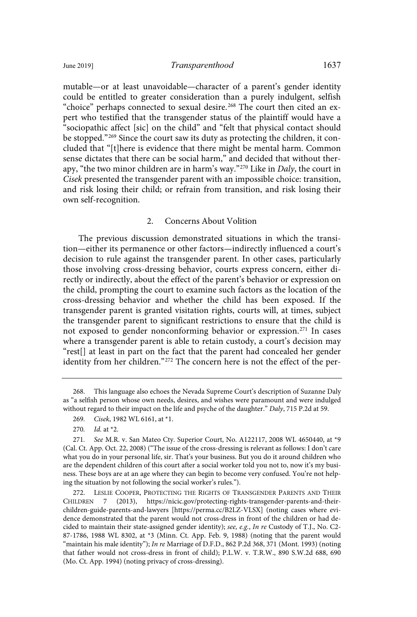mutable—or at least unavoidable—character of a parent's gender identity could be entitled to greater consideration than a purely indulgent, selfish "choice" perhaps connected to sexual desire.<sup>268</sup> The court then cited an expert who testified that the transgender status of the plaintiff would have a "sociopathic affect [sic] on the child" and "felt that physical contact should be stopped."<sup>269</sup> Since the court saw its duty as protecting the children, it concluded that "[t]here is evidence that there might be mental harm. Common sense dictates that there can be social harm," and decided that without therapy, "the two minor children are in harm's way."<sup>270</sup> Like in Daly, the court in Cisek presented the transgender parent with an impossible choice: transition, and risk losing their child; or refrain from transition, and risk losing their own self-recognition.

### 2. Concerns About Volition

The previous discussion demonstrated situations in which the transition—either its permanence or other factors—indirectly influenced a court's decision to rule against the transgender parent. In other cases, particularly those involving cross-dressing behavior, courts express concern, either directly or indirectly, about the effect of the parent's behavior or expression on the child, prompting the court to examine such factors as the location of the cross-dressing behavior and whether the child has been exposed. If the transgender parent is granted visitation rights, courts will, at times, subject the transgender parent to significant restrictions to ensure that the child is not exposed to gender nonconforming behavior or expression.<sup>271</sup> In cases where a transgender parent is able to retain custody, a court's decision may "rest[] at least in part on the fact that the parent had concealed her gender identity from her children."<sup>272</sup> The concern here is not the effect of the per-

<sup>268.</sup> This language also echoes the Nevada Supreme Court's description of Suzanne Daly as "a selfish person whose own needs, desires, and wishes were paramount and were indulged without regard to their impact on the life and psyche of the daughter." Daly, 715 P.2d at 59.

<sup>269.</sup> Cisek, 1982 WL 6161, at \*1.

<sup>270.</sup> *Id.* at  $*2$ .

<sup>271.</sup> See M.R. v. San Mateo Cty. Superior Court, No. A122117, 2008 WL 4650440, at \*9 (Cal. Ct. App. Oct. 22, 2008) ("The issue of the cross-dressing is relevant as follows: I don't care what you do in your personal life, sir. That's your business. But you do it around children who are the dependent children of this court after a social worker told you not to, now it's my business. These boys are at an age where they can begin to become very confused. You're not helping the situation by not following the social worker's rules.").

<sup>272.</sup> LESLIE COOPER, PROTECTING THE RIGHTS OF TRANSGENDER PARENTS AND THEIR CHILDREN 7 (2013), https://nicic.gov/protecting-rights-transgender-parents-and-theirchildren-guide-parents-and-lawyers [https://perma.cc/B2LZ-VLSX] (noting cases where evidence demonstrated that the parent would not cross-dress in front of the children or had decided to maintain their state-assigned gender identity); see, e.g., In re Custody of T.J., No. C2-87-1786, 1988 WL 8302, at \*3 (Minn. Ct. App. Feb. 9, 1988) (noting that the parent would "maintain his male identity"); In re Marriage of D.F.D., 862 P.2d 368, 371 (Mont. 1993) (noting that father would not cross-dress in front of child); P.L.W. v. T.R.W., 890 S.W.2d 688, 690 (Mo. Ct. App. 1994) (noting privacy of cross-dressing).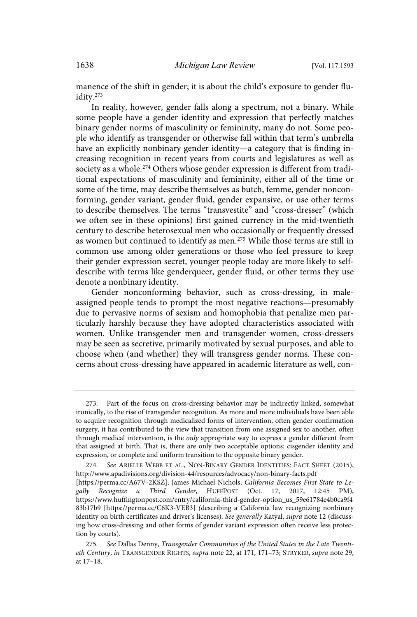manence of the shift in gender; it is about the child's exposure to gender fluidity.<sup>273</sup>

In reality, however, gender falls along a spectrum, not a binary. While some people have a gender identity and expression that perfectly matches binary gender norms of masculinity or femininity, many do not. Some people who identify as transgender or otherwise fall within that term's umbrella have an explicitly nonbinary gender identity—a category that is finding increasing recognition in recent years from courts and legislatures as well as society as a whole.<sup>274</sup> Others whose gender expression is different from traditional expectations of masculinity and femininity, either all of the time or some of the time, may describe themselves as butch, femme, gender nonconforming, gender variant, gender fluid, gender expansive, or use other terms to describe themselves. The terms "transvestite" and "cross-dresser" (which we often see in these opinions) first gained currency in the mid-twentieth century to describe heterosexual men who occasionally or frequently dressed as women but continued to identify as men.<sup>275</sup> While those terms are still in common use among older generations or those who feel pressure to keep their gender expression secret, younger people today are more likely to selfdescribe with terms like genderqueer, gender fluid, or other terms they use denote a nonbinary identity.

Gender nonconforming behavior, such as cross-dressing, in maleassigned people tends to prompt the most negative reactions—presumably due to pervasive norms of sexism and homophobia that penalize men particularly harshly because they have adopted characteristics associated with women. Unlike transgender men and transgender women, cross-dressers may be seen as secretive, primarily motivated by sexual purposes, and able to choose when (and whether) they will transgress gender norms. These concerns about cross-dressing have appeared in academic literature as well, con-

<sup>273.</sup> Part of the focus on cross-dressing behavior may be indirectly linked, somewhat ironically, to the rise of transgender recognition. As more and more individuals have been able to acquire recognition through medicalized forms of intervention, often gender confirmation surgery, it has contributed to the view that transition from one assigned sex to another, often through medical intervention, is the *only* appropriate way to express a gender different from that assigned at birth. That is, there are only two acceptable options: cisgender identity and expression, or complete and uniform transition to the opposite binary gender.

<sup>274.</sup> See ARIELLE WEBB ET AL., NON-BINARY GENDER IDENTITIES: FACT SHEET (2015), http://www.apadivisions.org/division-44/resources/advocacy/non-binary-facts.pdf [https://perma.cc/A67V-2KSZ]; James Michael Nichols, California Becomes First State to Legally Recognize a Third Gender, HUFFPOST (Oct. 17, 2017, 12:45 PM), https://www.huffingtonpost.com/entry/california-third-gender-option\_us\_59e61784e4b0ca9f4 83b17b9 [https://perma.cc/C6K3-VEB3] (describing a California law recognizing nonbinary identity on birth certificates and driver's licenses). See generally Katyal, supra note 12 (discussing how cross-dressing and other forms of gender variant expression often receive less protection by courts).

<sup>275.</sup> See Dallas Denny, Transgender Communities of the United States in the Late Twentieth Century, in TRANSGENDER RIGHTS, supra note 22, at 171, 171–73; STRYKER, supra note 29, at 17–18.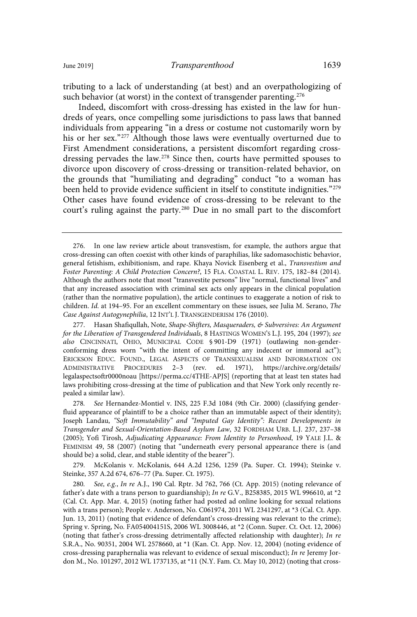Indeed, discomfort with cross-dressing has existed in the law for hundreds of years, once compelling some jurisdictions to pass laws that banned individuals from appearing "in a dress or costume not customarily worn by his or her sex."<sup>277</sup> Although those laws were eventually overturned due to First Amendment considerations, a persistent discomfort regarding crossdressing pervades the law.<sup>278</sup> Since then, courts have permitted spouses to divorce upon discovery of cross-dressing or transition-related behavior, on the grounds that "humiliating and degrading" conduct "to a woman has been held to provide evidence sufficient in itself to constitute indignities."<sup>279</sup> Other cases have found evidence of cross-dressing to be relevant to the court's ruling against the party.<sup>280</sup> Due in no small part to the discomfort

279. McKolanis v. McKolanis, 644 A.2d 1256, 1259 (Pa. Super. Ct. 1994); Steinke v. Steinke, 357 A.2d 674, 676–77 (Pa. Super. Ct. 1975).

<sup>276.</sup> In one law review article about transvestism, for example, the authors argue that cross-dressing can often coexist with other kinds of paraphilias, like sadomasochistic behavior, general fetishism, exhibitionism, and rape. Khaya Novick Eisenberg et al., Transvestism and Foster Parenting: A Child Protection Concern?, 15 FLA. COASTAL L. REV. 175, 182–84 (2014). Although the authors note that most "transvestite persons" live "normal, functional lives" and that any increased association with criminal sex acts only appears in the clinical population (rather than the normative population), the article continues to exaggerate a notion of risk to children. Id. at 194–95. For an excellent commentary on these issues, see Julia M. Serano, The Case Against Autogynephilia, 12 INT'L J. TRANSGENDERISM 176 (2010).

<sup>277.</sup> Hasan Shafiqullah, Note, Shape-Shifters, Masqueraders, & Subversives: An Argument for the Liberation of Transgendered Individuals, 8 HASTINGS WOMEN'S L.J. 195, 204 (1997); see also CINCINNATI, OHIO, MUNICIPAL CODE § 901-D9 (1971) (outlawing non-genderconforming dress worn "with the intent of committing any indecent or immoral act"); ERICKSON EDUC. FOUND., LEGAL ASPECTS OF TRANSEXUALISM AND INFORMATION ON ADMINISTRATIVE PROCEDURES 2–3 (rev. ed. 1971), https://archive.org/details/ legalaspectsoftr0000noau [https://perma.cc/4THE-APJS] (reporting that at least ten states had laws prohibiting cross-dressing at the time of publication and that New York only recently repealed a similar law).

<sup>278.</sup> See Hernandez-Montiel v. INS, 225 F.3d 1084 (9th Cir. 2000) (classifying genderfluid appearance of plaintiff to be a choice rather than an immutable aspect of their identity); Joseph Landau, "Soft Immutability" and "Imputed Gay Identity": Recent Developments in Transgender and Sexual-Orientation-Based Asylum Law, 32 FORDHAM URB. L.J. 237, 237–38 (2005); Yofi Tirosh, Adjudicating Appearance: From Identity to Personhood, 19 YALE J.L. & FEMINISM 49, 58 (2007) (noting that "underneath every personal appearance there is (and should be) a solid, clear, and stable identity of the bearer").

<sup>280.</sup> See, e.g., In re A.J., 190 Cal. Rptr. 3d 762, 766 (Ct. App. 2015) (noting relevance of father's date with a trans person to guardianship); In re G.V., B258385, 2015 WL 996610, at \*2 (Cal. Ct. App. Mar. 4, 2015) (noting father had posted ad online looking for sexual relations with a trans person); People v. Anderson, No. C061974, 2011 WL 2341297, at \*3 (Cal. Ct. App. Jun. 13, 2011) (noting that evidence of defendant's cross-dressing was relevant to the crime); Spring v. Spring, No. FA054004151S, 2006 WL 3008446, at \*2 (Conn. Super. Ct. Oct. 12, 2006) (noting that father's cross-dressing detrimentally affected relationship with daughter); In re S.R.A., No. 90351, 2004 WL 2578660, at \*1 (Kan. Ct. App. Nov. 12, 2004) (noting evidence of cross-dressing paraphernalia was relevant to evidence of sexual misconduct); In re Jeremy Jordon M., No. 101297, 2012 WL 1737135, at \*11 (N.Y. Fam. Ct. May 10, 2012) (noting that cross-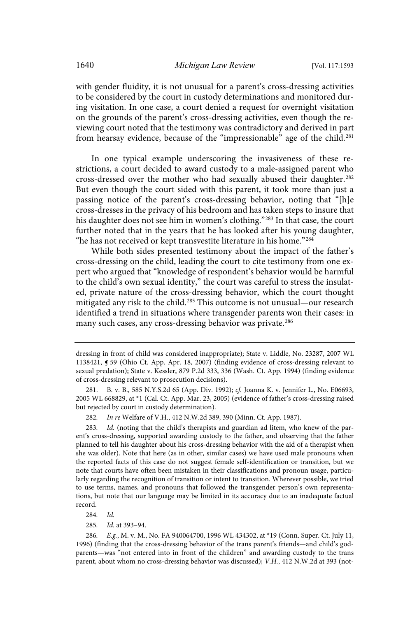with gender fluidity, it is not unusual for a parent's cross-dressing activities to be considered by the court in custody determinations and monitored during visitation. In one case, a court denied a request for overnight visitation on the grounds of the parent's cross-dressing activities, even though the reviewing court noted that the testimony was contradictory and derived in part from hearsay evidence, because of the "impressionable" age of the child.<sup>281</sup>

In one typical example underscoring the invasiveness of these restrictions, a court decided to award custody to a male-assigned parent who cross-dressed over the mother who had sexually abused their daughter.<sup>282</sup> But even though the court sided with this parent, it took more than just a passing notice of the parent's cross-dressing behavior, noting that "[h]e cross-dresses in the privacy of his bedroom and has taken steps to insure that his daughter does not see him in women's clothing."<sup>283</sup> In that case, the court further noted that in the years that he has looked after his young daughter, "he has not received or kept transvestite literature in his home."<sup>284</sup>

While both sides presented testimony about the impact of the father's cross-dressing on the child, leading the court to cite testimony from one expert who argued that "knowledge of respondent's behavior would be harmful to the child's own sexual identity," the court was careful to stress the insulated, private nature of the cross-dressing behavior, which the court thought mitigated any risk to the child.<sup>285</sup> This outcome is not unusual—our research identified a trend in situations where transgender parents won their cases: in many such cases, any cross-dressing behavior was private.<sup>286</sup>

285. Id. at 393-94.

286. E.g., M. v. M., No. FA 940064700, 1996 WL 434302, at \*19 (Conn. Super. Ct. July 11, 1996) (finding that the cross-dressing behavior of the trans parent's friends—and child's godparents—was "not entered into in front of the children" and awarding custody to the trans parent, about whom no cross-dressing behavior was discussed); V.H., 412 N.W.2d at 393 (not-

dressing in front of child was considered inappropriate); State v. Liddle, No. 23287, 2007 WL 1138421, ¶ 59 (Ohio Ct. App. Apr. 18, 2007) (finding evidence of cross-dressing relevant to sexual predation); State v. Kessler, 879 P.2d 333, 336 (Wash. Ct. App. 1994) (finding evidence of cross-dressing relevant to prosecution decisions).

<sup>281.</sup> B. v. B., 585 N.Y.S.2d 65 (App. Div. 1992); cf. Joanna K. v. Jennifer L., No. E06693, 2005 WL 668829, at \*1 (Cal. Ct. App. Mar. 23, 2005) (evidence of father's cross-dressing raised but rejected by court in custody determination).

<sup>282.</sup> In re Welfare of V.H., 412 N.W.2d 389, 390 (Minn. Ct. App. 1987).

<sup>283.</sup> Id. (noting that the child's therapists and guardian ad litem, who knew of the parent's cross-dressing, supported awarding custody to the father, and observing that the father planned to tell his daughter about his cross-dressing behavior with the aid of a therapist when she was older). Note that here (as in other, similar cases) we have used male pronouns when the reported facts of this case do not suggest female self-identification or transition, but we note that courts have often been mistaken in their classifications and pronoun usage, particularly regarding the recognition of transition or intent to transition. Wherever possible, we tried to use terms, names, and pronouns that followed the transgender person's own representations, but note that our language may be limited in its accuracy due to an inadequate factual record.

<sup>284.</sup> Id.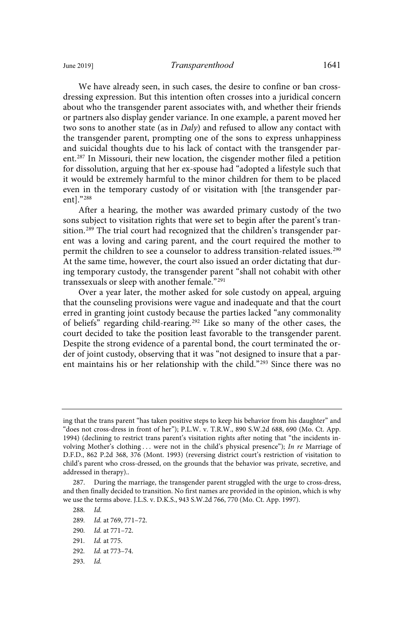We have already seen, in such cases, the desire to confine or ban crossdressing expression. But this intention often crosses into a juridical concern about who the transgender parent associates with, and whether their friends or partners also display gender variance. In one example, a parent moved her two sons to another state (as in Daly) and refused to allow any contact with the transgender parent, prompting one of the sons to express unhappiness and suicidal thoughts due to his lack of contact with the transgender parent.<sup>287</sup> In Missouri, their new location, the cisgender mother filed a petition for dissolution, arguing that her ex-spouse had "adopted a lifestyle such that it would be extremely harmful to the minor children for them to be placed even in the temporary custody of or visitation with [the transgender parent]."<sup>288</sup>

After a hearing, the mother was awarded primary custody of the two sons subject to visitation rights that were set to begin after the parent's transition.<sup>289</sup> The trial court had recognized that the children's transgender parent was a loving and caring parent, and the court required the mother to permit the children to see a counselor to address transition-related issues.<sup>290</sup> At the same time, however, the court also issued an order dictating that during temporary custody, the transgender parent "shall not cohabit with other transsexuals or sleep with another female."<sup>291</sup>

Over a year later, the mother asked for sole custody on appeal, arguing that the counseling provisions were vague and inadequate and that the court erred in granting joint custody because the parties lacked "any commonality of beliefs" regarding child-rearing.<sup>292</sup> Like so many of the other cases, the court decided to take the position least favorable to the transgender parent. Despite the strong evidence of a parental bond, the court terminated the order of joint custody, observing that it was "not designed to insure that a parent maintains his or her relationship with the child."<sup>293</sup> Since there was no

293. Id.

ing that the trans parent "has taken positive steps to keep his behavior from his daughter" and "does not cross-dress in front of her"); P.L.W. v. T.R.W., 890 S.W.2d 688, 690 (Mo. Ct. App. 1994) (declining to restrict trans parent's visitation rights after noting that "the incidents involving Mother's clothing . . . were not in the child's physical presence"); In re Marriage of D.F.D., 862 P.2d 368, 376 (Mont. 1993) (reversing district court's restriction of visitation to child's parent who cross-dressed, on the grounds that the behavior was private, secretive, and addressed in therapy)..

<sup>287.</sup> During the marriage, the transgender parent struggled with the urge to cross-dress, and then finally decided to transition. No first names are provided in the opinion, which is why we use the terms above. J.L.S. v. D.K.S., 943 S.W.2d 766, 770 (Mo. Ct. App. 1997).

<sup>288.</sup> Id.

<sup>289.</sup> Id. at 769, 771-72.

<sup>290.</sup> Id. at 771-72.

<sup>291.</sup> *Id.* at 775.

<sup>292.</sup> *Id.* at 773-74.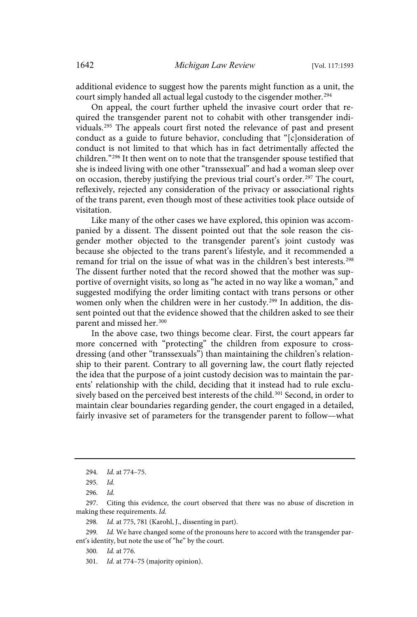additional evidence to suggest how the parents might function as a unit, the court simply handed all actual legal custody to the cisgender mother.<sup>294</sup>

On appeal, the court further upheld the invasive court order that required the transgender parent not to cohabit with other transgender individuals.<sup>295</sup> The appeals court first noted the relevance of past and present conduct as a guide to future behavior, concluding that "[c]onsideration of conduct is not limited to that which has in fact detrimentally affected the children."<sup>296</sup> It then went on to note that the transgender spouse testified that she is indeed living with one other "transsexual" and had a woman sleep over on occasion, thereby justifying the previous trial court's order.<sup>297</sup> The court, reflexively, rejected any consideration of the privacy or associational rights of the trans parent, even though most of these activities took place outside of visitation.

Like many of the other cases we have explored, this opinion was accompanied by a dissent. The dissent pointed out that the sole reason the cisgender mother objected to the transgender parent's joint custody was because she objected to the trans parent's lifestyle, and it recommended a remand for trial on the issue of what was in the children's best interests.<sup>298</sup> The dissent further noted that the record showed that the mother was supportive of overnight visits, so long as "he acted in no way like a woman," and suggested modifying the order limiting contact with trans persons or other women only when the children were in her custody.<sup>299</sup> In addition, the dissent pointed out that the evidence showed that the children asked to see their parent and missed her.<sup>300</sup>

In the above case, two things become clear. First, the court appears far more concerned with "protecting" the children from exposure to crossdressing (and other "transsexuals") than maintaining the children's relationship to their parent. Contrary to all governing law, the court flatly rejected the idea that the purpose of a joint custody decision was to maintain the parents' relationship with the child, deciding that it instead had to rule exclusively based on the perceived best interests of the child.<sup>301</sup> Second, in order to maintain clear boundaries regarding gender, the court engaged in a detailed, fairly invasive set of parameters for the transgender parent to follow—what

299. Id. We have changed some of the pronouns here to accord with the transgender parent's identity, but note the use of "he" by the court.

300. Id. at 776.

<sup>294.</sup> *Id.* at 774-75.

<sup>295.</sup> Id.

<sup>296</sup> . Id .

<sup>297.</sup> Citing this evidence, the court observed that there was no abuse of discretion in making these requirements. Id.

<sup>298.</sup> Id. at 775, 781 (Karohl, J., dissenting in part).

<sup>301.</sup> Id. at 774-75 (majority opinion).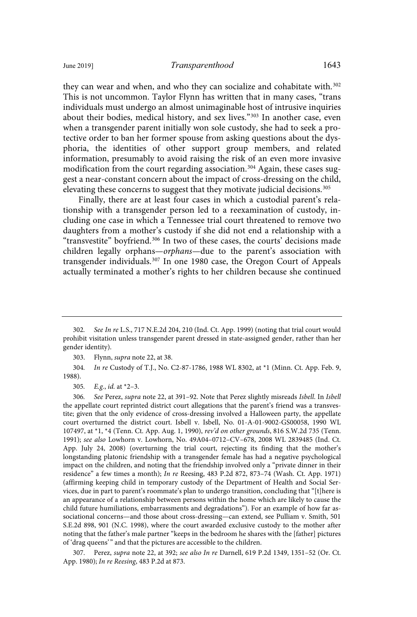they can wear and when, and who they can socialize and cohabitate with.<sup>302</sup> This is not uncommon. Taylor Flynn has written that in many cases, "trans individuals must undergo an almost unimaginable host of intrusive inquiries about their bodies, medical history, and sex lives."<sup>303</sup> In another case, even when a transgender parent initially won sole custody, she had to seek a protective order to ban her former spouse from asking questions about the dysphoria, the identities of other support group members, and related information, presumably to avoid raising the risk of an even more invasive modification from the court regarding association.<sup>304</sup> Again, these cases suggest a near-constant concern about the impact of cross-dressing on the child, elevating these concerns to suggest that they motivate judicial decisions.<sup>305</sup>

Finally, there are at least four cases in which a custodial parent's relationship with a transgender person led to a reexamination of custody, including one case in which a Tennessee trial court threatened to remove two daughters from a mother's custody if she did not end a relationship with a "transvestite" boyfriend.<sup>306</sup> In two of these cases, the courts' decisions made children legally orphans—orphans—due to the parent's association with transgender individuals.<sup>307</sup> In one 1980 case, the Oregon Court of Appeals actually terminated a mother's rights to her children because she continued

303. Flynn, supra note 22, at 38.

304. In re Custody of T.J., No. C2-87-1786, 1988 WL 8302, at \*1 (Minn. Ct. App. Feb. 9, 1988).

305. E.g., id. at  $*2-3$ .

306. See Perez, supra note 22, at 391-92. Note that Perez slightly misreads Isbell. In Isbell the appellate court reprinted district court allegations that the parent's friend was a transvestite; given that the only evidence of cross-dressing involved a Halloween party, the appellate court overturned the district court. Isbell v. Isbell, No. 01-A-01-9002-GS00058, 1990 WL 107497, at \*1, \*4 (Tenn. Ct. App. Aug. 1, 1990), rev'd on other grounds, 816 S.W.2d 735 (Tenn. 1991); see also Lowhorn v. Lowhorn, No. 49A04–0712–CV–678, 2008 WL 2839485 (Ind. Ct. App. July 24, 2008) (overturning the trial court, rejecting its finding that the mother's longstanding platonic friendship with a transgender female has had a negative psychological impact on the children, and noting that the friendship involved only a "private dinner in their residence" a few times a month); In re Reesing, 483 P.2d 872, 873–74 (Wash. Ct. App. 1971) (affirming keeping child in temporary custody of the Department of Health and Social Services, due in part to parent's roommate's plan to undergo transition, concluding that "[t]here is an appearance of a relationship between persons within the home which are likely to cause the child future humiliations, embarrassments and degradations"). For an example of how far associational concerns—and those about cross-dressing—can extend, see Pulliam v. Smith, 501 S.E.2d 898, 901 (N.C. 1998), where the court awarded exclusive custody to the mother after noting that the father's male partner "keeps in the bedroom he shares with the [father] pictures of 'drag queens' " and that the pictures are accessible to the children.

307. Perez, supra note 22, at 392; see also In re Darnell, 619 P.2d 1349, 1351–52 (Or. Ct. App. 1980); In re Reesing, 483 P.2d at 873.

<sup>302.</sup> See In re L.S., 717 N.E.2d 204, 210 (Ind. Ct. App. 1999) (noting that trial court would prohibit visitation unless transgender parent dressed in state-assigned gender, rather than her gender identity).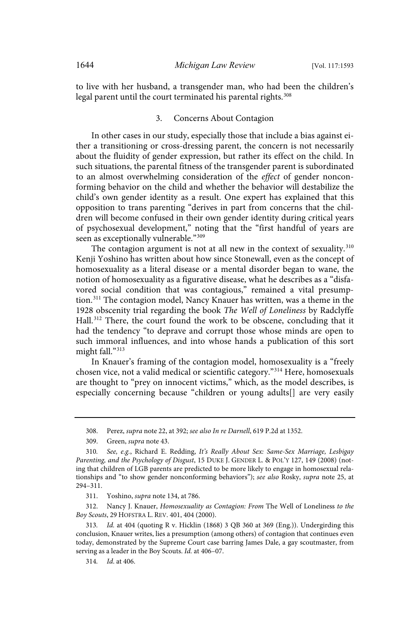to live with her husband, a transgender man, who had been the children's legal parent until the court terminated his parental rights.<sup>308</sup>

#### 3. Concerns About Contagion

In other cases in our study, especially those that include a bias against either a transitioning or cross-dressing parent, the concern is not necessarily about the fluidity of gender expression, but rather its effect on the child. In such situations, the parental fitness of the transgender parent is subordinated to an almost overwhelming consideration of the effect of gender nonconforming behavior on the child and whether the behavior will destabilize the child's own gender identity as a result. One expert has explained that this opposition to trans parenting "derives in part from concerns that the children will become confused in their own gender identity during critical years of psychosexual development," noting that the "first handful of years are seen as exceptionally vulnerable."<sup>309</sup>

The contagion argument is not at all new in the context of sexuality.<sup>310</sup> Kenji Yoshino has written about how since Stonewall, even as the concept of homosexuality as a literal disease or a mental disorder began to wane, the notion of homosexuality as a figurative disease, what he describes as a "disfavored social condition that was contagious," remained a vital presumption.<sup>311</sup> The contagion model, Nancy Knauer has written, was a theme in the 1928 obscenity trial regarding the book The Well of Loneliness by Radclyffe Hall.<sup>312</sup> There, the court found the work to be obscene, concluding that it had the tendency "to deprave and corrupt those whose minds are open to such immoral influences, and into whose hands a publication of this sort might fall."<sup>313</sup>

In Knauer's framing of the contagion model, homosexuality is a "freely chosen vice, not a valid medical or scientific category."<sup>314</sup> Here, homosexuals are thought to "prey on innocent victims," which, as the model describes, is especially concerning because "children or young adults[] are very easily

312. Nancy J. Knauer, Homosexuality as Contagion: From The Well of Loneliness to the Boy Scouts, 29 HOFSTRA L. REV. 401, 404 (2000).

313. Id. at 404 (quoting R v. Hicklin (1868) 3 QB 360 at 369 (Eng.)). Undergirding this conclusion, Knauer writes, lies a presumption (among others) of contagion that continues even today, demonstrated by the Supreme Court case barring James Dale, a gay scoutmaster, from serving as a leader in the Boy Scouts. Id. at 406-07.

<sup>308.</sup> Perez, supra note 22, at 392; see also In re Darnell, 619 P.2d at 1352.

<sup>309.</sup> Green, supra note 43.

<sup>310.</sup> See, e.g., Richard E. Redding, It's Really About Sex: Same-Sex Marriage, Lesbigay Parenting, and the Psychology of Disgust, 15 DUKE J. GENDER L. & POL'Y 127, 149 (2008) (noting that children of LGB parents are predicted to be more likely to engage in homosexual relationships and "to show gender nonconforming behaviors"); see also Rosky, supra note 25, at 294–311.

<sup>311.</sup> Yoshino, supra note 134, at 786.

<sup>314.</sup> *Id.* at 406.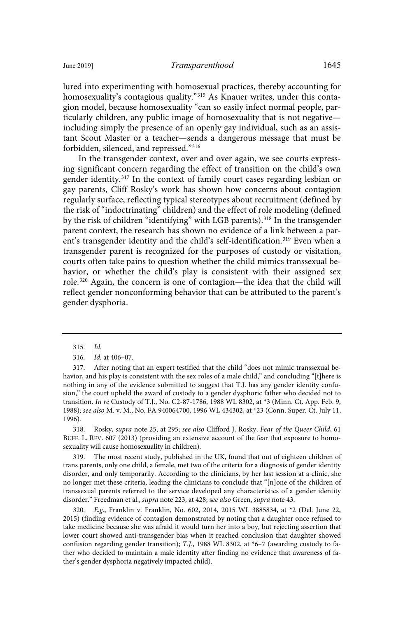lured into experimenting with homosexual practices, thereby accounting for homosexuality's contagious quality."<sup>315</sup> As Knauer writes, under this contagion model, because homosexuality "can so easily infect normal people, particularly children, any public image of homosexuality that is not negative including simply the presence of an openly gay individual, such as an assistant Scout Master or a teacher—sends a dangerous message that must be forbidden, silenced, and repressed."<sup>316</sup>

In the transgender context, over and over again, we see courts expressing significant concern regarding the effect of transition on the child's own gender identity.<sup>317</sup> In the context of family court cases regarding lesbian or gay parents, Cliff Rosky's work has shown how concerns about contagion regularly surface, reflecting typical stereotypes about recruitment (defined by the risk of "indoctrinating" children) and the effect of role modeling (defined by the risk of children "identifying" with LGB parents).<sup>318</sup> In the transgender parent context, the research has shown no evidence of a link between a parent's transgender identity and the child's self-identification.<sup>319</sup> Even when a transgender parent is recognized for the purposes of custody or visitation, courts often take pains to question whether the child mimics transsexual behavior, or whether the child's play is consistent with their assigned sex role.<sup>320</sup> Again, the concern is one of contagion—the idea that the child will reflect gender nonconforming behavior that can be attributed to the parent's gender dysphoria.

 $315.$   $Id.$ 

317. After noting that an expert testified that the child "does not mimic transsexual behavior, and his play is consistent with the sex roles of a male child," and concluding "[t]here is nothing in any of the evidence submitted to suggest that T.J. has any gender identity confusion," the court upheld the award of custody to a gender dysphoric father who decided not to transition. In re Custody of T.J., No. C2-87-1786, 1988 WL 8302, at \*3 (Minn. Ct. App. Feb. 9, 1988); see also M. v. M., No. FA 940064700, 1996 WL 434302, at \*23 (Conn. Super. Ct. July 11, 1996).

318. Rosky, supra note 25, at 295; see also Clifford J. Rosky, Fear of the Queer Child, 61 BUFF. L. REV. 607 (2013) (providing an extensive account of the fear that exposure to homosexuality will cause homosexuality in children).

319. The most recent study, published in the UK, found that out of eighteen children of trans parents, only one child, a female, met two of the criteria for a diagnosis of gender identity disorder, and only temporarily. According to the clinicians, by her last session at a clinic, she no longer met these criteria, leading the clinicians to conclude that "[n]one of the children of transsexual parents referred to the service developed any characteristics of a gender identity disorder." Freedman et al., supra note 223, at 428; see also Green, supra note 43.

320. E.g., Franklin v. Franklin, No. 602, 2014, 2015 WL 3885834, at \*2 (Del. June 22, 2015) (finding evidence of contagion demonstrated by noting that a daughter once refused to take medicine because she was afraid it would turn her into a boy, but rejecting assertion that lower court showed anti-transgender bias when it reached conclusion that daughter showed confusion regarding gender transition); T.J., 1988 WL 8302, at \*6-7 (awarding custody to father who decided to maintain a male identity after finding no evidence that awareness of father's gender dysphoria negatively impacted child).

<sup>316.</sup> *Id.* at 406–07.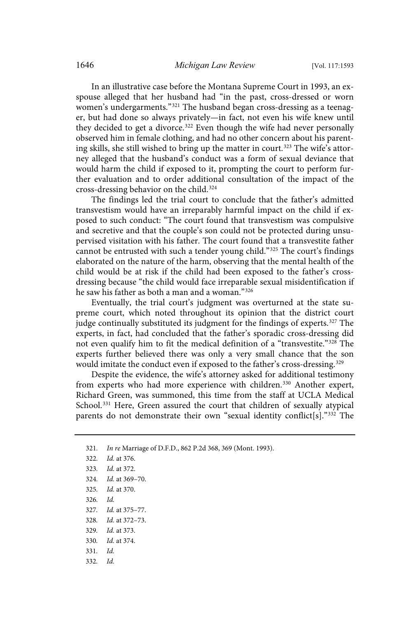In an illustrative case before the Montana Supreme Court in 1993, an exspouse alleged that her husband had "in the past, cross-dressed or worn women's undergarments." <sup>321</sup> The husband began cross-dressing as a teenager, but had done so always privately—in fact, not even his wife knew until they decided to get a divorce.<sup>322</sup> Even though the wife had never personally observed him in female clothing, and had no other concern about his parenting skills, she still wished to bring up the matter in court.<sup>323</sup> The wife's attorney alleged that the husband's conduct was a form of sexual deviance that would harm the child if exposed to it, prompting the court to perform further evaluation and to order additional consultation of the impact of the cross-dressing behavior on the child.<sup>324</sup>

The findings led the trial court to conclude that the father's admitted transvestism would have an irreparably harmful impact on the child if exposed to such conduct: "The court found that transvestism was compulsive and secretive and that the couple's son could not be protected during unsupervised visitation with his father. The court found that a transvestite father cannot be entrusted with such a tender young child."<sup>325</sup> The court's findings elaborated on the nature of the harm, observing that the mental health of the child would be at risk if the child had been exposed to the father's crossdressing because "the child would face irreparable sexual misidentification if he saw his father as both a man and a woman."<sup>326</sup>

Eventually, the trial court's judgment was overturned at the state supreme court, which noted throughout its opinion that the district court judge continually substituted its judgment for the findings of experts.<sup>327</sup> The experts, in fact, had concluded that the father's sporadic cross-dressing did not even qualify him to fit the medical definition of a "transvestite."<sup>328</sup> The experts further believed there was only a very small chance that the son would imitate the conduct even if exposed to the father's cross-dressing.<sup>329</sup>

Despite the evidence, the wife's attorney asked for additional testimony from experts who had more experience with children.<sup>330</sup> Another expert, Richard Green, was summoned, this time from the staff at UCLA Medical School.<sup>331</sup> Here, Green assured the court that children of sexually atypical parents do not demonstrate their own "sexual identity conflict[s]."<sup>332</sup> The

- 322. *Id.* at 376.
- 323. *Id.* at 372.
- 324. *Id.* at 369-70.
- 325. *Id.* at 370.
- $326.$   $Id.$
- 327. *Id.* at 375-77.
- 328. *Id.* at 372-73.
- 329. *Id.* at 373.
- 330. *Id.* at 374.
- $331.$   $Id.$
- 332. Id.

<sup>321.</sup> In re Marriage of D.F.D., 862 P.2d 368, 369 (Mont. 1993).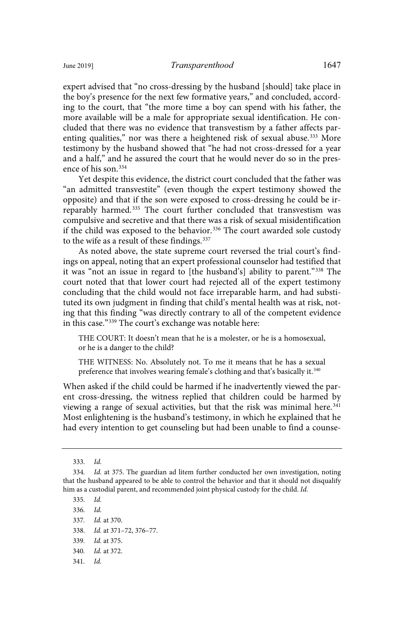expert advised that "no cross-dressing by the husband [should] take place in the boy's presence for the next few formative years," and concluded, according to the court, that "the more time a boy can spend with his father, the more available will be a male for appropriate sexual identification. He concluded that there was no evidence that transvestism by a father affects parenting qualities," nor was there a heightened risk of sexual abuse.<sup>333</sup> More testimony by the husband showed that "he had not cross-dressed for a year and a half," and he assured the court that he would never do so in the presence of his son.<sup>334</sup>

Yet despite this evidence, the district court concluded that the father was "an admitted transvestite" (even though the expert testimony showed the opposite) and that if the son were exposed to cross-dressing he could be irreparably harmed.<sup>335</sup> The court further concluded that transvestism was compulsive and secretive and that there was a risk of sexual misidentification if the child was exposed to the behavior.<sup>336</sup> The court awarded sole custody to the wife as a result of these findings.<sup>337</sup>

As noted above, the state supreme court reversed the trial court's findings on appeal, noting that an expert professional counselor had testified that it was "not an issue in regard to [the husband's] ability to parent."<sup>338</sup> The court noted that that lower court had rejected all of the expert testimony concluding that the child would not face irreparable harm, and had substituted its own judgment in finding that child's mental health was at risk, noting that this finding "was directly contrary to all of the competent evidence in this case."<sup>339</sup> The court's exchange was notable here:

THE COURT: It doesn't mean that he is a molester, or he is a homosexual, or he is a danger to the child?

THE WITNESS: No. Absolutely not. To me it means that he has a sexual preference that involves wearing female's clothing and that's basically it.<sup>340</sup>

When asked if the child could be harmed if he inadvertently viewed the parent cross-dressing, the witness replied that children could be harmed by viewing a range of sexual activities, but that the risk was minimal here.<sup>341</sup> Most enlightening is the husband's testimony, in which he explained that he had every intention to get counseling but had been unable to find a counse-

335. Id. 336. Id. 337. *Id.* at 370. 338. Id. at 371-72, 376-77.

- 339. *Id.* at 375.
- 340. *Id.* at 372.
- 341. Id.

 $333.$   $Id.$ 

<sup>334.</sup> Id. at 375. The guardian ad litem further conducted her own investigation, noting that the husband appeared to be able to control the behavior and that it should not disqualify him as a custodial parent, and recommended joint physical custody for the child. Id.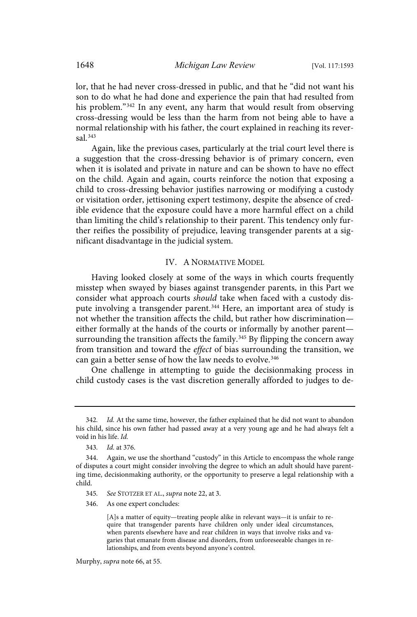lor, that he had never cross-dressed in public, and that he "did not want his son to do what he had done and experience the pain that had resulted from his problem."<sup>342</sup> In any event, any harm that would result from observing cross-dressing would be less than the harm from not being able to have a normal relationship with his father, the court explained in reaching its reversal.<sup>343</sup>

Again, like the previous cases, particularly at the trial court level there is a suggestion that the cross-dressing behavior is of primary concern, even when it is isolated and private in nature and can be shown to have no effect on the child. Again and again, courts reinforce the notion that exposing a child to cross-dressing behavior justifies narrowing or modifying a custody or visitation order, jettisoning expert testimony, despite the absence of credible evidence that the exposure could have a more harmful effect on a child than limiting the child's relationship to their parent. This tendency only further reifies the possibility of prejudice, leaving transgender parents at a significant disadvantage in the judicial system.

# IV. A NORMATIVE MODEL

Having looked closely at some of the ways in which courts frequently misstep when swayed by biases against transgender parents, in this Part we consider what approach courts should take when faced with a custody dispute involving a transgender parent.<sup>344</sup> Here, an important area of study is not whether the transition affects the child, but rather how discrimination either formally at the hands of the courts or informally by another parent surrounding the transition affects the family.<sup>345</sup> By flipping the concern away from transition and toward the effect of bias surrounding the transition, we can gain a better sense of how the law needs to evolve.<sup>346</sup>

One challenge in attempting to guide the decisionmaking process in child custody cases is the vast discretion generally afforded to judges to de-

[A]s a matter of equity—treating people alike in relevant ways—it is unfair to require that transgender parents have children only under ideal circumstances, when parents elsewhere have and rear children in ways that involve risks and vagaries that emanate from disease and disorders, from unforeseeable changes in relationships, and from events beyond anyone's control.

<sup>342.</sup> Id. At the same time, however, the father explained that he did not want to abandon his child, since his own father had passed away at a very young age and he had always felt a void in his life. Id.

<sup>343.</sup> *Id.* at 376.

<sup>344.</sup> Again, we use the shorthand "custody" in this Article to encompass the whole range of disputes a court might consider involving the degree to which an adult should have parenting time, decisionmaking authority, or the opportunity to preserve a legal relationship with a child.

<sup>345.</sup> See STOTZER ET AL., supra note 22, at 3.

<sup>346.</sup> As one expert concludes: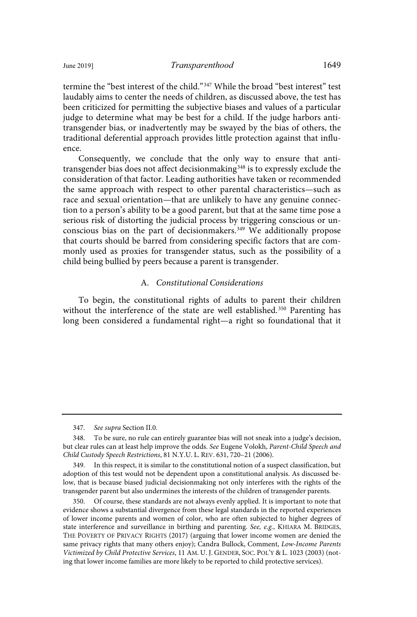termine the "best interest of the child."<sup>347</sup> While the broad "best interest" test laudably aims to center the needs of children, as discussed above, the test has been criticized for permitting the subjective biases and values of a particular judge to determine what may be best for a child. If the judge harbors antitransgender bias, or inadvertently may be swayed by the bias of others, the traditional deferential approach provides little protection against that influence.

Consequently, we conclude that the only way to ensure that antitransgender bias does not affect decisionmaking<sup>348</sup> is to expressly exclude the consideration of that factor. Leading authorities have taken or recommended the same approach with respect to other parental characteristics—such as race and sexual orientation—that are unlikely to have any genuine connection to a person's ability to be a good parent, but that at the same time pose a serious risk of distorting the judicial process by triggering conscious or unconscious bias on the part of decisionmakers.<sup>349</sup> We additionally propose that courts should be barred from considering specific factors that are commonly used as proxies for transgender status, such as the possibility of a child being bullied by peers because a parent is transgender.

# A. Constitutional Considerations

To begin, the constitutional rights of adults to parent their children without the interference of the state are well established.<sup>350</sup> Parenting has long been considered a fundamental right—a right so foundational that it

<sup>347.</sup> See supra Section II.0.

<sup>348.</sup> To be sure, no rule can entirely guarantee bias will not sneak into a judge's decision, but clear rules can at least help improve the odds. See Eugene Volokh, Parent-Child Speech and Child Custody Speech Restrictions, 81 N.Y.U. L. REV. 631, 720–21 (2006).

<sup>349.</sup> In this respect, it is similar to the constitutional notion of a suspect classification, but adoption of this test would not be dependent upon a constitutional analysis. As discussed below, that is because biased judicial decisionmaking not only interferes with the rights of the transgender parent but also undermines the interests of the children of transgender parents.

<sup>350.</sup> Of course, these standards are not always evenly applied. It is important to note that evidence shows a substantial divergence from these legal standards in the reported experiences of lower income parents and women of color, who are often subjected to higher degrees of state interference and surveillance in birthing and parenting. See, e.g., KHIARA M. BRIDGES, THE POVERTY OF PRIVACY RIGHTS (2017) (arguing that lower income women are denied the same privacy rights that many others enjoy); Candra Bullock, Comment, Low-Income Parents Victimized by Child Protective Services, 11 AM. U. J. GENDER, SOC. POL'Y & L. 1023 (2003) (noting that lower income families are more likely to be reported to child protective services).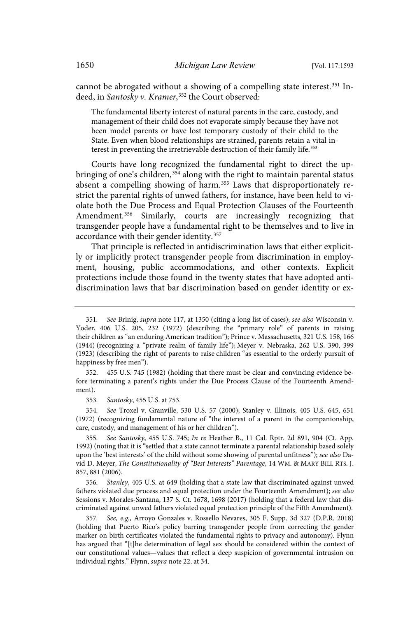cannot be abrogated without a showing of a compelling state interest.<sup>351</sup> Indeed, in Santosky v. Kramer,<sup>352</sup> the Court observed:

The fundamental liberty interest of natural parents in the care, custody, and management of their child does not evaporate simply because they have not been model parents or have lost temporary custody of their child to the State. Even when blood relationships are strained, parents retain a vital interest in preventing the irretrievable destruction of their family life.<sup>353</sup>

Courts have long recognized the fundamental right to direct the upbringing of one's children,<sup>354</sup> along with the right to maintain parental status absent a compelling showing of harm.<sup>355</sup> Laws that disproportionately restrict the parental rights of unwed fathers, for instance, have been held to violate both the Due Process and Equal Protection Clauses of the Fourteenth Amendment.<sup>356</sup> Similarly, courts are increasingly recognizing that transgender people have a fundamental right to be themselves and to live in accordance with their gender identity.<sup>357</sup>

That principle is reflected in antidiscrimination laws that either explicitly or implicitly protect transgender people from discrimination in employment, housing, public accommodations, and other contexts. Explicit protections include those found in the twenty states that have adopted antidiscrimination laws that bar discrimination based on gender identity or ex-

352. 455 U.S. 745 (1982) (holding that there must be clear and convincing evidence before terminating a parent's rights under the Due Process Clause of the Fourteenth Amendment).

353 . Santosky, 455 U.S. at 753.

354 . See Troxel v. Granville, 530 U.S. 57 (2000); Stanley v. Illinois, 405 U.S. 645, 651 (1972) (recognizing fundamental nature of "the interest of a parent in the companionship, care, custody, and management of his or her children").

355 . See Santosky, 455 U.S. 745; In re Heather B., 11 Cal. Rptr. 2d 891, 904 (Ct. App. 1992) (noting that it is "settled that a state cannot terminate a parental relationship based solely upon the 'best interests' of the child without some showing of parental unfitness"); see also David D. Meyer, The Constitutionality of "Best Interests" Parentage, 14 WM. & MARY BILL RTS. J. 857, 881 (2006).

356. Stanley, 405 U.S. at 649 (holding that a state law that discriminated against unwed fathers violated due process and equal protection under the Fourteenth Amendment); see also Sessions v. Morales-Santana, 137 S. Ct. 1678, 1698 (2017) (holding that a federal law that discriminated against unwed fathers violated equal protection principle of the Fifth Amendment).

357. See, e.g., Arroyo Gonzales v. Rossello Nevares, 305 F. Supp. 3d 327 (D.P.R. 2018) (holding that Puerto Rico's policy barring transgender people from correcting the gender marker on birth certificates violated the fundamental rights to privacy and autonomy). Flynn has argued that "[t]he determination of legal sex should be considered within the context of our constitutional values—values that reflect a deep suspicion of governmental intrusion on individual rights." Flynn, supra note 22, at 34.

<sup>351.</sup> See Brinig, supra note 117, at 1350 (citing a long list of cases); see also Wisconsin v. Yoder, 406 U.S. 205, 232 (1972) (describing the "primary role" of parents in raising their children as "an enduring American tradition"); Prince v. Massachusetts, 321 U.S. 158, 166 (1944) (recognizing a "private realm of family life"); Meyer v. Nebraska, 262 U.S. 390, 399 (1923) (describing the right of parents to raise children "as essential to the orderly pursuit of happiness by free men").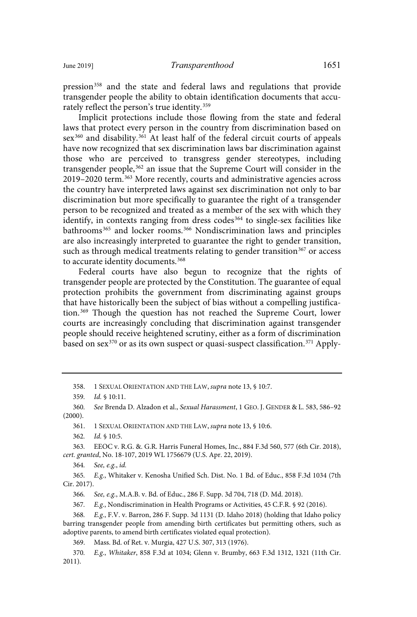pression<sup>358</sup> and the state and federal laws and regulations that provide transgender people the ability to obtain identification documents that accurately reflect the person's true identity.<sup>359</sup>

Implicit protections include those flowing from the state and federal laws that protect every person in the country from discrimination based on sex<sup>360</sup> and disability.<sup>361</sup> At least half of the federal circuit courts of appeals have now recognized that sex discrimination laws bar discrimination against those who are perceived to transgress gender stereotypes, including transgender people,<sup>362</sup> an issue that the Supreme Court will consider in the 2019–2020 term.<sup>363</sup> More recently, courts and administrative agencies across the country have interpreted laws against sex discrimination not only to bar discrimination but more specifically to guarantee the right of a transgender person to be recognized and treated as a member of the sex with which they identify, in contexts ranging from dress codes<sup>364</sup> to single-sex facilities like bathrooms<sup>365</sup> and locker rooms.<sup>366</sup> Nondiscrimination laws and principles are also increasingly interpreted to guarantee the right to gender transition, such as through medical treatments relating to gender transition<sup>367</sup> or access to accurate identity documents.<sup>368</sup>

Federal courts have also begun to recognize that the rights of transgender people are protected by the Constitution. The guarantee of equal protection prohibits the government from discriminating against groups that have historically been the subject of bias without a compelling justification.<sup>369</sup> Though the question has not reached the Supreme Court, lower courts are increasingly concluding that discrimination against transgender people should receive heightened scrutiny, either as a form of discrimination based on sex $370$  or as its own suspect or quasi-suspect classification.<sup>371</sup> Apply-

362. *Id.* § 10:5.

363 . EEOC v. R.G. &. G.R. Harris Funeral Homes, Inc., 884 F.3d 560, 577 (6th Cir. 2018), cert. granted, No. 18-107, 2019 WL 1756679 (U.S. Apr. 22, 2019).

364. See, e.g., id.

365. E.g., Whitaker v. Kenosha Unified Sch. Dist. No. 1 Bd. of Educ., 858 F.3d 1034 (7th Cir. 2017).

366. See, e.g., M.A.B. v. Bd. of Educ., 286 F. Supp. 3d 704, 718 (D. Md. 2018).

367. E.g., Nondiscrimination in Health Programs or Activities, 45 C.F.R. § 92 (2016).

368. E.g., F.V. v. Barron, 286 F. Supp. 3d 1131 (D. Idaho 2018) (holding that Idaho policy barring transgender people from amending birth certificates but permitting others, such as adoptive parents, to amend birth certificates violated equal protection).

369. Mass. Bd. of Ret. v. Murgia, 427 U.S. 307, 313 (1976).

370. E.g., Whitaker, 858 F.3d at 1034; Glenn v. Brumby, 663 F.3d 1312, 1321 (11th Cir. 2011).

<sup>358. 1</sup> SEXUAL ORIENTATION AND THE LAW, supra note 13, § 10:7.

<sup>359.</sup> *Id.* § 10:11.

<sup>360.</sup> See Brenda D. Alzadon et al., Sexual Harassment, 1 GEO. J. GENDER & L. 583, 586-92 (2000).

<sup>361. 1</sup> SEXUAL ORIENTATION AND THE LAW, supra note 13, § 10:6.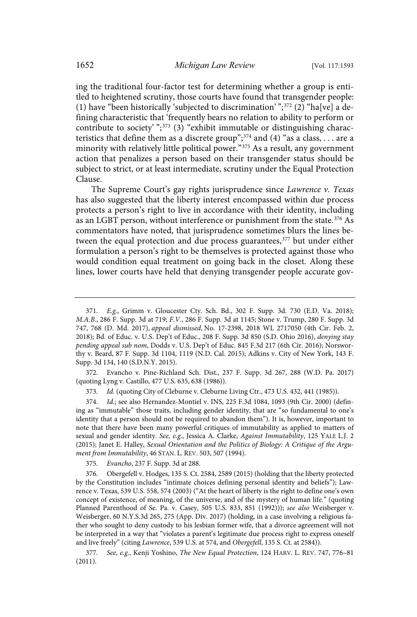ing the traditional four-factor test for determining whether a group is entitled to heightened scrutiny, those courts have found that transgender people: (1) have "been historically 'subjected to discrimination' "; $372$  (2) "ha[ve] a defining characteristic that 'frequently bears no relation to ability to perform or contribute to society' ";<sup>373</sup> (3) "exhibit immutable or distinguishing characteristics that define them as a discrete group";<sup>374</sup> and (4) "as a class, . . . are a minority with relatively little political power."<sup>375</sup> As a result, any government action that penalizes a person based on their transgender status should be subject to strict, or at least intermediate, scrutiny under the Equal Protection Clause.

The Supreme Court's gay rights jurisprudence since Lawrence v. Texas has also suggested that the liberty interest encompassed within due process protects a person's right to live in accordance with their identity, including as an LGBT person, without interference or punishment from the state.<sup>376</sup> As commentators have noted, that jurisprudence sometimes blurs the lines between the equal protection and due process guarantees,<sup>377</sup> but under either formulation a person's right to be themselves is protected against those who would condition equal treatment on going back in the closet. Along these lines, lower courts have held that denying transgender people accurate gov-

372. Evancho v. Pine-Richland Sch. Dist., 237 F. Supp. 3d 267, 288 (W.D. Pa. 2017) (quoting Lyng v. Castillo, 477 U.S. 635, 638 (1986)).

373. Id. (quoting City of Cleburne v. Cleburne Living Ctr., 473 U.S. 432, 441 (1985)).

374. Id.; see also Hernandez-Montiel v. INS, 225 F.3d 1084, 1093 (9th Cir. 2000) (defining as "immutable" those traits, including gender identity, that are "so fundamental to one's identity that a person should not be required to abandon them"). It is, however, important to note that there have been many powerful critiques of immutability as applied to matters of sexual and gender identity. See, e.g., Jessica A. Clarke, Against Immutability, 125 YALE L.J. 2 (2015); Janet E. Halley, Sexual Orientation and the Politics of Biology: A Critique of the Argument from Immutability, 46 STAN. L. REV. 503, 507 (1994).

375. Evancho, 237 F. Supp. 3d at 288.

376. Obergefell v. Hodges, 135 S. Ct. 2584, 2589 (2015) (holding that the liberty protected by the Constitution includes "intimate choices defining personal identity and beliefs"); Lawrence v. Texas, 539 U.S. 558, 574 (2003) ("At the heart of liberty is the right to define one's own concept of existence, of meaning, of the universe, and of the mystery of human life." (quoting Planned Parenthood of Se. Pa. v. Casey, 505 U.S. 833, 851 (1992))); see also Weisberger v. Weisberger, 60 N.Y.S.3d 265, 275 (App. Div. 2017) (holding, in a case involving a religious father who sought to deny custody to his lesbian former wife, that a divorce agreement will not be interpreted in a way that "violates a parent's legitimate due process right to express oneself and live freely" (citing Lawrence, 539 U.S. at 574, and Obergefell, 135 S. Ct. at 2584)).

377. See, e.g., Kenji Yoshino, The New Equal Protection, 124 HARV. L. REV. 747, 776-81 (2011).

<sup>371.</sup> E.g., Grimm v. Gloucester Cty. Sch. Bd., 302 F. Supp. 3d. 730 (E.D. Va. 2018); M.A.B., 286 F. Supp. 3d at 719; F.V., 286 F. Supp. 3d at 1145; Stone v. Trump, 280 F. Supp. 3d 747, 768 (D. Md. 2017), appeal dismissed, No. 17-2398, 2018 WL 2717050 (4th Cir. Feb. 2, 2018); Bd. of Educ. v. U.S. Dep't of Educ., 208 F. Supp. 3d 850 (S.D. Ohio 2016), denying stay pending appeal sub nom, Dodds v. U.S. Dep't of Educ. 845 F.3d 217 (6th Cir. 2016); Norsworthy v. Beard, 87 F. Supp. 3d 1104, 1119 (N.D. Cal. 2015); Adkins v. City of New York, 143 F. Supp. 3d 134, 140 (S.D.N.Y. 2015).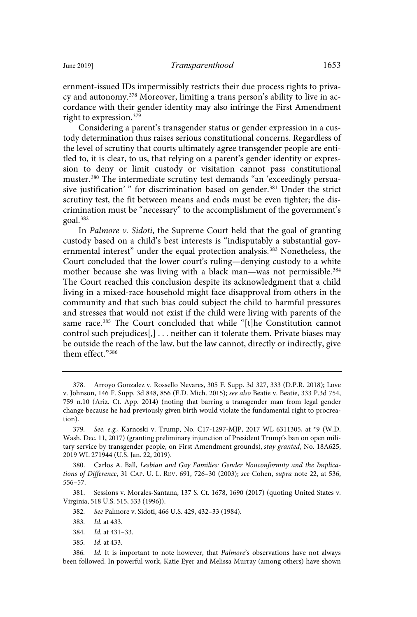ernment-issued IDs impermissibly restricts their due process rights to privacy and autonomy.<sup>378</sup> Moreover, limiting a trans person's ability to live in accordance with their gender identity may also infringe the First Amendment right to expression.<sup>379</sup>

Considering a parent's transgender status or gender expression in a custody determination thus raises serious constitutional concerns. Regardless of the level of scrutiny that courts ultimately agree transgender people are entitled to, it is clear, to us, that relying on a parent's gender identity or expression to deny or limit custody or visitation cannot pass constitutional muster.<sup>380</sup> The intermediate scrutiny test demands "an 'exceedingly persuasive justification'" for discrimination based on gender.<sup>381</sup> Under the strict scrutiny test, the fit between means and ends must be even tighter; the discrimination must be "necessary" to the accomplishment of the government's goal.<sup>382</sup>

In Palmore v. Sidoti, the Supreme Court held that the goal of granting custody based on a child's best interests is "indisputably a substantial governmental interest" under the equal protection analysis.<sup>383</sup> Nonetheless, the Court concluded that the lower court's ruling—denying custody to a white mother because she was living with a black man—was not permissible.<sup>384</sup> The Court reached this conclusion despite its acknowledgment that a child living in a mixed-race household might face disapproval from others in the community and that such bias could subject the child to harmful pressures and stresses that would not exist if the child were living with parents of the same race.<sup>385</sup> The Court concluded that while "[t]he Constitution cannot control such prejudices[,] . . . neither can it tolerate them. Private biases may be outside the reach of the law, but the law cannot, directly or indirectly, give them effect."<sup>386</sup>

380. Carlos A. Ball, Lesbian and Gay Families: Gender Nonconformity and the Implications of Difference, 31 CAP. U. L. REV. 691, 726–30 (2003); see Cohen, supra note 22, at 536, 556–57.

381. Sessions v. Morales-Santana, 137 S. Ct. 1678, 1690 (2017) (quoting United States v. Virginia, 518 U.S. 515, 533 (1996)).

382 . See Palmore v. Sidoti, 466 U.S. 429, 432–33 (1984).

- 384. *Id.* at 431-33.
- 385. *Id.* at 433.

<sup>378.</sup> Arroyo Gonzalez v. Rossello Nevares, 305 F. Supp. 3d 327, 333 (D.P.R. 2018); Love v. Johnson, 146 F. Supp. 3d 848, 856 (E.D. Mich. 2015); see also Beatie v. Beatie, 333 P.3d 754, 759 n.10 (Ariz. Ct. App. 2014) (noting that barring a transgender man from legal gender change because he had previously given birth would violate the fundamental right to procreation).

<sup>379.</sup> See, e.g., Karnoski v. Trump, No. C17-1297-MJP, 2017 WL 6311305, at \*9 (W.D. Wash. Dec. 11, 2017) (granting preliminary injunction of President Trump's ban on open military service by transgender people, on First Amendment grounds), stay granted, No. 18A625, 2019 WL 271944 (U.S. Jan. 22, 2019).

<sup>383.</sup> *Id.* at 433.

<sup>386.</sup> Id. It is important to note however, that *Palmore's* observations have not always been followed. In powerful work, Katie Eyer and Melissa Murray (among others) have shown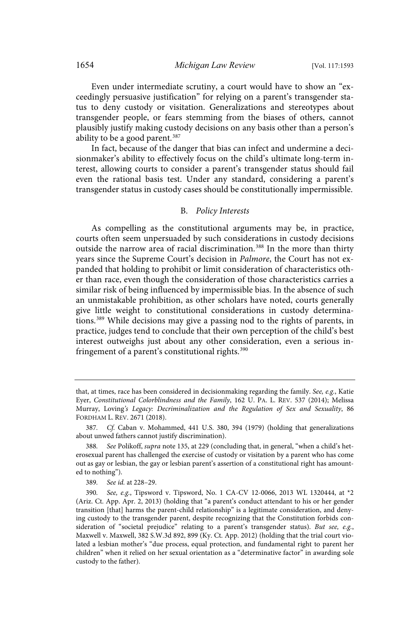Even under intermediate scrutiny, a court would have to show an "exceedingly persuasive justification" for relying on a parent's transgender status to deny custody or visitation. Generalizations and stereotypes about transgender people, or fears stemming from the biases of others, cannot plausibly justify making custody decisions on any basis other than a person's ability to be a good parent.<sup>387</sup>

In fact, because of the danger that bias can infect and undermine a decisionmaker's ability to effectively focus on the child's ultimate long-term interest, allowing courts to consider a parent's transgender status should fail even the rational basis test. Under any standard, considering a parent's transgender status in custody cases should be constitutionally impermissible.

# B. Policy Interests

As compelling as the constitutional arguments may be, in practice, courts often seem unpersuaded by such considerations in custody decisions outside the narrow area of racial discrimination.<sup>388</sup> In the more than thirty years since the Supreme Court's decision in Palmore, the Court has not expanded that holding to prohibit or limit consideration of characteristics other than race, even though the consideration of those characteristics carries a similar risk of being influenced by impermissible bias. In the absence of such an unmistakable prohibition, as other scholars have noted, courts generally give little weight to constitutional considerations in custody determinations.<sup>389</sup> While decisions may give a passing nod to the rights of parents, in practice, judges tend to conclude that their own perception of the child's best interest outweighs just about any other consideration, even a serious infringement of a parent's constitutional rights.<sup>390</sup>

that, at times, race has been considered in decisionmaking regarding the family. See, e.g., Katie Eyer, Constitutional Colorblindness and the Family, 162 U. PA. L. REV. 537 (2014); Melissa Murray, Loving's Legacy: Decriminalization and the Regulation of Sex and Sexuality, 86 FORDHAM L. REV. 2671 (2018).

<sup>387.</sup> Cf. Caban v. Mohammed, 441 U.S. 380, 394 (1979) (holding that generalizations about unwed fathers cannot justify discrimination).

<sup>388.</sup> See Polikoff, supra note 135, at 229 (concluding that, in general, "when a child's heterosexual parent has challenged the exercise of custody or visitation by a parent who has come out as gay or lesbian, the gay or lesbian parent's assertion of a constitutional right has amounted to nothing").

<sup>389.</sup> See id. at 228-29.

<sup>390.</sup> See, e.g., Tipsword v. Tipsword, No. 1 CA-CV 12-0066, 2013 WL 1320444, at \*2 (Ariz. Ct. App. Apr. 2, 2013) (holding that "a parent's conduct attendant to his or her gender transition [that] harms the parent-child relationship" is a legitimate consideration, and denying custody to the transgender parent, despite recognizing that the Constitution forbids consideration of "societal prejudice" relating to a parent's transgender status). But see, e.g., Maxwell v. Maxwell, 382 S.W.3d 892, 899 (Ky. Ct. App. 2012) (holding that the trial court violated a lesbian mother's "due process, equal protection, and fundamental right to parent her children" when it relied on her sexual orientation as a "determinative factor" in awarding sole custody to the father).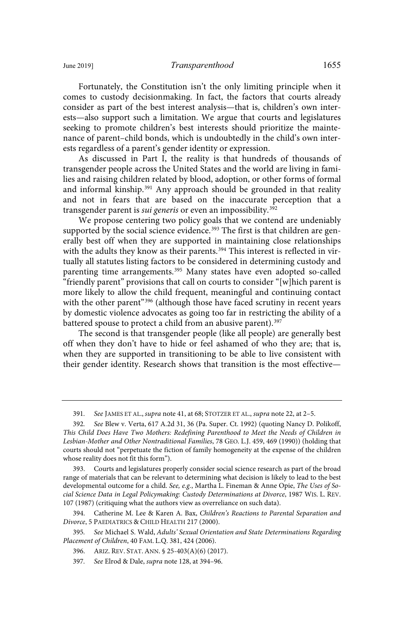Fortunately, the Constitution isn't the only limiting principle when it comes to custody decisionmaking. In fact, the factors that courts already consider as part of the best interest analysis—that is, children's own interests—also support such a limitation. We argue that courts and legislatures seeking to promote children's best interests should prioritize the maintenance of parent–child bonds, which is undoubtedly in the child's own interests regardless of a parent's gender identity or expression.

As discussed in Part I, the reality is that hundreds of thousands of transgender people across the United States and the world are living in families and raising children related by blood, adoption, or other forms of formal and informal kinship.<sup>391</sup> Any approach should be grounded in that reality and not in fears that are based on the inaccurate perception that a transgender parent is *sui generis* or even an impossibility.<sup>392</sup>

We propose centering two policy goals that we contend are undeniably supported by the social science evidence.<sup>393</sup> The first is that children are generally best off when they are supported in maintaining close relationships with the adults they know as their parents.<sup>394</sup> This interest is reflected in virtually all statutes listing factors to be considered in determining custody and parenting time arrangements.<sup>395</sup> Many states have even adopted so-called "friendly parent" provisions that call on courts to consider "[w]hich parent is more likely to allow the child frequent, meaningful and continuing contact with the other parent"<sup>396</sup> (although those have faced scrutiny in recent years by domestic violence advocates as going too far in restricting the ability of a battered spouse to protect a child from an abusive parent).<sup>397</sup>

The second is that transgender people (like all people) are generally best off when they don't have to hide or feel ashamed of who they are; that is, when they are supported in transitioning to be able to live consistent with their gender identity. Research shows that transition is the most effective—

<sup>391.</sup> See JAMES ET AL., supra note 41, at 68; STOTZER ET AL., supra note 22, at 2-5.

<sup>392.</sup> See Blew v. Verta, 617 A.2d 31, 36 (Pa. Super. Ct. 1992) (quoting Nancy D. Polikoff, This Child Does Have Two Mothers: Redefining Parenthood to Meet the Needs of Children in Lesbian-Mother and Other Nontraditional Families, 78 GEO. L.J. 459, 469 (1990)) (holding that courts should not "perpetuate the fiction of family homogeneity at the expense of the children whose reality does not fit this form").

Courts and legislatures properly consider social science research as part of the broad range of materials that can be relevant to determining what decision is likely to lead to the best developmental outcome for a child. See, e.g., Martha L. Fineman & Anne Opie, The Uses of Social Science Data in Legal Policymaking: Custody Determinations at Divorce, 1987 WIS. L. REV. 107 (1987) (critiquing what the authors view as overreliance on such data).

<sup>394.</sup> Catherine M. Lee & Karen A. Bax, Children's Reactions to Parental Separation and Divorce, 5 PAEDIATRICS & CHILD HEALTH 217 (2000).

<sup>395.</sup> See Michael S. Wald, Adults' Sexual Orientation and State Determinations Regarding Placement of Children, 40 FAM. L.Q. 381, 424 (2006).

<sup>396.</sup> ARIZ. REV. STAT. ANN. § 25-403(A)(6) (2017).

<sup>397.</sup> See Elrod & Dale, supra note 128, at 394-96.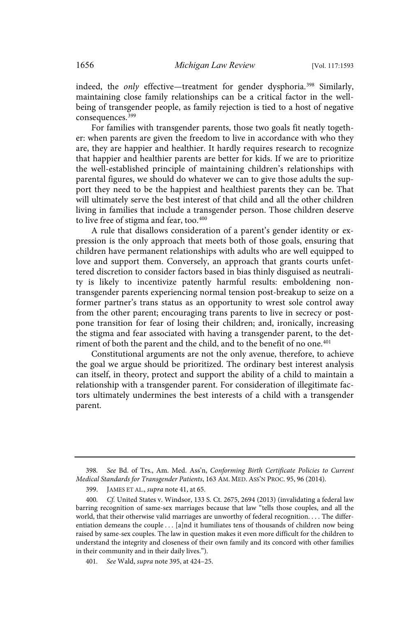indeed, the only effective—treatment for gender dysphoria.<sup>398</sup> Similarly, maintaining close family relationships can be a critical factor in the wellbeing of transgender people, as family rejection is tied to a host of negative consequences.<sup>399</sup>

For families with transgender parents, those two goals fit neatly together: when parents are given the freedom to live in accordance with who they are, they are happier and healthier. It hardly requires research to recognize that happier and healthier parents are better for kids. If we are to prioritize the well-established principle of maintaining children's relationships with parental figures, we should do whatever we can to give those adults the support they need to be the happiest and healthiest parents they can be. That will ultimately serve the best interest of that child and all the other children living in families that include a transgender person. Those children deserve to live free of stigma and fear, too.<sup>400</sup>

A rule that disallows consideration of a parent's gender identity or expression is the only approach that meets both of those goals, ensuring that children have permanent relationships with adults who are well equipped to love and support them. Conversely, an approach that grants courts unfettered discretion to consider factors based in bias thinly disguised as neutrality is likely to incentivize patently harmful results: emboldening nontransgender parents experiencing normal tension post-breakup to seize on a former partner's trans status as an opportunity to wrest sole control away from the other parent; encouraging trans parents to live in secrecy or postpone transition for fear of losing their children; and, ironically, increasing the stigma and fear associated with having a transgender parent, to the detriment of both the parent and the child, and to the benefit of no one.<sup>401</sup>

Constitutional arguments are not the only avenue, therefore, to achieve the goal we argue should be prioritized. The ordinary best interest analysis can itself, in theory, protect and support the ability of a child to maintain a relationship with a transgender parent. For consideration of illegitimate factors ultimately undermines the best interests of a child with a transgender parent.

<sup>398.</sup> See Bd. of Trs., Am. Med. Ass'n, Conforming Birth Certificate Policies to Current Medical Standards for Transgender Patients, 163 AM. MED. ASS'N PROC. 95, 96 (2014).

<sup>399.</sup> JAMES ET AL., supra note 41, at 65.

<sup>400.</sup> Cf. United States v. Windsor, 133 S. Ct. 2675, 2694 (2013) (invalidating a federal law barring recognition of same-sex marriages because that law "tells those couples, and all the world, that their otherwise valid marriages are unworthy of federal recognition. . . . The differentiation demeans the couple . . . [a]nd it humiliates tens of thousands of children now being raised by same-sex couples. The law in question makes it even more difficult for the children to understand the integrity and closeness of their own family and its concord with other families in their community and in their daily lives.").

<sup>401.</sup> See Wald, *supra* note 395, at 424-25.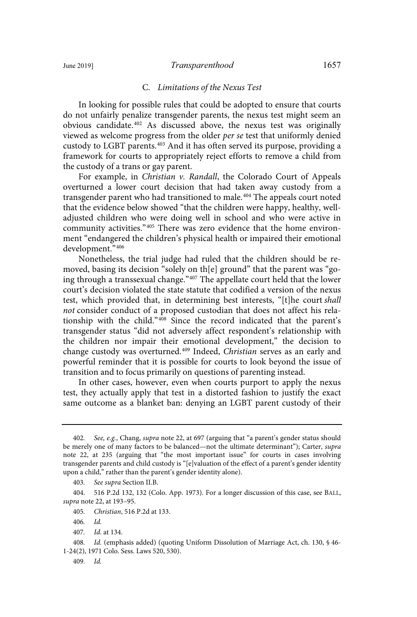### June 2019] *Transparenthood* 1657

### C. Limitations of the Nexus Test

In looking for possible rules that could be adopted to ensure that courts do not unfairly penalize transgender parents, the nexus test might seem an obvious candidate.<sup>402</sup> As discussed above, the nexus test was originally viewed as welcome progress from the older per se test that uniformly denied custody to LGBT parents.<sup>403</sup> And it has often served its purpose, providing a framework for courts to appropriately reject efforts to remove a child from the custody of a trans or gay parent.

For example, in Christian v. Randall, the Colorado Court of Appeals overturned a lower court decision that had taken away custody from a transgender parent who had transitioned to male.<sup>404</sup> The appeals court noted that the evidence below showed "that the children were happy, healthy, welladjusted children who were doing well in school and who were active in community activities."<sup>405</sup> There was zero evidence that the home environment "endangered the children's physical health or impaired their emotional development."<sup>406</sup>

Nonetheless, the trial judge had ruled that the children should be removed, basing its decision "solely on th[e] ground" that the parent was "going through a transsexual change."<sup>407</sup> The appellate court held that the lower court's decision violated the state statute that codified a version of the nexus test, which provided that, in determining best interests, "[t]he court shall not consider conduct of a proposed custodian that does not affect his relationship with the child."<sup>408</sup> Since the record indicated that the parent's transgender status "did not adversely affect respondent's relationship with the children nor impair their emotional development," the decision to change custody was overturned.<sup>409</sup> Indeed, Christian serves as an early and powerful reminder that it is possible for courts to look beyond the issue of transition and to focus primarily on questions of parenting instead.

In other cases, however, even when courts purport to apply the nexus test, they actually apply that test in a distorted fashion to justify the exact same outcome as a blanket ban: denying an LGBT parent custody of their

<sup>402.</sup> See, e.g., Chang, supra note 22, at 697 (arguing that "a parent's gender status should be merely one of many factors to be balanced—not the ultimate determinant"); Carter, supra note 22, at 235 (arguing that "the most important issue" for courts in cases involving transgender parents and child custody is "[e]valuation of the effect of a parent's gender identity upon a child," rather than the parent's gender identity alone).

<sup>403.</sup> See supra Section II.B.

<sup>404. 516</sup> P.2d 132, 132 (Colo. App. 1973). For a longer discussion of this case, see BALL, supra note 22, at 193–95.

<sup>405</sup> . Christian, 516 P.2d at 133.

 $406.$   $Id.$ 

<sup>407.</sup> *Id.* at 134.

<sup>408.</sup> Id. (emphasis added) (quoting Uniform Dissolution of Marriage Act, ch. 130, § 46-1-24(2), 1971 Colo. Sess. Laws 520, 530).

<sup>409.</sup> Id.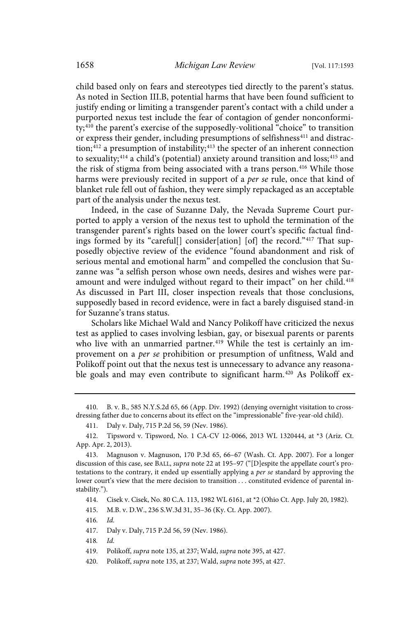child based only on fears and stereotypes tied directly to the parent's status. As noted in Section III.B, potential harms that have been found sufficient to justify ending or limiting a transgender parent's contact with a child under a purported nexus test include the fear of contagion of gender nonconformity;<sup>410</sup> the parent's exercise of the supposedly-volitional "choice" to transition or express their gender, including presumptions of selfishness<sup>411</sup> and distraction;<sup>412</sup> a presumption of instability;<sup>413</sup> the specter of an inherent connection to sexuality;<sup>414</sup> a child's (potential) anxiety around transition and loss;<sup>415</sup> and the risk of stigma from being associated with a trans person.<sup>416</sup> While those harms were previously recited in support of a per se rule, once that kind of blanket rule fell out of fashion, they were simply repackaged as an acceptable part of the analysis under the nexus test.

Indeed, in the case of Suzanne Daly, the Nevada Supreme Court purported to apply a version of the nexus test to uphold the termination of the transgender parent's rights based on the lower court's specific factual findings formed by its "careful[] consider[ation] [of] the record."<sup>417</sup> That supposedly objective review of the evidence "found abandonment and risk of serious mental and emotional harm" and compelled the conclusion that Suzanne was "a selfish person whose own needs, desires and wishes were paramount and were indulged without regard to their impact" on her child.<sup>418</sup> As discussed in Part III, closer inspection reveals that those conclusions, supposedly based in record evidence, were in fact a barely disguised stand-in for Suzanne's trans status.

Scholars like Michael Wald and Nancy Polikoff have criticized the nexus test as applied to cases involving lesbian, gay, or bisexual parents or parents who live with an unmarried partner.<sup>419</sup> While the test is certainly an improvement on a per se prohibition or presumption of unfitness, Wald and Polikoff point out that the nexus test is unnecessary to advance any reasonable goals and may even contribute to significant harm.<sup>420</sup> As Polikoff ex-

414. Cisek v. Cisek, No. 80 C.A. 113, 1982 WL 6161, at \*2 (Ohio Ct. App. July 20, 1982).

415. M.B. v. D.W., 236 S.W.3d 31, 35–36 (Ky. Ct. App. 2007).

 $416.$ 

417. Daly v. Daly, 715 P.2d 56, 59 (Nev. 1986).

418. Id.

419. Polikoff, supra note 135, at 237; Wald, supra note 395, at 427.

<sup>410.</sup> B. v. B., 585 N.Y.S.2d 65, 66 (App. Div. 1992) (denying overnight visitation to crossdressing father due to concerns about its effect on the "impressionable" five-year-old child).

<sup>411.</sup> Daly v. Daly, 715 P.2d 56, 59 (Nev. 1986).

<sup>412.</sup> Tipsword v. Tipsword, No. 1 CA-CV 12-0066, 2013 WL 1320444, at \*3 (Ariz. Ct. App. Apr. 2, 2013).

<sup>413.</sup> Magnuson v. Magnuson, 170 P.3d 65, 66–67 (Wash. Ct. App. 2007). For a longer discussion of this case, see BALL, supra note 22 at 195–97 ("[D]espite the appellate court's protestations to the contrary, it ended up essentially applying a per se standard by approving the lower court's view that the mere decision to transition . . . constituted evidence of parental instability.").

<sup>420.</sup> Polikoff, supra note 135, at 237; Wald, supra note 395, at 427.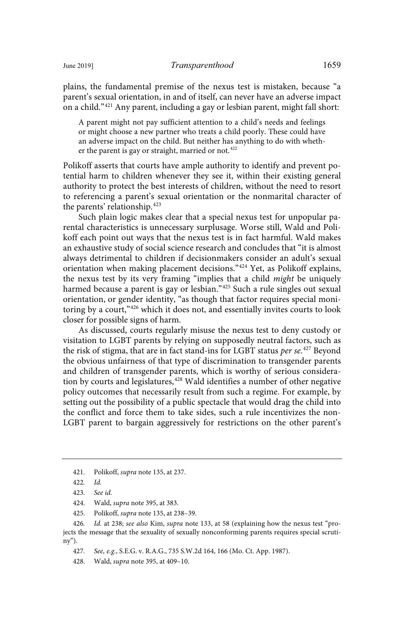plains, the fundamental premise of the nexus test is mistaken, because "a parent's sexual orientation, in and of itself, can never have an adverse impact on a child."<sup>421</sup> Any parent, including a gay or lesbian parent, might fall short:

A parent might not pay sufficient attention to a child's needs and feelings or might choose a new partner who treats a child poorly. These could have an adverse impact on the child. But neither has anything to do with whether the parent is gay or straight, married or not.<sup>422</sup>

Polikoff asserts that courts have ample authority to identify and prevent potential harm to children whenever they see it, within their existing general authority to protect the best interests of children, without the need to resort to referencing a parent's sexual orientation or the nonmarital character of the parents' relationship.<sup>423</sup>

Such plain logic makes clear that a special nexus test for unpopular parental characteristics is unnecessary surplusage. Worse still, Wald and Polikoff each point out ways that the nexus test is in fact harmful. Wald makes an exhaustive study of social science research and concludes that "it is almost always detrimental to children if decisionmakers consider an adult's sexual orientation when making placement decisions."<sup>424</sup> Yet, as Polikoff explains, the nexus test by its very framing "implies that a child might be uniquely harmed because a parent is gay or lesbian."<sup>425</sup> Such a rule singles out sexual orientation, or gender identity, "as though that factor requires special monitoring by a court,"<sup>426</sup> which it does not, and essentially invites courts to look closer for possible signs of harm.

As discussed, courts regularly misuse the nexus test to deny custody or visitation to LGBT parents by relying on supposedly neutral factors, such as the risk of stigma, that are in fact stand-ins for LGBT status *per se*.<sup>427</sup> Beyond the obvious unfairness of that type of discrimination to transgender parents and children of transgender parents, which is worthy of serious consideration by courts and legislatures,<sup>428</sup> Wald identifies a number of other negative policy outcomes that necessarily result from such a regime. For example, by setting out the possibility of a public spectacle that would drag the child into the conflict and force them to take sides, such a rule incentivizes the non-LGBT parent to bargain aggressively for restrictions on the other parent's

425. Polikoff, supra note 135, at 238–39.

<sup>421.</sup> Polikoff, supra note 135, at 237.

 $422.$  *Id.* 

<sup>423.</sup> See id.

<sup>424.</sup> Wald, supra note 395, at 383.

<sup>426.</sup> Id. at 238; see also Kim, supra note 133, at 58 (explaining how the nexus test "projects the message that the sexuality of sexually nonconforming parents requires special scrutiny").

<sup>427.</sup> See, e.g., S.E.G. v. R.A.G., 735 S.W.2d 164, 166 (Mo. Ct. App. 1987).

<sup>428.</sup> Wald, supra note 395, at 409–10.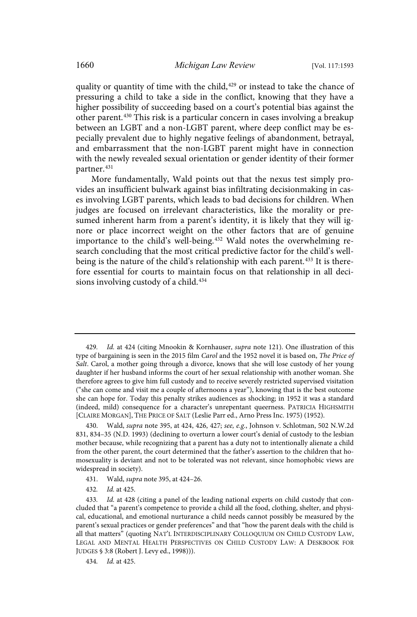quality or quantity of time with the child,<sup>429</sup> or instead to take the chance of pressuring a child to take a side in the conflict, knowing that they have a higher possibility of succeeding based on a court's potential bias against the other parent.<sup>430</sup> This risk is a particular concern in cases involving a breakup between an LGBT and a non-LGBT parent, where deep conflict may be especially prevalent due to highly negative feelings of abandonment, betrayal, and embarrassment that the non-LGBT parent might have in connection with the newly revealed sexual orientation or gender identity of their former partner.<sup>431</sup>

More fundamentally, Wald points out that the nexus test simply provides an insufficient bulwark against bias infiltrating decisionmaking in cases involving LGBT parents, which leads to bad decisions for children. When judges are focused on irrelevant characteristics, like the morality or presumed inherent harm from a parent's identity, it is likely that they will ignore or place incorrect weight on the other factors that are of genuine importance to the child's well-being.<sup>432</sup> Wald notes the overwhelming research concluding that the most critical predictive factor for the child's wellbeing is the nature of the child's relationship with each parent.<sup>433</sup> It is therefore essential for courts to maintain focus on that relationship in all decisions involving custody of a child.<sup>434</sup>

- 431. Wald, supra note 395, at 424–26.
- 432. *Id.* at 425.

<sup>429.</sup> Id. at 424 (citing Mnookin & Kornhauser, *supra* note 121). One illustration of this type of bargaining is seen in the 2015 film Carol and the 1952 novel it is based on, The Price of Salt. Carol, a mother going through a divorce, knows that she will lose custody of her young daughter if her husband informs the court of her sexual relationship with another woman. She therefore agrees to give him full custody and to receive severely restricted supervised visitation ("she can come and visit me a couple of afternoons a year"), knowing that is the best outcome she can hope for. Today this penalty strikes audiences as shocking; in 1952 it was a standard (indeed, mild) consequence for a character's unrepentant queerness. PATRICIA HIGHSMITH [CLAIRE MORGAN], THE PRICE OF SALT (Leslie Parr ed., Arno Press Inc. 1975) (1952).

<sup>430.</sup> Wald, supra note 395, at 424, 426, 427; see, e.g., Johnson v. Schlotman, 502 N.W.2d 831, 834–35 (N.D. 1993) (declining to overturn a lower court's denial of custody to the lesbian mother because, while recognizing that a parent has a duty not to intentionally alienate a child from the other parent, the court determined that the father's assertion to the children that homosexuality is deviant and not to be tolerated was not relevant, since homophobic views are widespread in society).

<sup>433.</sup> Id. at 428 (citing a panel of the leading national experts on child custody that concluded that "a parent's competence to provide a child all the food, clothing, shelter, and physical, educational, and emotional nurturance a child needs cannot possibly be measured by the parent's sexual practices or gender preferences" and that "how the parent deals with the child is all that matters" (quoting NAT'L INTERDISCIPLINARY COLLOQUIUM ON CHILD CUSTODY LAW, LEGAL AND MENTAL HEALTH PERSPECTIVES ON CHILD CUSTODY LAW: A DESKBOOK FOR JUDGES § 3:8 (Robert J. Levy ed., 1998))).

<sup>434.</sup> *Id.* at 425.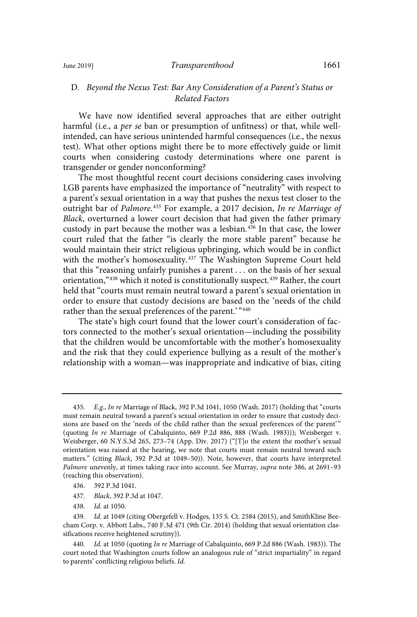# D. Beyond the Nexus Test: Bar Any Consideration of a Parent's Status or Related Factors

We have now identified several approaches that are either outright harmful (i.e., a per se ban or presumption of unfitness) or that, while wellintended, can have serious unintended harmful consequences (i.e., the nexus test). What other options might there be to more effectively guide or limit courts when considering custody determinations where one parent is transgender or gender nonconforming?

The most thoughtful recent court decisions considering cases involving LGB parents have emphasized the importance of "neutrality" with respect to a parent's sexual orientation in a way that pushes the nexus test closer to the outright bar of *Palmore*.<sup>435</sup> For example, a 2017 decision, *In re Marriage of* Black, overturned a lower court decision that had given the father primary custody in part because the mother was a lesbian.<sup>436</sup> In that case, the lower court ruled that the father "is clearly the more stable parent" because he would maintain their strict religious upbringing, which would be in conflict with the mother's homosexuality.<sup>437</sup> The Washington Supreme Court held that this "reasoning unfairly punishes a parent . . . on the basis of her sexual orientation,"438 which it noted is constitutionally suspect.<sup>439</sup> Rather, the court held that "courts must remain neutral toward a parent's sexual orientation in order to ensure that custody decisions are based on the 'needs of the child rather than the sexual preferences of the parent.' "440

The state's high court found that the lower court's consideration of factors connected to the mother's sexual orientation—including the possibility that the children would be uncomfortable with the mother's homosexuality and the risk that they could experience bullying as a result of the mother's relationship with a woman—was inappropriate and indicative of bias, citing

<sup>435.</sup> E.g., In re Marriage of Black, 392 P.3d 1041, 1050 (Wash. 2017) (holding that "courts must remain neutral toward a parent's sexual orientation in order to ensure that custody decisions are based on the 'needs of the child rather than the sexual preferences of the parent' " (quoting In re Marriage of Cabalquinto, 669 P.2d 886, 888 (Wash. 1983))); Weisberger v. Weisberger, 60 N.Y.S.3d 265, 273–74 (App. Div. 2017) ("[T]o the extent the mother's sexual orientation was raised at the hearing, we note that courts must remain neutral toward such matters." (citing Black, 392 P.3d at 1049–50)). Note, however, that courts have interpreted Palmore unevenly, at times taking race into account. See Murray, supra note 386, at 2691–93 (reaching this observation).

<sup>436. 392</sup> P.3d 1041.

<sup>437</sup> . Black, 392 P.3d at 1047.

<sup>438.</sup> *Id.* at 1050.

<sup>439.</sup> Id. at 1049 (citing Obergefell v. Hodges, 135 S. Ct. 2584 (2015), and SmithKline Beecham Corp. v. Abbott Labs., 740 F.3d 471 (9th Cir. 2014) (holding that sexual orientation classifications receive heightened scrutiny)).

<sup>440.</sup> Id. at 1050 (quoting In re Marriage of Cabalquinto, 669 P.2d 886 (Wash. 1983)). The court noted that Washington courts follow an analogous rule of "strict impartiality" in regard to parents' conflicting religious beliefs. Id.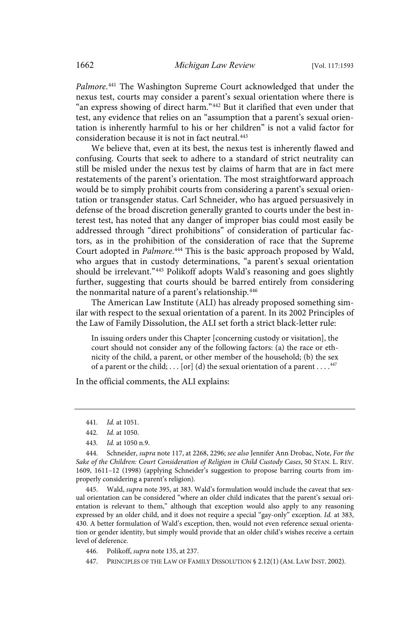Palmore.<sup>441</sup> The Washington Supreme Court acknowledged that under the nexus test, courts may consider a parent's sexual orientation where there is "an express showing of direct harm."<sup>442</sup> But it clarified that even under that test, any evidence that relies on an "assumption that a parent's sexual orientation is inherently harmful to his or her children" is not a valid factor for consideration because it is not in fact neutral.<sup>443</sup>

We believe that, even at its best, the nexus test is inherently flawed and confusing. Courts that seek to adhere to a standard of strict neutrality can still be misled under the nexus test by claims of harm that are in fact mere restatements of the parent's orientation. The most straightforward approach would be to simply prohibit courts from considering a parent's sexual orientation or transgender status. Carl Schneider, who has argued persuasively in defense of the broad discretion generally granted to courts under the best interest test, has noted that any danger of improper bias could most easily be addressed through "direct prohibitions" of consideration of particular factors, as in the prohibition of the consideration of race that the Supreme Court adopted in Palmore.<sup>444</sup> This is the basic approach proposed by Wald, who argues that in custody determinations, "a parent's sexual orientation should be irrelevant."<sup>445</sup> Polikoff adopts Wald's reasoning and goes slightly further, suggesting that courts should be barred entirely from considering the nonmarital nature of a parent's relationship.<sup>446</sup>

The American Law Institute (ALI) has already proposed something similar with respect to the sexual orientation of a parent. In its 2002 Principles of the Law of Family Dissolution, the ALI set forth a strict black-letter rule:

In issuing orders under this Chapter [concerning custody or visitation], the court should not consider any of the following factors: (a) the race or ethnicity of the child, a parent, or other member of the household; (b) the sex of a parent or the child;  $\dots$  [or] (d) the sexual orientation of a parent  $\dots$ .<sup>447</sup>

In the official comments, the ALI explains:

445. Wald, *supra* note 395, at 383. Wald's formulation would include the caveat that sexual orientation can be considered "where an older child indicates that the parent's sexual orientation is relevant to them," although that exception would also apply to any reasoning expressed by an older child, and it does not require a special "gay-only" exception. Id. at 383, 430. A better formulation of Wald's exception, then, would not even reference sexual orientation or gender identity, but simply would provide that an older child's wishes receive a certain level of deference.

446. Polikoff, supra note 135, at 237.

447. PRINCIPLES OF THE LAW OF FAMILY DISSOLUTION § 2.12(1) (AM. LAW INST. 2002).

<sup>441.</sup> *Id.* at 1051.

<sup>442.</sup> *Id.* at 1050.

<sup>443.</sup> *Id.* at 1050 n.9.

<sup>444.</sup> Schneider, supra note 117, at 2268, 2296; see also Jennifer Ann Drobac, Note, For the Sake of the Children: Court Consideration of Religion in Child Custody Cases, 50 STAN. L. REV. 1609, 1611–12 (1998) (applying Schneider's suggestion to propose barring courts from improperly considering a parent's religion).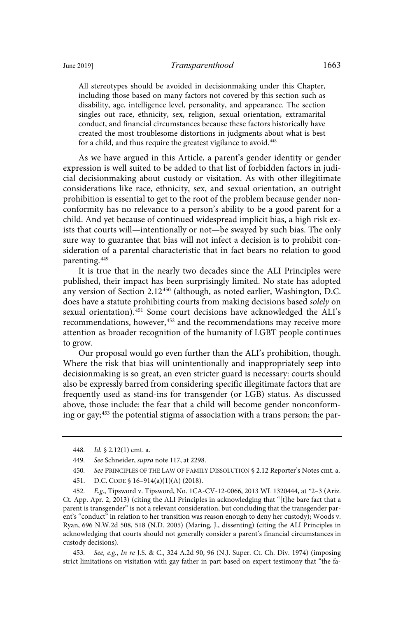All stereotypes should be avoided in decisionmaking under this Chapter, including those based on many factors not covered by this section such as disability, age, intelligence level, personality, and appearance. The section singles out race, ethnicity, sex, religion, sexual orientation, extramarital conduct, and financial circumstances because these factors historically have created the most troublesome distortions in judgments about what is best for a child, and thus require the greatest vigilance to avoid.<sup>448</sup>

As we have argued in this Article, a parent's gender identity or gender expression is well suited to be added to that list of forbidden factors in judicial decisionmaking about custody or visitation. As with other illegitimate considerations like race, ethnicity, sex, and sexual orientation, an outright prohibition is essential to get to the root of the problem because gender nonconformity has no relevance to a person's ability to be a good parent for a child. And yet because of continued widespread implicit bias, a high risk exists that courts will—intentionally or not—be swayed by such bias. The only sure way to guarantee that bias will not infect a decision is to prohibit consideration of a parental characteristic that in fact bears no relation to good parenting.<sup>449</sup>

It is true that in the nearly two decades since the ALI Principles were published, their impact has been surprisingly limited. No state has adopted any version of Section 2.12<sup>450</sup> (although, as noted earlier, Washington, D.C. does have a statute prohibiting courts from making decisions based solely on sexual orientation).<sup>451</sup> Some court decisions have acknowledged the ALI's recommendations, however,<sup>452</sup> and the recommendations may receive more attention as broader recognition of the humanity of LGBT people continues to grow.

Our proposal would go even further than the ALI's prohibition, though. Where the risk that bias will unintentionally and inappropriately seep into decisionmaking is so great, an even stricter guard is necessary: courts should also be expressly barred from considering specific illegitimate factors that are frequently used as stand-ins for transgender (or LGB) status. As discussed above, those include: the fear that a child will become gender nonconforming or gay;<sup>453</sup> the potential stigma of association with a trans person; the par-

- 450. See PRINCIPLES OF THE LAW OF FAMILY DISSOLUTION § 2.12 Reporter's Notes cmt. a.
- 451. D.C. CODE § 16–914(a)(1)(A) (2018).

452. E.g., Tipsword v. Tipsword, No. 1CA-CV-12-0066, 2013 WL 1320444, at \*2-3 (Ariz. Ct. App. Apr. 2, 2013) (citing the ALI Principles in acknowledging that "[t]he bare fact that a parent is transgender" is not a relevant consideration, but concluding that the transgender parent's "conduct" in relation to her transition was reason enough to deny her custody); Woods v. Ryan, 696 N.W.2d 508, 518 (N.D. 2005) (Maring, J., dissenting) (citing the ALI Principles in acknowledging that courts should not generally consider a parent's financial circumstances in custody decisions).

453. See, e.g., In re J.S. & C., 324 A.2d 90, 96 (N.J. Super. Ct. Ch. Div. 1974) (imposing strict limitations on visitation with gay father in part based on expert testimony that "the fa-

<sup>448.</sup> *Id.*  $\frac{1}{2}$  2.12(1) cmt. a.

<sup>449.</sup> See Schneider, *supra* note 117, at 2298.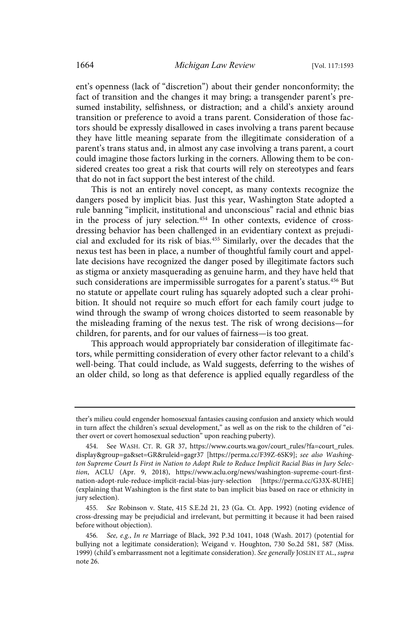ent's openness (lack of "discretion") about their gender nonconformity; the fact of transition and the changes it may bring; a transgender parent's presumed instability, selfishness, or distraction; and a child's anxiety around transition or preference to avoid a trans parent. Consideration of those factors should be expressly disallowed in cases involving a trans parent because they have little meaning separate from the illegitimate consideration of a parent's trans status and, in almost any case involving a trans parent, a court could imagine those factors lurking in the corners. Allowing them to be considered creates too great a risk that courts will rely on stereotypes and fears that do not in fact support the best interest of the child.

This is not an entirely novel concept, as many contexts recognize the dangers posed by implicit bias. Just this year, Washington State adopted a rule banning "implicit, institutional and unconscious" racial and ethnic bias in the process of jury selection.<sup>454</sup> In other contexts, evidence of crossdressing behavior has been challenged in an evidentiary context as prejudicial and excluded for its risk of bias.<sup>455</sup> Similarly, over the decades that the nexus test has been in place, a number of thoughtful family court and appellate decisions have recognized the danger posed by illegitimate factors such as stigma or anxiety masquerading as genuine harm, and they have held that such considerations are impermissible surrogates for a parent's status.<sup>456</sup> But no statute or appellate court ruling has squarely adopted such a clear prohibition. It should not require so much effort for each family court judge to wind through the swamp of wrong choices distorted to seem reasonable by the misleading framing of the nexus test. The risk of wrong decisions—for children, for parents, and for our values of fairness—is too great.

This approach would appropriately bar consideration of illegitimate factors, while permitting consideration of every other factor relevant to a child's well-being. That could include, as Wald suggests, deferring to the wishes of an older child, so long as that deference is applied equally regardless of the

ther's milieu could engender homosexual fantasies causing confusion and anxiety which would in turn affect the children's sexual development," as well as on the risk to the children of "either overt or covert homosexual seduction" upon reaching puberty).

<sup>454.</sup> See WASH. CT. R. GR 37, https://www.courts.wa.gov/court\_rules/?fa=court\_rules. display&group=ga&set=GR&ruleid=gagr37 [https://perma.cc/F39Z-6SK9]; see also Washington Supreme Court Is First in Nation to Adopt Rule to Reduce Implicit Racial Bias in Jury Selection, ACLU (Apr. 9, 2018), https://www.aclu.org/news/washington-supreme-court-firstnation-adopt-rule-reduce-implicit-racial-bias-jury-selection [https://perma.cc/G33X-8UHE] (explaining that Washington is the first state to ban implicit bias based on race or ethnicity in jury selection).

<sup>455</sup> . See Robinson v. State, 415 S.E.2d 21, 23 (Ga. Ct. App. 1992) (noting evidence of cross-dressing may be prejudicial and irrelevant, but permitting it because it had been raised before without objection).

<sup>456.</sup> See, e.g., In re Marriage of Black, 392 P.3d 1041, 1048 (Wash. 2017) (potential for bullying not a legitimate consideration); Weigand v. Houghton, 730 So.2d 581, 587 (Miss. 1999) (child's embarrassment not a legitimate consideration). See generally JOSLIN ET AL., supra note 26.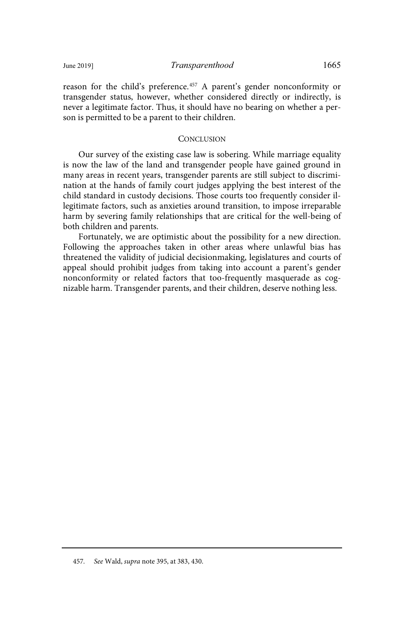reason for the child's preference.<sup>457</sup> A parent's gender nonconformity or transgender status, however, whether considered directly or indirectly, is never a legitimate factor. Thus, it should have no bearing on whether a person is permitted to be a parent to their children.

## **CONCLUSION**

Our survey of the existing case law is sobering. While marriage equality is now the law of the land and transgender people have gained ground in many areas in recent years, transgender parents are still subject to discrimination at the hands of family court judges applying the best interest of the child standard in custody decisions. Those courts too frequently consider illegitimate factors, such as anxieties around transition, to impose irreparable harm by severing family relationships that are critical for the well-being of both children and parents.

Fortunately, we are optimistic about the possibility for a new direction. Following the approaches taken in other areas where unlawful bias has threatened the validity of judicial decisionmaking, legislatures and courts of appeal should prohibit judges from taking into account a parent's gender nonconformity or related factors that too-frequently masquerade as cognizable harm. Transgender parents, and their children, deserve nothing less.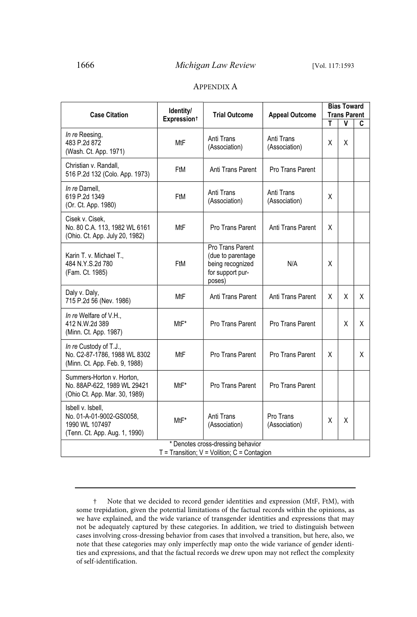## APPENDIX A

| <b>Case Citation</b>                                                                             | Identity/               | <b>Trial Outcome</b>                                                                    | <b>Appeal Outcome</b>       | <b>Bias Toward</b><br><b>Trans Parent</b> |   |   |
|--------------------------------------------------------------------------------------------------|-------------------------|-----------------------------------------------------------------------------------------|-----------------------------|-------------------------------------------|---|---|
|                                                                                                  | Expression <sup>+</sup> |                                                                                         |                             | т                                         | v | C |
| In re Reesing,<br>483 P.2d 872<br>(Wash. Ct. App. 1971)                                          | <b>MtF</b>              | Anti Trans<br>(Association)                                                             | Anti Trans<br>(Association) | x                                         | x |   |
| Christian v. Randall,<br>516 P.2d 132 (Colo. App. 1973)                                          | FtM                     | Anti Trans Parent                                                                       | Pro Trans Parent            |                                           |   |   |
| In re Darnell.<br>619 P.2d 1349<br>(Or. Ct. App. 1980)                                           | FtM                     | Anti Trans<br>(Association)                                                             | Anti Trans<br>(Association) | X                                         |   |   |
| Cisek v. Cisek.<br>No. 80 C.A. 113. 1982 WL 6161<br>(Ohio. Ct. App. July 20, 1982)               | MtF                     | Pro Trans Parent                                                                        | Anti Trans Parent           | X                                         |   |   |
| Karin T. v. Michael T.,<br>484 N.Y.S.2d 780<br>(Fam. Ct. 1985)                                   | FtM                     | Pro Trans Parent<br>(due to parentage<br>being recognized<br>for support pur-<br>poses) | N/A                         | X                                         |   |   |
| Daly v. Daly,<br>715 P.2d 56 (Nev. 1986)                                                         | MtF                     | Anti Trans Parent                                                                       | Anti Trans Parent           | X                                         | X | X |
| In re Welfare of V.H.,<br>412 N.W.2d 389<br>(Minn. Ct. App. 1987)                                | MtF*                    | Pro Trans Parent                                                                        | Pro Trans Parent            |                                           | X | X |
| In re Custody of T.J.,<br>No. C2-87-1786, 1988 WL 8302<br>(Minn. Ct. App. Feb. 9, 1988)          | <b>MtF</b>              | Pro Trans Parent                                                                        | Pro Trans Parent            | X                                         |   | X |
| Summers-Horton v. Horton,<br>No. 88AP-622, 1989 WL 29421<br>(Ohio Ct. App. Mar. 30, 1989)        | MtF*                    | Pro Trans Parent                                                                        | Pro Trans Parent            |                                           |   |   |
| Isbell v. Isbell,<br>No. 01-A-01-9002-GS0058,<br>1990 WL 107497<br>(Tenn. Ct. App. Aug. 1, 1990) | MtF*                    | Anti Trans<br>(Association)                                                             | Pro Trans<br>(Association)  | X                                         | Χ |   |
| * Denotes cross-dressing behavior<br>$T =$ Transition; $V =$ Volition; $C =$ Contagion           |                         |                                                                                         |                             |                                           |   |   |

<sup>†</sup> Note that we decided to record gender identities and expression (MtF, FtM), with some trepidation, given the potential limitations of the factual records within the opinions, as we have explained, and the wide variance of transgender identities and expressions that may not be adequately captured by these categories. In addition, we tried to distinguish between cases involving cross-dressing behavior from cases that involved a transition, but here, also, we note that these categories may only imperfectly map onto the wide variance of gender identities and expressions, and that the factual records we drew upon may not reflect the complexity of self-identification.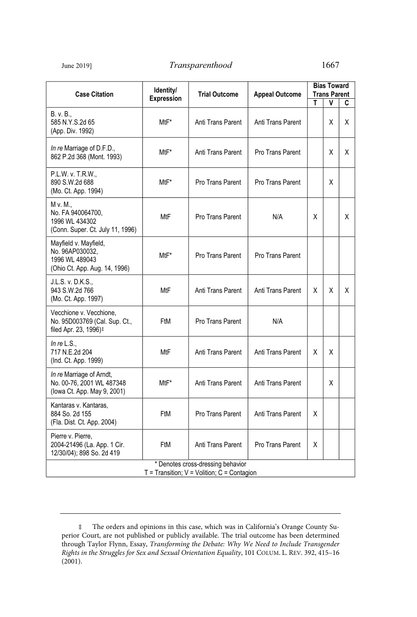## June 2019] *Transparenthood* 1667

| <b>Case Citation</b>                                                                          | Identity/<br>Expression | <b>Trial Outcome</b> | <b>Appeal Outcome</b> | <b>Bias Toward</b><br><b>Trans Parent</b> |   |    |  |
|-----------------------------------------------------------------------------------------------|-------------------------|----------------------|-----------------------|-------------------------------------------|---|----|--|
|                                                                                               |                         |                      |                       | т                                         | ٧ | C  |  |
| B. v. B.,<br>585 N.Y.S.2d 65<br>(App. Div. 1992)                                              | MtF*                    | Anti Trans Parent    | Anti Trans Parent     |                                           | X | X  |  |
| In re Marriage of D.F.D.,<br>862 P.2d 368 (Mont. 1993)                                        | MtF*                    | Anti Trans Parent    | Pro Trans Parent      |                                           | X | X  |  |
| P.L.W. v. T.R.W.,<br>890 S.W.2d 688<br>(Mo. Ct. App. 1994)                                    | MtF*                    | Pro Trans Parent     | Pro Trans Parent      |                                           | X |    |  |
| M v. M.,<br>No. FA 940064700,<br>1996 WL 434302<br>(Conn. Super. Ct. July 11, 1996)           | MtF                     | Pro Trans Parent     | N/A                   | X                                         |   | X. |  |
| Mayfield v. Mayfield,<br>No. 96AP030032,<br>1996 WL 489043<br>(Ohio Ct. App. Aug. 14, 1996)   | MtF*                    | Pro Trans Parent     | Pro Trans Parent      |                                           |   |    |  |
| J.L.S. v. D.K.S.,<br>943 S.W.2d 766<br>(Mo. Ct. App. 1997)                                    | MtF                     | Anti Trans Parent    | Anti Trans Parent     | X                                         | X | X. |  |
| Vecchione v. Vecchione,<br>No. 95D003769 (Cal. Sup. Ct.,<br>filed Apr. 23, 1996) <sup>‡</sup> | FtM                     | Pro Trans Parent     | N/A                   |                                           |   |    |  |
| In re $L.S.,$<br>717 N.E.2d 204<br>(Ind. Ct. App. 1999)                                       | MtF                     | Anti Trans Parent    | Anti Trans Parent     | X                                         | X |    |  |
| In re Marriage of Arndt,<br>No. 00-76, 2001 WL 487348<br>(lowa Ct. App. May 9, 2001)          | MtF*                    | Anti Trans Parent    | Anti Trans Parent     |                                           | X |    |  |
| Kantaras v. Kantaras,<br>884 So. 2d 155<br>(Fla. Dist. Ct. App. 2004)                         | FtM                     | Pro Trans Parent     | Anti Trans Parent     | X                                         |   |    |  |
| Pierre v. Pierre,<br>2004-21496 (La. App. 1 Cir.<br>12/30/04); 898 So. 2d 419                 | FtM                     | Anti Trans Parent    | Pro Trans Parent      | X                                         |   |    |  |
| * Denotes cross-dressing behavior<br>$T =$ Transition; $V =$ Volition; $C =$ Contagion        |                         |                      |                       |                                           |   |    |  |

<sup>‡</sup> The orders and opinions in this case, which was in California's Orange County Superior Court, are not published or publicly available. The trial outcome has been determined through Taylor Flynn, Essay, Transforming the Debate: Why We Need to Include Transgender Rights in the Struggles for Sex and Sexual Orientation Equality, 101 COLUM. L. REV. 392, 415–16  $(2001)$ .